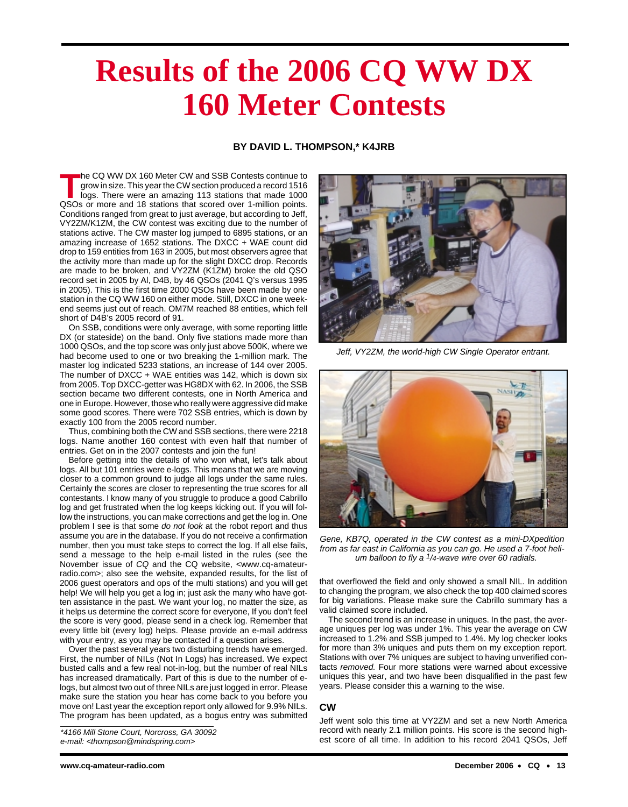# **Results of the 2006 CQ WW DX 160 Meter Contests**

## **BY DAVID L. THOMPSON,\* K4JRB**

**T**he CQ WW DX 160 Meter CW and SSB Contests continue to grow in size. This year the CW section produced a record 1516 logs. There were an amazing 113 stations that made 1000 QSOs or more and 18 stations that scored over 1-million points. Conditions ranged from great to just average, but according to Jeff, VY2ZM/K1ZM, the CW contest was exciting due to the number of stations active. The CW master log jumped to 6895 stations, or an amazing increase of 1652 stations. The DXCC + WAE count did drop to 159 entities from 163 in 2005, but most observers agree that the activity more than made up for the slight DXCC drop. Records are made to be broken, and VY2ZM (K1ZM) broke the old QSO record set in 2005 by Al, D4B, by 46 QSOs (2041 Q's versus 1995 in 2005). This is the first time 2000 QSOs have been made by one station in the CQ WW 160 on either mode. Still, DXCC in one weekend seems just out of reach. OM7M reached 88 entities, which fell short of D4B's 2005 record of 91.

On SSB, conditions were only average, with some reporting little DX (or stateside) on the band. Only five stations made more than 1000 QSOs, and the top score was only just above 500K, where we had become used to one or two breaking the 1-million mark. The master log indicated 5233 stations, an increase of 144 over 2005. The number of DXCC + WAE entities was 142, which is down six from 2005. Top DXCC-getter was HG8DX with 62. In 2006, the SSB section became two different contests, one in North America and one in Europe. However, those who really were aggressive did make some good scores. There were 702 SSB entries, which is down by exactly 100 from the 2005 record number.

Thus, combining both the CW and SSB sections, there were 2218 logs. Name another 160 contest with even half that number of entries. Get on in the 2007 contests and join the fun!

Before getting into the details of who won what, let's talk about logs. All but 101 entries were e-logs. This means that we are moving closer to a common ground to judge all logs under the same rules. Certainly the scores are closer to representing the true scores for all contestants. I know many of you struggle to produce a good Cabrillo log and get frustrated when the log keeps kicking out. If you will follow the instructions, you can make corrections and get the log in. One problem I see is that some do not look at the robot report and thus assume you are in the database. If you do not receive a confirmation number, then you must take steps to correct the log. If all else fails, send a message to the help e-mail listed in the rules (see the November issue of CQ and the CQ website, <www.cq-amateurradio.com>; also see the website, expanded results, for the list of 2006 guest operators and ops of the multi stations) and you will get help! We will help you get a log in; just ask the many who have gotten assistance in the past. We want your log, no matter the size, as it helps us determine the correct score for everyone, If you don't feel the score is very good, please send in a check log. Remember that every little bit (every log) helps. Please provide an e-mail address with your entry, as you may be contacted if a question arises.

Over the past several years two disturbing trends have emerged. First, the number of NILs (Not In Logs) has increased. We expect busted calls and a few real not-in-log, but the number of real NILs has increased dramatically. Part of this is due to the number of elogs, but almost two out of three NILs are just logged in error. Please make sure the station you hear has come back to you before you move on! Last year the exception report only allowed for 9.9% NILs. The program has been updated, as a bogus entry was submitted

e-mail: <thompson@mindspring.com>



Jeff, VY2ZM, the world-high CW Single Operator entrant.



Gene, KB7Q, operated in the CW contest as a mini-DXpedition from as far east in California as you can go. He used a 7-foot helium balloon to fly a  $1/4$ -wave wire over 60 radials.

that overflowed the field and only showed a small NIL. In addition to changing the program, we also check the top 400 claimed scores for big variations. Please make sure the Cabrillo summary has a valid claimed score included.

The second trend is an increase in uniques. In the past, the average uniques per log was under 1%. This year the average on CW increased to 1.2% and SSB jumped to 1.4%. My log checker looks for more than 3% uniques and puts them on my exception report. Stations with over 7% uniques are subject to having unverified contacts removed. Four more stations were warned about excessive uniques this year, and two have been disqualified in the past few years. Please consider this a warning to the wise.

### **CW**

Jeff went solo this time at VY2ZM and set a new North America record with nearly 2.1 million points. His score is the second high-\*4166 Mill Stone Court, Norcross, GA 30092<br>e-mail: <thompson@mindspring.com> est score of all time. In addition to his record 2041 QSOs, Jeff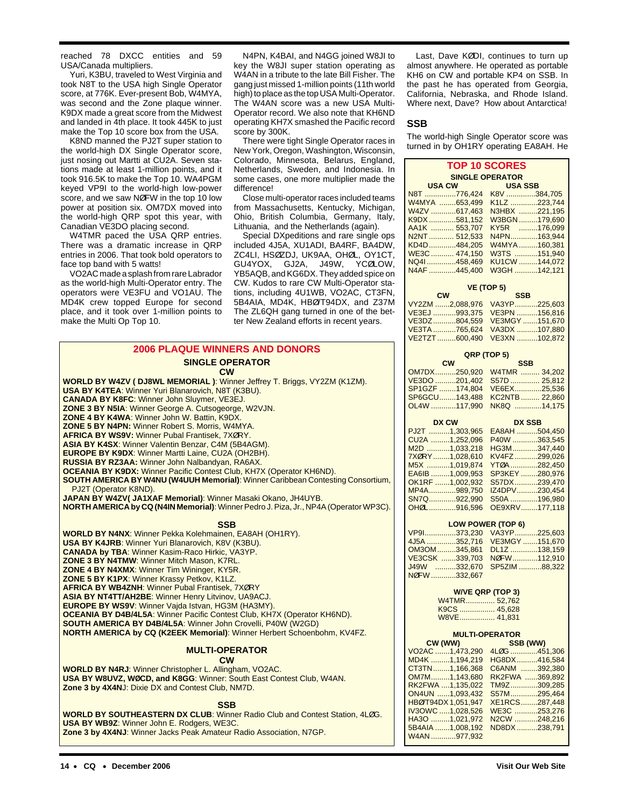reached 78 DXCC entities and 59 USA/Canada multipliers.

Yuri, K3BU, traveled to West Virginia and took N8T to the USA high Single Operator score, at 776K. Ever-present Bob, W4MYA, was second and the Zone plaque winner. K9DX made a great score from the Midwest and landed in 4th place. It took 445K to just make the Top 10 score box from the USA.

K8ND manned the PJ2T super station to the world-high DX Single Operator score, just nosing out Martti at CU2A. Seven stations made at least 1-million points, and it took 916.5K to make the Top 10. WA4PGM keyed VP9I to the world-high low-power score, and we saw NØFW in the top 10 low power at position six. OM7DX moved into the world-high QRP spot this year, with Canadian VE3DO placing second.

W4TMR paced the USA QRP entries. There was a dramatic increase in QRP entries in 2006. That took bold operators to face top band with 5 watts!

VO2AC made a splash from rare Labrador as the world-high Multi-Operator entry. The operators were VE3FU and VO1AU. The MD4K crew topped Europe for second place, and it took over 1-million points to make the Multi Op Top 10.

**USA BY K4TEA**: Winner Yuri Blanarovich, N8T (K3BU). **CANADA BY K8FC**: Winner John Sluymer, VE3EJ. **ZONE 3 BY N5IA**: Winner George A. Cutsogeorge, W2VJN. **ZONE 4 BY K4WA**: Winner John W. Battin, K9DX. **ZONE 5 BY N4PN:** Winner Robert S. Morris, W4MYA. **AFRICA BY WS9V:** Winner Pubal Frantisek, 7XØRY. **ASIA BY K4SX**: Winner Valentin Benzar, C4M (5B4AGM). **EUROPE BY K9DX**: Winner Martti Laine, CU2A (OH2BH). **RUSSIA BY RZ3AA:** Winner John Nalbandyan, RA6AX.

**2006 PLAQUE WINNERS AND DONORS SINGLE OPERATOR CW WORLD BY W4ZV ( DJ8WL MEMORIAL )**: Winner Jeffrey T. Briggs, VY2ZM (K1ZM).

**SOUTH AMERICA BY W4NU (W4UUH Memorial)**: Winner Caribbean Contesting Consortium,

**NORTH AMERICA by CQ (N4IN Memorial)**: Winner Pedro J. Piza, Jr., NP4A (Operator WP3C). **SSB**

**OCEANIA BY K9DX:** Winner Pacific Contest Club, KH7X (Operator KH6ND).

**OCEANIA BY D4B/4L5A**: Winner Pacific Contest Club, KH7X (Operator KH6ND). **SOUTH AMERICA BY D4B/4L5A**: Winner John Crovelli, P40W (W2GD)

**USA BY W8UVZ, WØCD, and K8GG**: Winner: South East Contest Club, W4AN.

**Zone 3 by 4X4NJ**: Winner Jacks Peak Amateur Radio Association, N7GP.

**NORTH AMERICA by CQ (K2EEK Memorial)**: Winner Herbert Schoenbohm, KV4FZ.

**MULTI-OPERATOR CW**

**SSB WORLD BY SOUTHEASTERN DX CLUB**: Winner Radio Club and Contest Station, 4LØG.

**JAPAN BY W4ZV( JA1XAF Memorial)**: Winner Masaki Okano, JH4UYB.

**WORLD BY N4NX**: Winner Pekka Kolehmainen, EA8AH (OH1RY).

**USA BY K4JRB**: Winner Yuri Blanarovich, K8V (K3BU). **CANADA by TBA**: Winner Kasim-Raco Hirkic, VA3YP. **ZONE 3 BY N4TMW**: Winner Mitch Mason, K7RL. **ZONE 4 BY N4XMX**: Winner Tim Wininger, KY5R. **ZONE 5 BY K1PX**: Winner Krassy Petkov, K1LZ. **AFRICA BY WB4ZNH**: Winner Pubal Frantisek, 7XØRY **ASIA BY NT4TT/AH2BE**: Winner Henry Litvinov, UA9ACJ. **EUROPE BY WS9V**: Winner Vajda Istvan, HG3M (HA3MY).

**WORLD BY N4RJ**: Winner Christopher L. Allingham, VO2AC.

**Zone 3 by 4X4N**J: Dixie DX and Contest Club, NM7D.

**USA BY WB9Z**: Winner John E. Rodgers, WE3C.

N4PN, K4BAI, and N4GG joined W8JI to key the W8JI super station operating as W4AN in a tribute to the late Bill Fisher. The gang just missed 1-million points (11th world high) to place as the top USA Multi-Operator. The W4AN score was a new USA Multi-Operator record. We also note that KH6ND operating KH7X smashed the Pacific record score by 300K.

There were tight Single Operator races in New York, Oregon, Washington, Wisconsin, Colorado, Minnesota, Belarus, England, Netherlands, Sweden, and Indonesia. In some cases, one more multiplier made the difference!

Close multi-operator races included teams from Massachusetts, Kentucky, Michigan, Ohio, British Columbia, Germany, Italy, Lithuania, and the Netherlands (again).

Special DXpeditions and rare single ops included 4J5A, XU1ADI, BA4RF, BA4DW, ZC4LI, HSØZDJ, UK9AA, OHØL, OY1CT, GU4YOX, GJ2A, J49W, YCØLOW, YB5AQB, and KG6DX. They added spice on CW. Kudos to rare CW Multi-Operator stations, including 4U1WB, VO2AC, CT3FN, 5B4AIA, MD4K, HBØ/T94DX, and Z37M The ZL6QH gang turned in one of the better New Zealand efforts in recent years.

Last, Dave KØDI, continues to turn up almost anywhere. He operated as portable KH6 on CW and portable KP4 on SSB. In the past he has operated from Georgia, California, Nebraska, and Rhode Island. Where next, Dave? How about Antarctica!

### **SSB**

The world-high Single Operator score was turned in by OH1RY operating EA8AH. He

| <b>TOP 10 SCORES</b>   |                |               |
|------------------------|----------------|---------------|
| <b>SINGLE OPERATOR</b> |                |               |
| <b>USA CW</b>          | <b>USA SSB</b> |               |
| N8T 776,424            |                | K8V 384,705   |
| W4MYA 653,499          |                | K1LZ 223,744  |
| W4ZV 617,463           |                | N3HBX 221,195 |
| K9DX 581,152           |                | W3BGN179,690  |
| AA1K  553,707          |                | KY5R 176.099  |
| N2NT  512,533          |                | N4PN163,944   |
| KD4D484,205            |                | W4MYA 160,381 |
| WE3C  474.150          |                | W3TS 151.940  |
| NQ41458,469            |                | KU1CW 144,072 |
| N4AF 445,400           |                | W3GH 142,121  |

## **VE (TOP 5)**

| <b>CW</b> |                              | <b>SSB</b> |  |
|-----------|------------------------------|------------|--|
|           | VY2ZM 2.088.976 VA3YP225.603 |            |  |
|           | VE3EJ 993.375 VE3PN 156.816  |            |  |
|           |                              |            |  |
|           | VE3TA 765.624 VA3DX 107.880  |            |  |
|           |                              |            |  |
|           |                              |            |  |

| QRP (TOP 5)                 |
|-----------------------------|
| <b>SSB</b>                  |
| OM7DX250.920 W4TMR  34.202  |
| VE3DO 201.402 S57D  25.812  |
|                             |
| SP6GCU143.488 KC2NTB 22.860 |
| OL4W 117,990 NK8Q 14,175    |
|                             |

| DX CW           | <b>DX SSB</b> |
|-----------------|---------------|
| PJ2T 1,303,965  | EA8AH 504,450 |
| CU2A 1,252,096  | P40W 363,545  |
| M2D 1,033,218   | HG3M347,440   |
| 7XØRY1,028,610  | KV4FZ299,026  |
| M5X 1,019,874   | YTØA 282,450  |
| EA6IB 1,009,953 | SP3KEY280,976 |
| OK1RF 1,002,932 | S57DX239,470  |
| MP4A989,750     | IZ4DPV230,454 |
| SN7Q922.990     | S50A 196.980  |
| OHØL916.596     | OE9XRV177.118 |

| LOW POWER (TOP 6)           |        |
|-----------------------------|--------|
| VP9I373.230 VA3YP225.603    |        |
| 4J5A 352,716 VE3MGY 151,670 |        |
| $OM2ONI$ $2AE$ $961$ $D117$ | 120150 |

|              | 4J5A 352.716 VE3MGY 151.670 |  |
|--------------|-----------------------------|--|
|              | OM3OM345.861 DL1Z138.159    |  |
|              | VE3CSK 339.703 NØFW 112.910 |  |
|              | J49W 332.670 SP5ZIM 88.322  |  |
| NØFW 332.667 |                             |  |

## **W/VE QRP (TOP 3)**

W4TMR.............. 52,762 K9CS ................. 45,628 W8VE................. 41,831

| <b>MULTI-OPERATOR</b>                                           |                |  |
|-----------------------------------------------------------------|----------------|--|
| CW (WW)<br><u> 1999 - Jan James Barnett, fransk politiker (</u> | SSB (WW)       |  |
| VO2AC 1,473,290                                                 | 4LØG 451,306   |  |
| MD4K 1,194,219                                                  | HG8DX416,584   |  |
| CT3TN1,166,368                                                  | C6ANM 392,380  |  |
| OM7M1,143,680                                                   | RK2FWA 369,892 |  |
| RK2FWA 1,135,022                                                | TM9Z309.285    |  |
| ON4UN 1,093,432                                                 | S57M295,464    |  |
| HBØ/T94DX 1.051.947                                             | XE1RCS287,448  |  |
| IV3OWC 1,028,526                                                | WE3C 253,276   |  |
| HA3O 1,021,972                                                  | N2CW 248,216   |  |
| 5B4AIA 1,008,192                                                | ND8DX238,791   |  |
| W4AN 977,932                                                    |                |  |
|                                                                 |                |  |

PJ2T (Operator K8ND).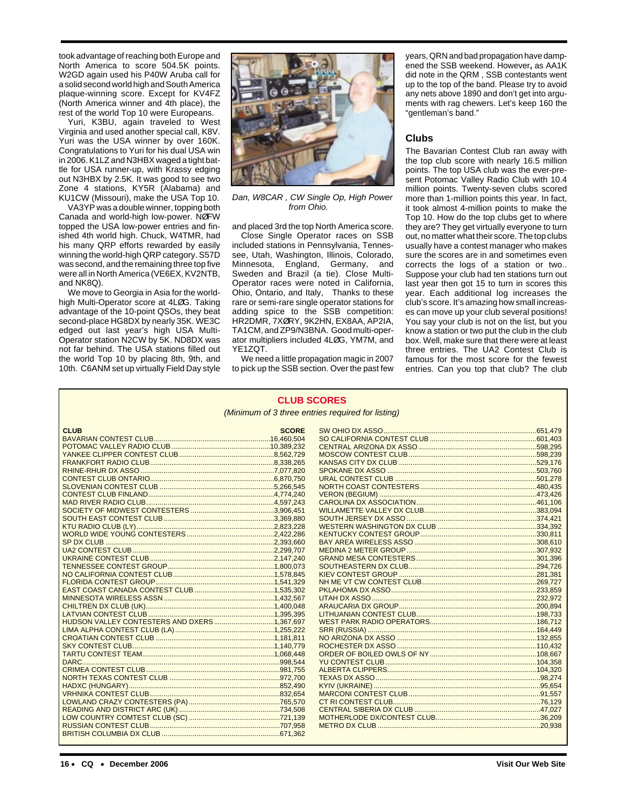took advantage of reaching both Europe and North America to score 504.5K points. W2GD again used his P40W Aruba call for a solid second world high and South America plaque-winning score. Except for KV4FZ (North America winner and 4th place), the rest of the world Top 10 were Europeans.

Yuri, K3BU, again traveled to West Virginia and used another special call, K8V. Yuri was the USA winner by over 160K. Congratulations to Yuri for his dual USA win in 2006. K1LZ and N3HBX waged a tight battle for USA runner-up, with Krassy edging out N3HBX by 2.5K. It was good to see two Zone 4 stations, KY5R (Alabama) and KU1CW (Missouri), make the USA Top 10.

VA3YP was a double winner, topping both Canada and world-high low-power. NØFW topped the USA low-power entries and finished 4th world high. Chuck, W4TMR, had his many QRP efforts rewarded by easily winning the world-high QRP category. S57D was second, and the remaining three top five were all in North America (VE6EX, KV2NTB, and NK8Q).

We move to Georgia in Asia for the worldhigh Multi-Operator score at 4LØG. Taking advantage of the 10-point QSOs, they beat second-place HG8DX by nearly 35K. WE3C edged out last year's high USA Multi-Operator station N2CW by 5K. ND8DX was not far behind. The USA stations filled out the world Top 10 by placing 8th, 9th, and 10th. C6ANM set up virtually Field Day style



Dan, W8CAR , CW Single Op, High Power from Ohio.

and placed 3rd the top North America score. Close Single Operator races on SSB included stations in Pennsylvania, Tennessee, Utah, Washington, Illinois, Colorado, Minnesota, England, Germany, and Sweden and Brazil (a tie). Close Multi-Operator races were noted in California, Ohio, Ontario, and Italy, Thanks to these rare or semi-rare single operator stations for adding spice to the SSB competition: HR2DMR, 7XØRY, 9K2HN, EX8AA, AP2IA, TA1CM, and ZP9/N3BNA. Good multi-operator multipliers included 4LØG, YM7M, and YE1ZQT.

We need a little propagation magic in 2007 to pick up the SSB section. Over the past few

**CLUB SCORES**

years, QRN and bad propagation have dampened the SSB weekend. However**,** as AA1K did note in the QRM , SSB contestants went up to the top of the band. Please try to avoid any nets above 1890 and don't get into arguments with rag chewers. Let's keep 160 the "gentleman's band."

## **Clubs**

The Bavarian Contest Club ran away with the top club score with nearly 16.5 million points. The top USA club was the ever-present Potomac Valley Radio Club with 10.4 million points. Twenty-seven clubs scored more than 1-million points this year. In fact, it took almost 4-million points to make the Top 10. How do the top clubs get to where they are? They get virtually everyone to turn out, no matter what their score. The top clubs usually have a contest manager who makes sure the scores are in and sometimes even corrects the logs of a station or two.. Suppose your club had ten stations turn out last year then got 15 to turn in scores this year. Each additional log increases the club's score. It's amazing how small increases can move up your club several positions! You say your club is not on the list, but you know a station or two put the club in the club box. Well, make sure that there were at least three entries. The UA2 Contest Club is famous for the most score for the fewest entries. Can you top that club? The club

|             |              | (Minimum of 3 three entries required for listing) |  |
|-------------|--------------|---------------------------------------------------|--|
|             |              |                                                   |  |
| <b>CLUB</b> | <b>SCORE</b> |                                                   |  |
|             |              |                                                   |  |
|             |              |                                                   |  |
|             |              |                                                   |  |
|             |              |                                                   |  |
|             |              |                                                   |  |
|             |              |                                                   |  |
|             |              |                                                   |  |
|             |              |                                                   |  |
|             |              |                                                   |  |
|             |              |                                                   |  |
|             |              |                                                   |  |
|             |              |                                                   |  |
|             |              |                                                   |  |
|             |              |                                                   |  |
|             |              |                                                   |  |
|             |              |                                                   |  |
|             |              |                                                   |  |
|             |              |                                                   |  |
|             |              |                                                   |  |
|             |              |                                                   |  |
|             |              |                                                   |  |
|             |              |                                                   |  |
|             |              |                                                   |  |
|             |              |                                                   |  |
|             |              |                                                   |  |
|             |              |                                                   |  |
|             |              |                                                   |  |
|             |              |                                                   |  |
|             |              |                                                   |  |
|             |              |                                                   |  |
|             |              |                                                   |  |
|             |              |                                                   |  |
|             |              |                                                   |  |
|             |              |                                                   |  |
|             |              |                                                   |  |
|             |              |                                                   |  |
|             |              |                                                   |  |
|             |              |                                                   |  |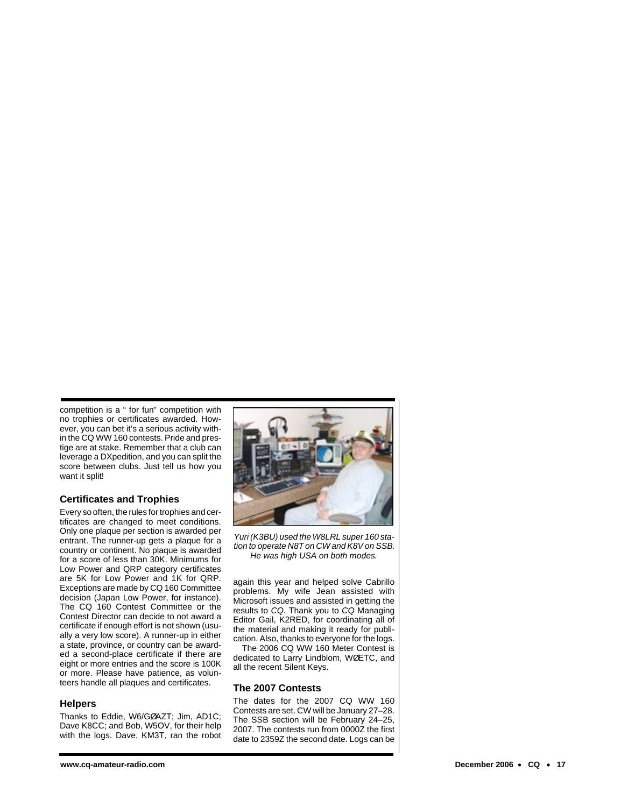competition is a " for fun" competition with no trophies or certificates awarded. However, you can bet it's a serious activity within the CQ WW 160 contests. Pride and prestige are at stake. Remember that a club can leverage a DXpedition, and you can split the score between clubs. Just tell us how you want it split!

# **Certificates and Trophies**

Every so often, the rules for trophies and certificates are changed to meet conditions. Only one plaque per section is awarded per entrant. The runner-up gets a plaque for a country or continent. No plaque is awarded for a score of less than 30K. Minimums for Low Power and QRP category certificates are 5K for Low Power and 1K for QRP. Exceptions are made by CQ 160 Committee decision (Japan Low Power, for instance). The CQ 160 Contest Committee or the Contest Director can decide to not award a certificate if enough effort is not shown (usually a very low score). A runner-up in either a state, province, or country can be awarded a second-place certificate if there are eight or more entries and the score is 100K or more. Please have patience, as volunteers handle all plaques and certificates.

### **Helpers**

Thanks to Eddie, W6/GØAZT; Jim, AD1C; Dave K8CC; and Bob, W5OV, for their help with the logs. Dave, KM3T, ran the robot



Yuri (K3BU) used the W8LRL super 160 station to operate N8T on CW and K8V on SSB. He was high USA on both modes.

again this year and helped solve Cabrillo problems. My wife Jean assisted with Microsoft issues and assisted in getting the results to CQ. Thank you to CQ Managing Editor Gail, K2RED, for coordinating all of the material and making it ready for publication. Also, thanks to everyone for the logs.

The 2006 CQ WW 160 Meter Contest is dedicated to Larry Lindblom, WØETC, and all the recent Silent Keys.

### **The 2007 Contests**

The dates for the 2007 CQ WW 160 Contests are set. CW will be January 27–28. The SSB section will be February 24–25, 2007. The contests run from 0000Z the first date to 2359Z the second date. Logs can be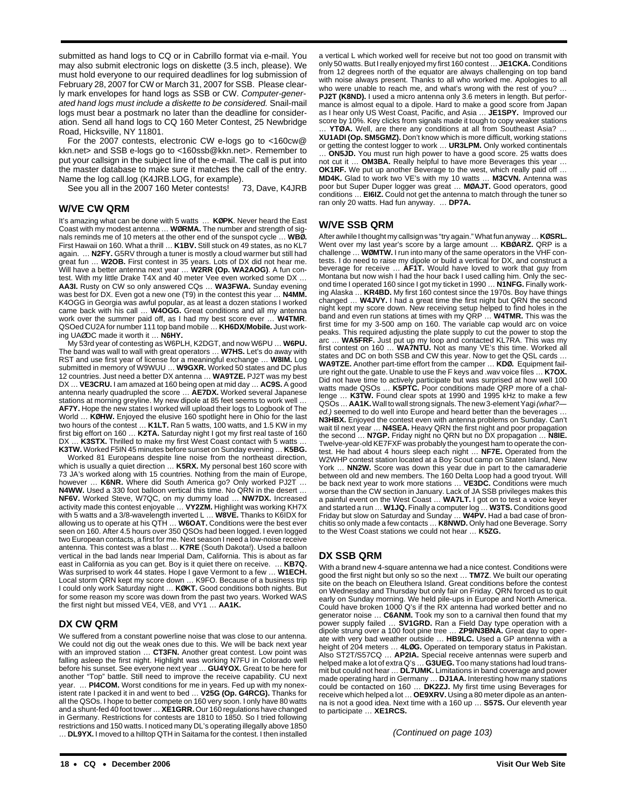submitted as hand logs to CQ or in Cabrillo format via e-mail. You may also submit electronic logs on diskette (3.5 inch, please). We must hold everyone to our required deadlines for log submission of February 28, 2007 for CW or March 31, 2007 for SSB. Please clearly mark envelopes for hand logs as SSB or CW. Computer-generated hand logs must include a diskette to be considered. Snail-mail logs must bear a postmark no later than the deadline for consideration. Send all hand logs to CQ 160 Meter Contest, 25 Newbridge Road, Hicksville, NY 11801.

For the 2007 contests, electronic CW e-logs go to <160cw@ kkn.net> and SSB e-logs go to <160ssb@kkn.net>. Remember to put your callsign in the subject line of the e-mail. The call is put into the master database to make sure it matches the call of the entry.

Name the log call.log (K4JRB.LOG, for example).<br>See you all in the 2007 160 Meter contests! 73, Dave, K4JRB See you all in the 2007 160 Meter contests!

## **W/VE CW QRM**

It's amazing what can be done with 5 watts … **KØPK**. Never heard the East Coast with my modest antenna … **WØRMA.** The number and strength of signals reminds me of 10 meters at the other end of the sunspot cycle … **WBØ.** First Hawaii on 160. What a thrill … **K1BV.** Still stuck on 49 states, as no KL7 again. … **N2FY.** G5RV through a tuner is mostly a cloud warmer but still had great fun … **W2OB.** First contest in 35 years. Lots of DX did not hear me. Will have a better antenna next year … **W2RR (Op. WA2AOG)**. A fun contest. With my little Drake T4X and 40 meter Vee even worked some DX … **AA3I.** Rusty on CW so only answered CQs … **WA3FWA.** Sunday evening was best for DX. Even got a new one (T9) in the contest this year … **N4MM.** K4OGG in Georgia was awful popular, as at least a dozen stations I worked came back with his call … **W4OGG.** Great conditions and all my antenna work over the summer paid off, as I had my best score ever … **W4TMR**. QSOed CU2A for number 111 top band mobile … **KH6DX/Mobile.** Just working UAØDC made it worth it … **N6HY.**

My 53rd year of contesting as W6PLH, K2DGT, and now W6PU … **W6PU.** The band was wall to wall with great operators … **W7HS.** Let's do away with RST and use first year of license for a meaningful exchange … **W8IM.** Log submitted in memory of W9WUU … **W9GXR.** Worked 50 states and DC plus 12 countries. Just need a better DX antenna … **WA9TZE.** PJ2T was my best DX … **VE3CRU.** I am amazed at 160 being open at mid day … **AC9S.** A good antenna nearly quadrupled the score … **AE7DX.** Worked several Japanese stations at morning greyline. My new dipole at 85 feet seems to work well … **AF7Y.** Hope the new states I worked will upload their logs to Logbook of The World … **KØHW.** Enjoyed the elusive 160 spotlight here in Ohio for the last two hours of the contest … **K1LT.** Ran 5 watts, 100 watts, and 1.5 KW in my first big effort on 160 … **K2TA.** Saturday night I got my first real taste of 160 DX ... K3STX. Thrilled to make my first West Coast contact with 5 watts . **K3TW.** Worked F5IN 45 minutes before sunset on Sunday evening … **K5BG.**

Worked 81 Europeans despite line noise from the northeast direction, which is usually a quiet direction … **K5RX.** My personal best 160 score with 73 JA's worked along with 15 countries. Nothing from the main of Europe, however … **K6NR.** Where did South America go? Only worked PJ2T … **N4WW.** Used a 330 foot balloon vertical this time. No QRN in the desert … **NF6V.** Worked Steve, W7QC, on my dummy load … **NW7DX.** Increased activity made this contest enjoyable … **VY2ZM.** Highlight was working KH7X with 5 watts and a 3/8-wavelength inverted L … **W8VE.** Thanks to K6IDX for allowing us to operate at his QTH … **W6OAT.** Conditions were the best ever seen on 160. After 4.5 hours over 350 QSOs had been logged. I even logged two European contacts, a first for me. Next season I need a low-noise receive antenna. This contest was a blast … **K7RE** (South Dakota!). Used a balloon vertical in the bad lands near Imperial Dam, California. This is about as far east in California as you can get. Boy is it quiet there on receive. … **KB7Q.** Was surprised to work 44 states. Hope I gave Vermont to a few … **W1ECH.** Local storm QRN kept my score down … K9FO. Because of a business trip I could only work Saturday night … **KØKT.** Good conditions both nights. But for some reason my score was down from the past two years. Worked WAS the first night but missed VE4, VE8, and VY1 … **AA1K.**

# **DX CW QRM**

We suffered from a constant powerline noise that was close to our antenna. We could not dig out the weak ones due to this. We will be back next year with an improved station … **CT3FN.** Another great contest. Low point was falling asleep the first night. Highlight was working N7FU in Colorado well before his sunset. See everyone next year … **GU4YOX.** Great to be here for another "Top" battle. Still need to improve the receive capability. CU next year. ... PI4COM. Worst conditions for me in years. Fed up with my nonexistent rate I packed it in and went to bed … **V25G (Op. G4RCG).** Thanks for all the QSOs. I hope to better compete on 160 very soon. I only have 80 watts and a shunt-fed 40 foot tower …**XE1GRR.** Our 160 regulations have changed in Germany. Restrictions for contests are 1810 to 1850. So I tried following restrictions and 150 watts. I noticed many DL's operating illegally above 1850 … **DL9YX.** I moved to a hilltop QTH in Saitama for the contest. I then installed

a vertical L which worked well for receive but not too good on transmit with only 50 watts. But I really enjoyed my first 160 contest … **JE1CKA.** Conditions from 12 degrees north of the equator are always challenging on top band with noise always present. Thanks to all who worked me. Apologies to all who were unable to reach me, and what's wrong with the rest of you? ... **PJ2T (K8ND).** I used a micro antenna only 3.6 meters in length. But performance is almost equal to a dipole. Hard to make a good score from Japan as I hear only US West Coast, Pacific, and Asia … **JE1SPY.** Improved our score by 10%. Key clicks from signals made it tough to copy weaker stations

… **YTØA.** Well, are there any conditions at all from Southeast Asia? … **XU1ADI (Op. SM5GMZ).** Don't know which is more difficult, working stations or getting the contest logger to work … **UR3LPM.** Only worked continentals … **ON5JD.** You must run high power to have a good score. 25 watts does not cut it … **OM3BA.** Really helpful to have more Beverages this year … **OK1RF.** We put up another Beverage to the west, which really paid off … **MD4K.** Glad to work two VE's with my 10 watts … **M3CVN.** Antenna was poor but Super Duper logger was great … **MØAJT.** Good operators, good conditions … **EI6IZ.** Could not get the antenna to match through the tuner so ran only 20 watts. Had fun anyway. … **DP7A.** 

## **W/VE SSB QRM**

After awhile I thought my callsign was "try again." What fun anyway …**KØSRL.** Went over my last year's score by a large amount … **KBØARZ.** QRP is a challenge … **WØMTW.** I run into many of the same operators in the VHF contests. I do need to raise my dipole or build a vertical for DX, and construct a beverage for receive … **AF1T.** Would have loved to work that guy from Montana but now wish I had the hour back I used calling him. Only the second time I operated 160 since I got my ticket in 1990 … **N1NFG.** Finally working Alaska … **KR4BD.** My first 160 contest since the 1970s. Boy have things changed … **W4JVY.** I had a great time the first night but QRN the second night kept my score down. New receiving setup helped to find holes in the band and even run stations at times with my QRP … **W4TMR.** This was the first time for my 3-500 amp on 160. The variable cap would arc on voice peaks. This required adjusting the plate supply to cut the power to stop the arc … **WA5FRF.** Just put up my loop and contacted KL7RA. This was my first contest on 160 … **WA7NTU.** Not as many VE's this time. Worked all states and DC on both SSB and CW this year. Now to get the QSL cards … **WA9TZE.** Another part-time effort from the camper … **KDØ.** Equipment failure right out the gate. Unable to use the F keys and .wav voice files … **K7OX.** Did not have time to actively participate but was surprised at how well 100 watts made QSOs … **K5PTC.** Poor conditions made QRP more of a challenge … **K3TW.** Found clear spots at 1990 and 1995 kHz to make a few QSOs ... AA1K. Wall to wall strong signals. The new 3-element Yagi (what?ed.) seemed to do well into Europe and heard better than the beverages … **N3HBX.** Enjoyed the contest even with antenna problems on Sunday. Can't wait til next year ... **N4SEA.** Heavy QRN the first night and poor propagation the second … **N7GP.** Friday night no QRN but no DX propagation … **N8IE.** Twelve-year-old KE7FXF was probably the youngest ham to operate the contest. He had about 4 hours sleep each night … **NF7E.** Operated from the W2WHP contest station located at a Boy Scout camp on Staten Island, New York … **NN2W.** Score was down this year due in part to the camaraderie between old and new members. The 160 Delta Loop had a good tryout. Will be back next year to work more stations … **VE3DC.** Conditions were much worse than the CW section in January. Lack of JA SSB privileges makes this a painful event on the West Coast … **WA7LT.** I got on to test a voice keyer and started a run … **W1JQ.** Finally a computer log … **W3TS.** Conditions good Friday but slow on Saturday and Sunday … **W4PV.** Had a bad case of bronchitis so only made a few contacts … **K8NWD.** Only had one Beverage. Sorry to the West Coast stations we could not hear … **K5ZG.**

# **DX SSB QRM**

With a brand new 4-square antenna we had a nice contest. Conditions were good the first night but only so so the next … **TM7Z**. We built our operating site on the beach on Eleuthera Island. Great conditions before the contest on Wednesday and Thursday but only fair on Friday. QRN forced us to quit early on Sunday morning. We held pile-ups in Europe and North America. Could have broken 1000 Q's if the RX antenna had worked better and no generator noise … **C6ANM.** Took my son to a carnival then found that my power supply failed ... **SV1GRD.** Ran a Field Day type operation with a dipole strung over a 100 foot pine tree … **ZP9/N3BNA.** Great day to operate with very bad weather outside … **HB9LC.** Used a GP antenna with a height of 204 meters … **4LØG.** Operated on temporary status in Pakistan. Also ST2T/S57CQ … **AP2IA.** Special receive antennas were superb and helped make a lot of extra Q's … **G3UEG.** Too many stations had loud transmit but could not hear … **DL7UMK.** Limitations in band coverage and power made operating hard in Germany … **DJ1AA.** Interesting how many stations could be contacted on 160 … **DK2ZJ.** My first time using Beverages for receive which helped a lot … **OE9XRV.** Using a 80 meter dipole as an antenna is not a good idea. Next time with a 160 up … **S57S.** Our eleventh year to participate … **XE1RCS.**

(Continued on page 103)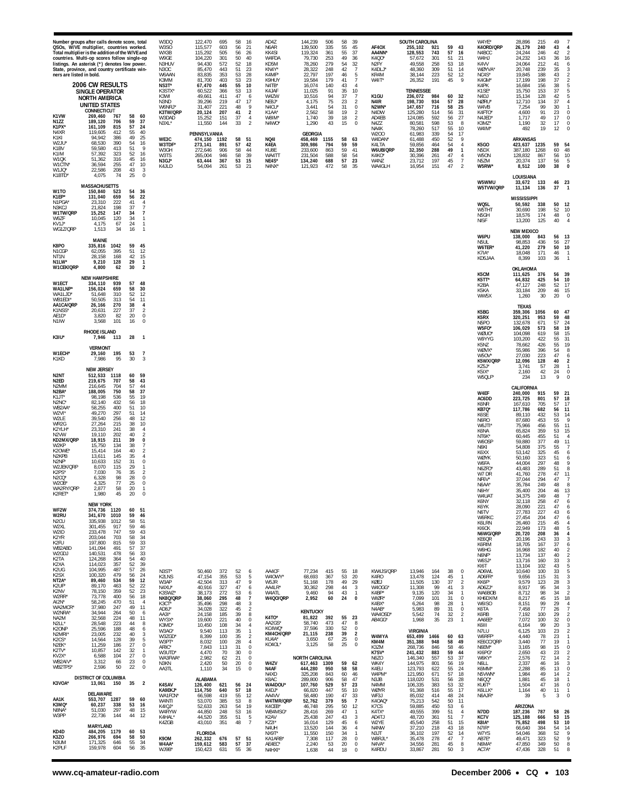| KD4D<br>K3ZO<br>N3UM<br>K2PLF                             | AA1K<br>K3MQ*<br>N8NA <sup>®</sup><br>W3PP                  | K3VOA*                                     | AI2N*<br>WA2MCR'<br>W2NRA'<br>NA2M<br>N2LL'<br>K2ONP<br>N2MRI<br>K <sub>2</sub> CS*<br>N2EK*<br>K2TV*<br>KV2X*<br>WB2AIV'<br>WB2TPS'                     | WF2W<br>W2RU<br>N <sub>2</sub> CU<br>W <sub>2XI</sub><br>W2ID<br>K <sub>2</sub> YR<br>K2FU<br>WB2ABD<br>W2GDJ<br>K2TA<br>K <sub>2</sub> XA<br>K <sub>2</sub> U <sub>G</sub><br>K <sub>2</sub> SX<br>NT <sub>2</sub> A<br>K2UF*<br>K2NV<br>W2RR | N <sub>2</sub> ED<br>N <sub>2</sub> MM<br>N2BA*<br>K1JT*<br>N2NC*<br>WB2AA'<br>W2VI*<br>W2LE<br>WR2G<br>K2YLH<br>N <sub>2</sub> VW<br>KD2MX/QRP<br>W2KP<br>K20WE <sup>®</sup><br>N <sub>2</sub> KP <sub>B</sub><br>N2NF*<br>W2JEK/QRP<br>K2PS'<br>N <sub>2</sub> CO <sup>*</sup><br>W2OB'<br>WA2RY/QRP<br>K2RET | W1ECH*<br>K1KD<br>N <sub>2</sub> NT                                       | N <sub>1</sub> IW<br>K3IU*                  | W1ECT<br>WA1LNP*<br>WA1LJD<br>WB1EDI'<br>AA1CA/QRP<br>K1NSS <sup>®</sup><br>AE1D*           | K8PO<br>N1CGP<br>NT <sub>1</sub> N<br>N1LW*<br>W1CEK/QRP      | W1TO<br>K1EP*<br>N1PGA<br>N3KCJ<br>W1TW/QRP<br>W6ZF<br>KV <sub>1</sub> P<br>WG1Z/QRP                 | W1JQ*<br>K1BTD'                         | N4XR<br>K1KI<br>W2.IU<br>K <sub>1</sub> BV<br>K1IM<br>W1QK<br>W1CTN'           | countries. Multi-op scores follow single-op<br>listings. An asterisk (*) denotes low power.<br>State, province, and country certificate win-<br>ners are listed in bold.<br>K1VW<br>N177<br>K1PX* | Number groups after calls denote score, total<br>QSOs, W/VE multiplier, countries worked.<br>Total multiplier is the addition of the W/VE and |
|-----------------------------------------------------------|-------------------------------------------------------------|--------------------------------------------|----------------------------------------------------------------------------------------------------------------------------------------------------------|------------------------------------------------------------------------------------------------------------------------------------------------------------------------------------------------------------------------------------------------|-----------------------------------------------------------------------------------------------------------------------------------------------------------------------------------------------------------------------------------------------------------------------------------------------------------------|---------------------------------------------------------------------------|---------------------------------------------|---------------------------------------------------------------------------------------------|---------------------------------------------------------------|------------------------------------------------------------------------------------------------------|-----------------------------------------|--------------------------------------------------------------------------------|---------------------------------------------------------------------------------------------------------------------------------------------------------------------------------------------------|-----------------------------------------------------------------------------------------------------------------------------------------------|
| MARYLAND<br>484,205 1179<br>266,976<br>171,325<br>159,978 | 553,707<br>60.237<br>51.030<br>22,736                       | DISTRICT OF COLUMBIA<br>13,061<br>DELAWARE | 58,245<br>37,980<br>34,944<br>32.568<br>28,548<br>25,596<br>23,005<br>14,564<br>11,259<br>10,857<br>6,588<br>3,312<br>2,596                              | <b>NEW YORK</b><br>374,736 1120<br>341,670<br>335,938<br>301,455<br>233,478<br>203,044<br>197,800<br>141,094<br>140,531<br>124,268<br>114,023<br>104,995<br>100,320<br>89,460<br>89,170<br>78,150<br>73,778                                    | 219,675<br>216.645<br>188,005<br>98.198<br>82,140<br>58,255<br>49,270<br>39,540<br>27,264<br>23,310<br>19,110<br>18,915<br>15,750<br>15,414<br>13.611<br>10,633<br>8,070<br>7,030<br>6,328<br>4,325<br>2,877<br>1,980                                                                                           | <b>VERMONT</b><br>29,160<br>7,986<br><b>NEW JERSEY</b><br>512,533         | 3,568<br><b>RHODE ISLAND</b><br>7,946       | <b>NEW HAMPSHIRE</b><br>334,110<br>156,024<br>51.648<br>50,505<br>26.166<br>20,631<br>3,820 | <b>MAINE</b><br>335,816<br>62,055<br>28,158<br>9,210<br>4,800 | 150,840<br>131,040<br>23,310<br>21,824<br>15,252<br>10,045<br>4,175<br>1,513                         | 22,586<br>4,075<br><b>MASSACHUSETTS</b> | 119,605<br>94,942<br>68.530<br>59,580<br>57,392<br>51,362<br>36,594            | <b>2006 CW RESULTS</b><br><b>SINGLE OPERATOR</b><br><b>NORTH AMERICA</b><br><b>UNITED STATES</b><br>CONNECTICUT<br>269,460<br>189.120<br>161,109                                                  |                                                                                                                                               |
| 694<br>646<br>604                                         | 1287<br>338<br>297<br>144                                   | 150                                        | 470<br>247<br>264<br>224<br>223<br>188<br>232<br>128<br>186<br>142<br>104<br>66<br>50                                                                    | 1010<br>1012<br>917<br>747<br>703<br>815<br>491<br>478<br>364<br>357<br>487<br>479<br>534<br>463<br>359<br>400                                                                                                                                 | 707<br>704<br>750<br>536<br>432<br>400<br>297<br>256<br>215<br>241<br>202<br>211<br>134<br>164<br>145<br>152<br>115<br>76<br>98<br>77<br>58<br>45                                                                                                                                                               | 195<br>95<br>1118                                                         | 101<br>113                                  | 939<br>659<br>310<br>313<br>270<br>227<br>82                                                | 1042<br>395<br>168<br>128<br>62                               | 523<br>659<br>222<br>198<br>147<br>120<br>67<br>34                                                   | 208<br>74                               | 412<br>386<br>390<br>413<br>323<br>316<br>255                                  | 767<br>706<br>815                                                                                                                                                                                 |                                                                                                                                               |
| 60<br>53<br>58<br>50<br>34<br>55<br>56<br>35              | 59<br>60<br>53<br>16<br>48<br>15<br>44<br>12                | 35                                         | 51<br>49<br>11<br>50<br>48<br>11<br>44<br>48<br>40<br>39<br>27<br>32<br>27<br>23<br>22                                                                   | 60<br>51<br>59<br>46<br>58<br>51<br>59<br>46<br>59<br>43<br>58<br>34<br>59<br>33<br>37<br>57<br>56<br>33<br>54<br>40<br>52<br>39<br>57<br>26<br>56<br>24<br>59<br>12<br>22<br>52<br>52<br>23<br>56<br>18                                       | 58<br>43<br>57<br>44<br>37<br>58<br>55<br>19<br>56<br>18<br>51<br>10<br>51<br>14<br>48<br>12<br>38<br>10<br>38<br>40<br>39<br>38<br>40<br>35<br>31<br>29<br>35<br>28<br>25<br>20<br>20                                                                                                                          | 53<br>30<br>59<br>60                                                      | 16<br>28                                    | 57<br>48<br>58<br>30<br>52<br>12<br>54<br>11<br>38<br>37<br>20                              | 59<br>45<br>51<br>12<br>42<br>15<br>29<br>30                  | 54<br>56<br>22<br>41<br>37<br>34<br>34<br>24<br>16                                                   | 43<br>25<br>36                          | 55<br>$40\,$<br>25<br>49<br>54<br>16<br>51<br>52<br>16<br>45<br>16<br>47<br>10 | 58<br>60<br>59<br>37<br>57<br>24                                                                                                                                                                  |                                                                                                                                               |
|                                                           |                                                             | $\overline{2}$                             | $\overline{4}$<br>6<br>8<br>6<br>3<br>5<br>0<br>$\mathbf{1}$<br>0<br>0<br>0                                                                              |                                                                                                                                                                                                                                                | 4<br>$\overline{2}$<br>0<br>7<br>$\overline{2}$<br>4<br>0<br>$\mathbf{1}$<br>$\overline{2}$<br>$\Omega$<br>$\Omega$<br>-1<br>$\Omega$                                                                                                                                                                           | $\overline{7}$<br>3                                                       | 0<br>$\overline{1}$                         | 4<br>$\overline{2}$<br>0                                                                    | $\overline{1}$<br>$\overline{2}$                              | $\overline{4}$<br>$\overline{7}$<br>$\overline{7}$<br>$\mathbf{1}$<br>$\mathbf{1}$<br>$\overline{1}$ | 3<br>$\mathbb O$                        | - 9                                                                            |                                                                                                                                                                                                   |                                                                                                                                               |
| K90M<br>W4AA*<br>WJ9B*                                    | WA1FCN'<br>W4NTI<br>K4IQJ*<br>W4RYW<br>K4HAL*<br>K4ZGB      | K4SAV<br>KA9EKJ*                           | КЗСТ*<br>AD8J*<br>AA3I*<br>WY3X*<br>K3MD*<br>W3AG*<br>W3ZGD<br>W3PT*<br>AF8C*<br>W3UTD*<br>WA3FWA'<br>N3KN<br>AA3TL                                      | N3ST*<br>K2LNS<br>W3AP<br>N4XU*<br>K3SWZ*<br>NK8Q/QRP                                                                                                                                                                                          |                                                                                                                                                                                                                                                                                                                 |                                                                           |                                             |                                                                                             |                                                               |                                                                                                      | K4JLD                                   | WE3C<br>W3TDF'<br>W3GH<br>W3TS<br>N3GJ*                                        | W9GE<br>N3HUV<br>N3OC<br>W6AAN<br>K3MM<br>NS3T*<br>K3STX*<br>K3WI<br>N3ND<br>W6NRJ'<br>K3TW/QRP<br>W3DAD<br>N3XL*                                                                                 | W3DQ<br>W3SO<br>WX3B                                                                                                                          |
| <b>FLORIDA</b><br>262,332<br>159,612<br>150,423           | 66,598<br>53,070<br>52,633<br>44,850<br>44,520<br>43,010    | <b>ALABAMA</b><br>126,400<br>114,750       | 35,496<br>34,028<br>24,158<br>19,600<br>10,450<br>9,540<br>8,399<br>8,032<br>7,843<br>4,470<br>2,982<br>2,420<br>1,110                                   | 50,460<br>47,154<br>42,504<br>40,916<br>38,173<br>38,060                                                                                                                                                                                       |                                                                                                                                                                                                                                                                                                                 |                                                                           |                                             |                                                                                             |                                                               |                                                                                                      | 54,094                                  | PENNSYLVANIA<br>474,150<br>273,141<br>272,646<br>265,004<br>63,444             | 104,220<br>94,430<br>85,470<br>83,835<br>81,700<br>67,470<br>60,522<br>49,661<br>39,296<br>31,407<br>20,124<br>15,252<br>11,550                                                                   | 122,470<br>115,577<br>115,292                                                                                                                 |
| 676<br>583<br>631                                         | 419<br>385<br>263<br>248<br>355<br>351                      | 621<br>640                                 | 298<br>322<br>185<br>221<br>108<br>113<br>100<br>100<br>113<br>70<br>62<br>50<br>34                                                                      | 372<br>355<br>313<br>327<br>272<br>295                                                                                                                                                                                                         |                                                                                                                                                                                                                                                                                                                 |                                                                           |                                             |                                                                                             |                                                               |                                                                                                      | 261                                     | 1192<br>891<br>906<br>946<br>367                                               | 301<br>572<br>443<br>353<br>403<br>445<br>366<br>411<br>219<br>221<br>207<br>151<br>144                                                                                                           | 695<br>603<br>505                                                                                                                             |
| 57 51<br>57<br>55                                         | 55<br>53<br>54<br>53<br>51<br>48                            | 56<br>57                                   | 48<br>45<br>39<br>40<br>34<br>35<br>35<br>28<br>31<br>30<br>21<br>20<br>15                                                                               | 52<br>53<br>47<br>47<br>53<br>48                                                                                                                                                                                                               |                                                                                                                                                                                                                                                                                                                 |                                                                           |                                             |                                                                                             |                                                               |                                                                                                      | 53<br>21                                | 58<br>57<br>58<br>58<br>53                                                     | 50<br>52<br>51<br>53<br>53<br>55<br>53<br>47<br>47<br>48<br>41<br>37<br>33                                                                                                                        | 58<br>56<br>56                                                                                                                                |
| 37<br>36                                                  | 12<br>8<br>19<br>16<br>5<br>$\overline{7}$                  | 24<br>18                                   | 3<br>$\sqrt{2}$<br>8<br>$\bf 0$<br>$\overline{4}$<br>$\mathbf{1}$<br>$\overline{2}$<br>$\overline{4}$<br>$\pmb{0}$<br>0<br>$\pmb{0}$<br>0<br>$\mathbf 0$ | 6<br>5<br>9<br>6<br>6<br>$\overline{7}$                                                                                                                                                                                                        |                                                                                                                                                                                                                                                                                                                 |                                                                           |                                             |                                                                                             |                                                               |                                                                                                      |                                         | 51<br>42<br>44<br>39<br>15                                                     | 40<br>18<br>23<br>28<br>23<br>10<br>13<br>6<br>17<br>9<br>$\overline{\mathbf{2}}$<br>$\overline{4}$<br>$\overline{2}$                                                                             | -16<br>21<br>26                                                                                                                               |
| N4UH<br>NX9T*<br>KA1ARB <sup>®</sup><br>AE4EC*<br>N4HXI*  | AA4VV<br>W4TMR/QRP<br>K4CEB*<br>WB4MSG*<br>K2AV<br>KZ2I'    | K8AC<br>WA4DOU*<br>K4DJ*                   | K4TO*<br>AA2GS*<br>KC4WQ*<br>KM4CH/QRP<br>KU4A*<br>KO4OL*<br>W4ZV<br>N4AF<br>N4XD                                                                        | AA4CF<br>W40WY*<br>W5JR<br>AA4IR'<br>W4ATL<br><b>W4Q0/QRP</b>                                                                                                                                                                                  |                                                                                                                                                                                                                                                                                                                 |                                                                           |                                             |                                                                                             |                                                               |                                                                                                      | N4NX*                                   | <b>NQ41</b><br>K4EA<br>KU8E<br>WA4TT<br>NE4S*                                  | W4FDA<br>KD5M<br>KN4Y*<br>K4MF*<br>K9HUY<br>N4TB'<br>K4JAF<br>W4ZW<br>NE8J*<br>N4CU'<br>K1AA*<br>W8IM*<br>N4WO*                                                                                   | AD4Z<br>N6AR<br>KK4SI                                                                                                                         |
| 13,520<br>11,550<br>7,308<br>2,240<br>1,638               | 58,480<br>52,762<br>46,748<br>28,416<br>25,438<br>16,014    | 325,208<br>289,800<br>107,760<br>66,820    | <b>KENTUCKY</b><br>81,822<br>58,740<br>37,596<br>21,115<br>3,650<br>3,125<br><b>NORTH CAROLINA</b><br>617,463<br>444,280                                 | 77,234<br>68,693<br>51,168<br>30,362<br>9,460<br>2,952                                                                                                                                                                                         |                                                                                                                                                                                                                                                                                                                 |                                                                           |                                             |                                                                                             |                                                               |                                                                                                      | 121,923                                 | GEORGIA<br>458,469 1155<br>309,986<br>233,600<br>231,504<br>134,240            | 79,730<br>78,260<br>28,322<br>22,797<br>19,584<br>16,074<br>11,025<br>10,516<br>4,175<br>3,441<br>2,562<br>1,740<br>1,290                                                                         | 144.239<br>139,500<br>119,324                                                                                                                 |
| 144<br>150<br>117<br>53<br>44                             | 190<br>379<br>295<br>269<br>247<br>129                      | 906<br>529<br>447                          | 392<br>473<br>330<br>238<br>67<br>58<br>1309<br>950<br>843                                                                                               | 415<br>367<br>178<br>298<br>94<br>60                                                                                                                                                                                                           |                                                                                                                                                                                                                                                                                                                 |                                                                           |                                             |                                                                                             |                                                               |                                                                                                      | 472                                     | 794<br>863<br>588<br>688                                                       | 253<br>279<br>248<br>197<br>179<br>140<br>91<br>94<br>75<br>54<br>58<br>39<br>43                                                                                                                  | 506<br>335<br>361                                                                                                                             |
| 36<br>34<br>28<br>20<br>18                                | 47<br>55<br>50<br>47<br>43<br>45                            | 58<br>57<br>55                             | 55<br>47<br>52<br>39<br>25<br>25<br>59<br>58<br>60                                                                                                       | 55<br>53<br>49<br>44<br>43<br>24                                                                                                                                                                                                               |                                                                                                                                                                                                                                                                                                                 |                                                                           |                                             |                                                                                             |                                                               |                                                                                                      | 58                                      | 58<br>59<br>59<br>58<br>57                                                     | 49<br>54<br>42<br>46<br>41<br>43<br>35<br>37<br>23<br>31<br>19<br>18<br>15                                                                                                                        | 58<br>55<br>55                                                                                                                                |
| 4<br>$\mathbf{1}$<br>$\Omega$<br>0<br>$\,0\,$             | 33<br>-7<br>12<br>$\mathbf{1}$<br>3<br>6                    | 47<br>23<br>10                             | 23<br>8<br>0<br>$\overline{2}$<br>0<br>0<br>62<br>58<br>46                                                                                               | 18<br>20<br>29<br>$_{3}$<br>$\mathbf{1}$<br>$\mathbf 0$                                                                                                                                                                                        |                                                                                                                                                                                                                                                                                                                 |                                                                           |                                             |                                                                                             |                                                               |                                                                                                      | 35                                      | 63<br>59<br>41<br>54<br>23                                                     | 36<br>32<br>$\overline{7}$<br>5<br>$\overline{7}$<br>$\overline{4}$<br>10<br>$\overline{7}$<br>$\overline{2}$<br>0<br>$\overline{2}$<br>$\overline{2}$<br>$\mathbf 0$                             | -39<br>45<br>37                                                                                                                               |
| N4NW<br>N3JT<br>W8RJL<br>N4VA*<br>K4RDL                   | WF3J<br>K4OAQ<br>K7CS<br>K4TX <sup>*</sup><br>AD4TJ<br>W2YE | N3JB<br>N4MM<br>WØYR                       | K4BX*<br>N4AB*<br>WA40SD'<br>AB4GG*<br>W4MYA<br>KM4M<br>K3ZM<br>K7SV*<br>N6ZO<br>WK4Y<br>K4EU<br>W4PM'                                                   | KW4JS/QRP<br>K4RO<br>KØEJ<br>W4OGG<br>K4BP*<br>WIØR*                                                                                                                                                                                           |                                                                                                                                                                                                                                                                                                                 |                                                                           |                                             |                                                                                             |                                                               |                                                                                                      | WA4GLH                                  | W200<br>W4DAN*<br>K4LTA<br>W6UB/QRP<br>K4KO*<br>W4NZ                           | K4Q0*<br>N <sub>2FY</sub><br>K4DLJ'<br>KR4M<br>W4IT'<br>K1GU<br>N <sub>4</sub> IR<br>N2WN<br>N4DW<br>AD4EB<br>N4ZZ<br>NA4K                                                                        | AF40X<br>AA4NN*                                                                                                                               |
| 37,210<br>36,102<br>35,478<br>34,556<br>33,867            | 85,032<br>75,213<br>59,885<br>49,555<br>48,720<br>45,540    | 121,950<br>118,020<br>106,335<br>91,368    | 6,264<br>5.983<br>5,542<br>1,968<br><b>VIRGINIA</b><br>653,499<br>351,388<br>268,736<br>241,432<br>146,340<br>144,975<br>123,793                         | 13,946<br>13,478<br>11,505<br>11,308<br>9,135<br>7,099                                                                                                                                                                                         |                                                                                                                                                                                                                                                                                                                 |                                                                           |                                             |                                                                                             |                                                               |                                                                                                      | 16,954                                  | 61,983<br>61,488<br>59,856<br>32,350<br>30,396<br>23,712                       | 57,672<br>49.558<br>48,360<br>38,144<br>26,352<br><b>TENNESSEE</b><br>236,072<br>198,730<br>147,657<br>125.280<br>124,085<br>80,581<br>78,260                                                     | <b>SOUTH CAROLINA</b><br>255,102<br>128,553                                                                                                   |
| 218<br>197<br>278<br>281<br>281                           | 414<br>542<br>450<br>399<br>361<br>258                      | 531<br>383<br>516                          | 98<br>89<br>74<br>35<br>1466<br>948<br>846<br>883<br>557<br>801<br>622<br>671                                                                            | 164<br>124<br>130<br>99<br>120<br>101                                                                                                                                                                                                          |                                                                                                                                                                                                                                                                                                                 |                                                                           |                                             |                                                                                             |                                                               |                                                                                                      | 151                                     | 339<br>450<br>464<br>288<br>261<br>197                                         | 301<br>258<br>309<br>223<br>191<br>984<br>934<br>716<br>514<br>592<br>598<br>517                                                                                                                  | 921<br>743                                                                                                                                    |
| 43<br>52<br>47<br>45<br>50                                | 48<br>50<br>53<br>51<br>51<br>51                            | 56<br>53<br>55                             | 28<br>31<br>32<br>23<br>60<br>58<br>58<br>59<br>53<br>56<br>55<br>57                                                                                     | 38<br>45<br>37<br>41<br>34<br>31                                                                                                                                                                                                               |                                                                                                                                                                                                                                                                                                                 |                                                                           |                                             |                                                                                             |                                                               |                                                                                                      | 47                                      | 54<br>52<br>54<br>49<br>47<br>45                                               | 51<br>53<br>51<br>52<br>45<br>60<br>57<br>58<br>56<br>56<br>53<br>55                                                                                                                              | 59<br>57                                                                                                                                      |
| 18<br>14<br>$\overline{7}$<br>8<br>3                      | 24<br>11<br>6<br>4<br>$\overline{7}$<br>15                  | 18<br>28<br>32<br>17                       | $\mathbf{1}$<br>$\boldsymbol{0}$<br>$\overline{2}$<br>$\overline{1}$<br>63<br>49<br>46<br>44<br>37<br>19<br>24                                           | 0<br>$\mathbf{1}$<br>$\overline{2}$<br>3<br>$\mathbf{1}$<br>$\bf 0$                                                                                                                                                                            |                                                                                                                                                                                                                                                                                                                 |                                                                           |                                             |                                                                                             |                                                               |                                                                                                      | $\overline{2}$                          | 17<br>9<br>$\overline{4}$<br>$\mathbf{1}$<br>4<br>$\overline{7}$               | 21<br>18<br>14<br>12<br>9<br>32<br>28<br>25<br>31<br>27<br>8<br>10                                                                                                                                | 43<br>16                                                                                                                                      |
| N7IR*<br>W7YS<br>AB7E*<br>N6MA'<br>AC7A'                  | N6AJR'<br>N7DD<br>KC7V<br>K8IA*                             | N6QQ*<br>KU6T*<br>K6LLK*                   | W6ISO<br>K6TA<br>K6RB<br>AA6EE'<br>K6III<br>N7I U<br>W6RFF<br>KE6CC/QRP<br>N6EM*<br>KI6PG'<br>W6KY'<br>N6LL<br>K6MM*<br>N5VWN'                           | K6NY<br>K6YK<br>N6TV<br>W6RKC<br>K6LRN<br>KI6CK<br>N6WG/QRP<br>KE6QR<br>K6RIM<br>W6HG<br>N6NF*<br>W6SJ*<br>KI6T<br>AD6WL<br>AD6FR'<br>KK6F*<br>AD6ZJ*<br>WA6BOB<br>KH6DX/M                                                                     | W4EF<br>AC6DD<br>K6NR<br>KB7Q*<br>K6SE<br>N6RO<br>W6JTI <sup>®</sup><br>K6NA<br>NT6K*<br>W6OSP<br>N6KI<br>K6XX<br><b>WØYK</b><br>W6FA<br>N6ZFO'<br>W7 DR<br>NF6V*<br>N6AA*<br>N6HY<br>W4UAT                                                                                                                     | K5NZ<br>WØVX*<br>W50V<br>K5WX/QRP<br>KZ5J*<br>K5IX*<br>W5QLF'             | N5PO<br>W5FO*<br>WØUO <sup>®</sup><br>W9YYG | K5CM<br>K5TT*<br>K2BA<br>K5KA<br>WW5X<br>K5BG<br>K5RX                                       | W6PU<br>N5UL<br>W6TER*<br>K7IA*<br>KD5JAA                     | WQ5L<br>W5THT<br>N5GH<br>NI <sub>5</sub> F                                                           | W5RW*<br>W5WMU<br>W5TVW/QRP             | K5GO<br>N <sub>5</sub> DX<br>W5ON<br>N5ZM                                      | W4HJ<br>K4VV<br>WØYVA*<br>NC4S'<br>K4GM*<br>K4PK<br>K1SE <sup>*</sup><br>N4DJ<br>NØRU <sup>®</sup><br>W4VB<br>K4FTO*<br>N4JED*<br>K3M7'<br>W4IM*                                                  | W4YE*<br>K40RD/QRP<br>N4BCC                                                                                                                   |
| 66,640<br>54,046<br>49,471<br>47,850<br>47,436            | 39<br>ARIZONA<br>187,236<br>125,188<br>75,852               | 1,881<br>1,504<br>1,164                    | 8,151<br>7,458<br>7,192<br>7,072<br>6,164<br>6,125<br>4,440<br>3,440<br>3,165<br>2,650<br>2,576<br>2,337<br>2,288<br>1,984                               | 32,118<br>28,090<br>27,783<br>27,454<br>26,460<br>22,949<br>20,720<br>20,196<br>18,705<br>16,968<br>13,734<br>13,716<br>13,104<br>10,640<br>9,656<br>9,579<br>8,917<br>8,712<br>8,217                                                          | CALIFORNIA<br>240,000<br>223,725<br>167,610<br>117,786<br>89,110<br>87,680<br>75,966<br>65,824<br>60,445<br>59,880<br>54,808<br>53,142<br>50,160<br>44,004<br>43,483<br>41,760<br>37.044<br>35,784<br>35,400<br>34,375                                                                                          | 78,662<br>55,986<br>27,030<br>12,096<br>3.741<br>2,160<br>234             | 132,678<br>106,029<br>104,098<br>103,200    | 111,625<br>64,832<br>47,127<br>33,184<br>1,260<br><b>TEXAS</b><br>359,306<br>320,251        | 138,000<br>98,853<br>41,220<br>18,048<br>8,399<br>OKLAHOMA    | MISSISSIPPI<br>50,592<br>30,690<br>18,576<br>13,200<br><b>NEW MEXICO</b>                             | 8,512<br>LOUISIANA<br>33,672<br>11,134  | <b>ARKANSAS</b><br>423,637<br>387,180<br>128,832<br>20,374                     | 24,232<br>24,064<br>20,748<br>19,845<br>17,199<br>16,684<br>15,750<br>15,134<br>12,710<br>7,254<br>4,600<br>1,717<br>1,190<br>492                                                                 | 28.896<br>26,179<br>24,244                                                                                                                    |
| 384<br>368<br>323<br>349<br>328                           | 5<br>787<br>666<br>498                                      | 45<br>47<br>40                             | 99<br>77<br>100<br>100<br>99<br>103<br>78<br>77<br>98<br>43<br>72<br>46<br>85<br>49                                                                      | 258<br>221<br>227<br>204<br>215<br>173<br>208<br>243<br>167<br>182<br>137<br>160<br>102<br>100<br>115<br>123<br>95<br>98<br>45                                                                                                                 | 915<br>801<br>705<br>682<br>432<br>453<br>456<br>359<br>455<br>377<br>375<br>325<br>323<br>297<br>289<br>278<br>294<br>249<br>204<br>249                                                                                                                                                                        | 426<br>396<br>223<br>128<br>57<br>42<br>13                                | 671<br>573<br>619<br>422                    | 376<br>425<br>248<br>209<br>30<br>1056<br>953                                               | 843<br>436<br>279<br>171<br>103                               | 338<br>198<br>174<br>125                                                                             | 100<br>133<br>136                       | 1235<br>1268<br>867<br>137                                                     | 143<br>212<br>239<br>188<br>198<br>156<br>153<br>128<br>134<br>99<br>91<br>49<br>32<br>19                                                                                                         | 215<br>240<br>246                                                                                                                             |
| 54<br>52<br>52<br>50<br>51                                | 3<br>58<br>53<br>53                                         | 18<br>16<br>11                             | 29<br>$\frac{26}{29}$<br>32<br>20<br>23<br>23<br>19<br>15<br>23<br>14<br>16<br>13<br>14                                                                  | 47<br>47<br>43<br>47<br>45<br>48<br>36<br>33<br>37<br>40<br>40<br>33<br>43<br>33<br>31<br>28<br>34<br>34<br>15                                                                                                                                 | 59<br>57<br>57<br>56<br>53<br>55<br>55<br>53<br>51<br>49<br>55<br>45<br>51<br>48<br>51<br>47<br>47<br>48<br>46<br>48                                                                                                                                                                                            | 55<br>54<br>47<br>40<br>28<br>24<br>9                                     | 57<br>58<br>58<br>55                        | 56 39<br>54<br>52<br>46<br>20<br>60<br>59                                                   | 56<br>56<br>50<br>46<br>36                                    | 50<br>52<br>48<br>40                                                                                 | 38<br>46 23<br>37                       | 59<br>60<br>56<br>56                                                           | 36<br>41<br>35<br>43<br>37<br>38<br>37<br>42<br>37<br>30<br>23<br>17<br>17<br>12                                                                                                                  | 49<br>43<br>42                                                                                                                                |
| 14<br>9<br>9<br>8<br>8                                    | $\Omega$<br>26<br>15<br>10                                  | $\mathbf{1}$<br>0                          | $\overline{7}$<br>$\overline{2}$<br>$\mathbf 0$<br>3<br>-2<br>$\Omega$<br>-2<br>$\overline{2}$<br>3<br>$\Omega$<br>2                                     | 6<br>6<br>6<br>-3<br>6<br>2<br>-3<br>3<br>3<br>3<br>$\overline{2}$<br>18                                                                                                                                                                       | 21<br>18<br>17<br>11<br>14<br>9<br>11<br>15<br>$\overline{4}$<br>11<br>$\overline{7}$<br>6<br>6<br>9<br>-8<br>11<br>- 7<br>-8<br>13                                                                                                                                                                             | 19<br>8<br>6<br>$\overline{2}$<br>$\mathbf{1}$<br>$\mathbf 0$<br>$\Omega$ | $^{24}_{19}$<br>15<br>31                    | 10<br>17<br>15<br>$\Omega$<br>47<br>48                                                      | - 13<br>27<br>10<br>$\mathbf{1}$<br>$\overline{1}$            | - 12<br>10<br>$\overline{0}$<br>$\overline{4}$                                                       | $\mathbf{0}$                            | 54<br>48<br>10<br>5                                                            | 16<br>6<br>-2<br>$\mathbf 0$<br>$\mathbf 0$<br>$\Omega$<br>$^{\circ}$                                                                                                                             | $\overline{4}$<br>$\overline{2}$                                                                                                              |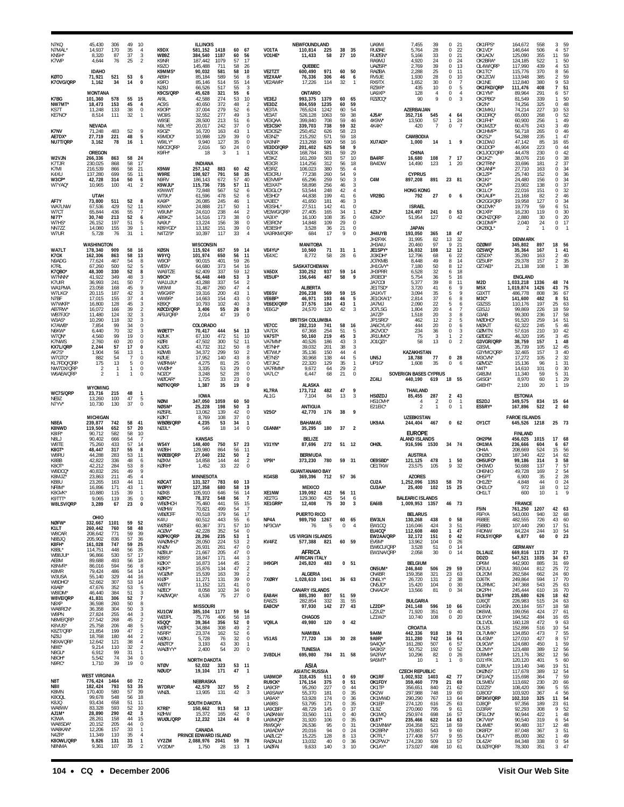| N7KQ<br>N7MAL<br>KN <sub>5</sub> H'<br>K7WP                     | 45.430<br>14,937<br>8.320<br>4,644                     | 306<br>170<br>87<br>76          | 49<br>35<br>37<br>25                   | 10<br>$\overline{4}$<br>3<br>$\overline{2}$                       | K9DX<br>WB9Z<br>K9NR<br>K9ZO                                        | <b>ILLINOIS</b><br>581,152<br>384.540<br>187,442<br>145,488 | 1418<br>1187<br>1079<br>711            | 60<br>60<br>57<br>58             | 67<br>-56<br>17<br>26                                     | VO1TA<br>VO1HE'                                                        | NEWFOUNDLAND<br>110,814<br>11,433<br>QUEBEC                    | 225<br>58                              | 38<br>27                                           | 35<br>10                                            | UA9MI<br><b>RUØAE</b><br><b>RUØSN</b><br>RA9MJ<br><b>UAØSR</b> | 7,455<br>5,764<br>5.166<br>4,920<br>2,769                   | 39<br>28<br>33<br>24<br>39              | $\Omega$<br>0<br>$\Omega$<br>0<br>$\Omega$  | 21<br>22<br>21<br>24<br>13            | OK1FPS*<br>OK1VD*<br>OK1AOV<br>OK2BRA<br>OL4W/QRF                           | 164,672<br>146,644<br>125.090<br>124,185<br>117,990      | 558<br>506<br>355<br>522<br>439       | 59<br>-3<br>57<br>$\overline{4}$<br>59<br>11<br>50<br>53<br>$\overline{4}$                  |
|-----------------------------------------------------------------|--------------------------------------------------------|---------------------------------|----------------------------------------|-------------------------------------------------------------------|---------------------------------------------------------------------|-------------------------------------------------------------|----------------------------------------|----------------------------------|-----------------------------------------------------------|------------------------------------------------------------------------|----------------------------------------------------------------|----------------------------------------|----------------------------------------------------|-----------------------------------------------------|----------------------------------------------------------------|-------------------------------------------------------------|-----------------------------------------|---------------------------------------------|---------------------------------------|-----------------------------------------------------------------------------|----------------------------------------------------------|---------------------------------------|---------------------------------------------------------------------------------------------|
| KØTO<br>K70VG/QRP                                               | <b>IDAHO</b><br>71,921<br>1,162                        | 521<br>34                       | 53<br>14                               | 6<br>$\mathbf{0}$                                                 | K9MMS*<br>AB9H<br>K9FO<br>N <sub>2</sub> BJ                         | 90,032<br>85.184<br>85,146<br>66,526                        | 581<br>589<br>514<br>517               | 58<br>56<br>55<br>55             | 10<br>8<br>14<br>3                                        | VE2TZT<br>VE2XAA'<br>VE2AWR*                                           | 600,490<br>76,336<br>17,226                                    | 971<br>306<br>114                      | 60<br>46<br>32                                     | 50<br>6<br>$\overline{1}$                           | <b>RAØBA</b><br>RV9JE<br>RX9TX<br>RZ9IR'                       | 2,288<br>1,930<br>1,652<br>435                              | 25<br>28<br>30<br>10                    | 0<br>$\Omega$<br>0<br>0                     | 11<br>10<br>$\overline{7}$<br>5       | OK1TC*<br>OK1ZCW<br>OK1NE<br>OK1FKD/QRP                                     | 115,776<br>113,948<br>112,840<br>111,476                 | 370<br>385<br>380<br>408              | 56<br>59<br>53<br>51<br>7                                                                   |
| K7BG<br>NW7MT<br>KS7T<br>KE7NO <sup>®</sup>                     | <b>MONTANA</b><br>101,360<br>18,473<br>11,248<br>8,514 | 578<br>153<br>133<br>111        | 55<br>45<br>38<br>32                   | 15<br>4<br>0<br>$\overline{1}$                                    | K9CS/QRP<br>AI9L<br>AC9S<br>K9OR<br>WO9S                            | 45,628<br>42.588<br>40,650<br>37,004<br>32,552              | 321<br>274<br>372<br>279<br>277        | 55<br>53<br>48<br>52<br>49       | 6<br>10<br>$\overline{2}$<br>6<br>3                       | VE3EJ<br>VE3DZ<br>VE3TA<br>VE3AT                                       | <b>ONTARIO</b><br>993,375<br>804,559<br>765,624<br>526,128     | 1379<br>1235<br>1242<br>1063           | 60<br>60<br>60<br>59                               | 65<br>59<br>54<br>38                                | UA9XF<br>RZØCQ'<br>4J5A*                                       | 128<br>90<br>AZERBAIJAN<br>352,716                          | 4<br>$\mathbf Q$<br>545                 | 0<br>$\Omega$<br>4                          | 4<br>3<br>64                          | OK1YM'<br>OK2PBG'<br>OK2N*<br>OK1MKU<br>OK1DRQ'                             | 89,964<br>81,549<br>74,256<br>74,214<br>65.000           | 291<br>339<br>325<br>227<br>268       | 57<br>6<br>50<br>$\Omega$<br>48<br>10<br>53<br>52                                           |
| K7NV<br>AE7DX*<br>NU7T/QRP                                      | NEVADA<br>71,248<br>27,719<br>3,162                    | 483<br>221<br>78                | 52<br>48<br>16                         | 9<br>${\bf 5}$<br>1                                               | W9SE<br>N9LYE <sup>®</sup><br>K90Z*<br>K9MDO'<br>W9ILY*<br>N9CO/QRP | 28,500<br>20.017<br>16,720<br>10,998<br>9,940<br>2,616      | 213<br>242<br>163<br>129<br>127<br>50  | 51<br>37<br>43<br>39<br>35<br>24 | 6<br>$\bf 0$<br>0<br>0<br>$^{\circ}$                      | VE3QAA<br>VE3CSK'<br>VE3OSZ<br>VE3NZ*<br>VA3NR'<br>VE3DO/QRP           | 399,840<br>339,703<br>250,452<br>215,292<br>213,268<br>201,402 | 708<br>738<br>626<br>571<br>590<br>625 | 59<br>59<br>58<br>59<br>58<br>58                   | 46<br>32<br>23<br>18<br>16<br>9                     | 4K9W'<br>4K4K*<br><b>XU7ADI</b> '                              | 13,500<br>420<br>CAMBODIA<br>1,000                          | 57<br>$\overline{7}$<br>14              | 1<br>$\,0\,$<br>1                           | 24<br>$\overline{7}$<br>- 9           | OK1FHI*<br>OK1MZO <sup>®</sup><br>OK1HMP'<br>OK2SJ*<br>OK1DWJ<br>OK1DOF     | 60,900<br>60.476<br>56,718<br>54,288<br>47,142<br>46,904 | 256<br>243<br>265<br>235<br>85<br>223 | 49<br>49<br>-3<br>46<br>$\Omega$<br>47<br>16<br>65<br>$\Omega$<br>44                        |
| W2VJN<br>K7TJR<br>K7MI<br>K4XU                                  | OREGON<br>266,336<br>230,025<br>216,539<br>137,280     | 863<br>868<br>866<br>699        | 58<br>58<br>58<br>55                   | 24<br>17<br>21<br>11                                              | K9FH*<br>K9NW<br>W9RE                                               | 18<br><b>INDIANA</b><br>257,142<br>198,927                  | 3<br>883<br>791                        | 60<br>58                         | 42<br>35                                                  | VA3DX<br>VE3KZ<br>VE3CR<br>VE3RZ<br>VE3CRU                             | 168,784<br>161,269<br>114,256<br>106,023<br>77,238             | 381<br>503<br>312<br>380<br>260        | 59<br>57<br>56<br>55<br>54                         | 29<br>10<br>18<br>$\overline{4}$<br>9               | <b>BA4RF</b><br>BA4DW                                          | CHINA<br>16,680<br>14,490<br><b>CYPRUS</b>                  | 108<br>123                              | $\overline{7}$<br>$\mathbf{1}$              | 17<br>20                              | OK1JOC/QRF<br>OK1KZ <sup>^</sup><br>OK2TRN<br>OK1ANP <sup>®</sup><br>OK1ZP* | 44,478<br>38,076<br>33,696<br>27,710<br>25,740           | 230<br>216<br>181<br>163<br>152       | 42<br>38<br>$\Omega$<br>37<br>34<br>36                                                      |
| W3CP'<br>W7YAQ'<br>AF7Y<br>WA7LNW                               | 42,728<br>10,965<br>UTAH<br>73,800<br>67,536           | 314<br>100<br>511<br>429        | 50<br>41<br>52<br>52                   | 6<br>$\mathfrak{p}$<br>8<br>11                                    | N9RV<br>K9WJU*<br>K9WWT<br>WT9U*<br>KA9F*<br>K9WX*                  | 186,143<br>115,736<br>72,848<br>61.596<br>26,085<br>24,888  | 672<br>735<br>567<br>478<br>245<br>217 | 57<br>57<br>52<br>52<br>46<br>50 | 40<br>11<br>6<br>6<br>$\mathbf{1}$                        | VE3VMP<br>VE3XAT*<br>VE3GLO <sup>®</sup><br>VE3HG'<br>VA3EC*<br>VE3SHL | 65,296<br>58,898<br>53,544<br>44,838<br>41,650<br>27,511       | 259<br>256<br>248<br>199<br>181<br>142 | 50<br>46<br>42<br>41<br>46<br>41                   | 3<br>3<br>$\overline{4}$<br>6<br>3<br>$\mathbb O$   | C <sub>4</sub> M<br>VR2BG                                      | 897,208<br><b>HONG KONG</b><br>792<br><b>ISRAEL</b>         | 891<br>27                               | 23 81<br>$\mathbf{0}$                       | -6                                    | OK1KI*<br>OK2VP*<br>OK1LO*<br>OK1AUP*<br>OK2GG/QRF<br>OK1DVK'               | 24,480<br>23,902<br>22,016<br>21.168<br>19,958<br>19,779 | 156<br>138<br>151<br>82<br>127<br>59  | 34<br>$\Omega$<br>37<br>$\Omega$<br>32<br>$\Omega$<br>46<br>2<br>34<br>0<br>51<br>6         |
| W7CT<br>NI7T <sup>®</sup><br>W7HS <sup>®</sup><br>NN7ZZ<br>W7UR | 65,844<br>30.740<br>26,152<br>14,080<br>5,728          | 436<br>213<br>197<br>155<br>76  | 55<br>52<br>51<br>39<br>31             | $\overline{7}$<br>6<br>5<br>$\mathbf{1}$                          | W9UM <sup>®</sup><br>AB9KZ*<br>NA9U*<br>KB9YGD<br>N4TZ/9'           | 24,610<br>14,516<br>13,224<br>13,182<br>10,397              | 238<br>173<br>156<br>151<br>117        | 44<br>38<br>38<br>39<br>33       | $\overline{2}$<br>$\mathbf 0$<br>0<br>0<br>$\overline{4}$ | VE3WG/QRP<br>VA3IX*<br>VE3RCN'<br>VE3ESH'<br>VA3RKM/QRP                | 27,405<br>16.100<br>14,848<br>3,528<br>684                     | 165<br>108<br>109<br>36<br>17          | 34<br>35<br>29<br>21<br>9                          | $\mathbf{0}$<br>0<br>$\mathbf 0$<br>$\Omega$        | 4Z5J*<br>4Z4KX*<br>JH4UYB                                      | 124,497<br>51,954<br><b>JAPAN</b><br>193,050                | 241<br>127<br>365                       | 0<br>$\Omega$<br>18                         | 53<br>42<br>47                        | OK1XR*<br>OK2HZ/QRP<br>OK1DMP*<br>OK2BOL*                                   | 16,230<br>2.880<br>2,040<br>-2                           | 119<br>30<br>24<br>$\mathbf{1}$       | 30<br>$\Omega$<br>20<br>$\Omega$<br>0<br>17<br>$\Omega$                                     |
| WA7LT                                                           | <b>WASHINGTON</b><br>178,340                           | 909                             | 58                                     | 16                                                                | <b>KØSN</b>                                                         | <b>WISCONSIN</b><br>115,924                                 | 657                                    | 59                               | 14                                                        | VE4YU*                                                                 | MANITOBA<br>10,560                                             | 71                                     | 31                                                 | -1                                                  | JH2FXK<br>JH3AIU<br>JE1SPY                                     | 31.995<br>20,460<br>16,032                                  | 82<br>97<br>108                         | 13<br>9<br>12                               | 32<br>21<br>12                        | <b>OZØMF</b><br>OZ5WQ                                                       | <b>DENMARK</b><br>345,802<br>35,364                      | 897<br>167                            | 56<br>18<br>41<br>1                                                                         |
| K7OX<br>N9ADG<br>K7RL<br>K7QBO'<br>W7NNN                        | 162,306<br>77.624<br>67,260<br>48,300<br>41.922        | 863<br>467<br>500<br>330<br>349 | 58<br>54<br>52<br>52<br>48             | 13<br>8<br>5<br>8<br>3                                            | W9YQ<br>W9OP<br>WE9V<br>WA9TZE<br>N9CK*                             | 101,974<br>90.015<br>64,680<br>62,409<br>56,448             | 650<br>401<br>373<br>337<br>449        | 56<br>59<br>54<br>59<br>53       | 11<br>26<br>16<br>12<br>3                                 | VE4XC<br>VA5DX<br>VE5UF                                                | 8,772<br><b>SASKATCHEWAN</b><br>330,252<br>156,646             | 58<br>937<br>487                       | 28<br>59<br>58                                     | 6<br>14<br>9                                        | JI3KDH<br>JO7KMB<br>JH1GVY<br>JH3PRR<br>JR3E01                 | 12,796<br>8.448<br>7,180<br>6,528<br>5,754                  | 68<br>49<br>50<br>32<br>36              | 6<br>8<br>8<br>6<br>5                       | 22<br>14<br>12<br>18<br>16            | OZ5DX<br>OZ5UR'<br>OZ7AEI <sup>®</sup>                                      | 35,280<br>29.378<br>21,138<br><b>ENGLAND</b>             | 163<br>157<br>108                     | 40<br>$\overline{2}$<br>35<br>2<br>38                                                       |
| K7UIR<br>WA1PMA<br>W7LKG'<br>N7 <sub>BF</sub>                   | 36,993<br>23,058<br>20,115<br>17,015                   | 241<br>168<br>187<br>155        | 50<br>45<br>42<br>37                   | $\overline{7}$<br>9<br>3<br>$\overline{4}$                        | WA1UJU<br>WI9WI<br>W9GXR*<br>WW9R'                                  | 43,288<br>31,467<br>19,316<br>14,663                        | 337<br>260<br>200<br>154               | 54<br>47<br>43<br>43             | $\overline{2}$<br>$\overline{4}$<br>$\mathbf{1}$<br>0     | VE6SV<br>VE6BF*                                                        | <b>ALBERTA</b><br>206,238<br>46,971                            | 569<br>193                             | 59<br>46                                           | 15<br>5                                             | JA7COI<br>JF1TSD<br>JA1KVT<br>JE1CKA/1                         | 5,377<br>3,720<br>3,094<br>2.814                            | 39<br>41<br>35<br>37                    | 8<br>6<br>5<br>6                            | 11<br>9<br>9<br>$^{\rm 8}$            | M2D<br>M <sub>5</sub> X<br>G3XTT<br>M3C <sup>®</sup>                        | 1,033,218<br>1,019,874<br>486,778<br>141.600             | 1336<br>1426<br>808<br>482            | 48<br>-74<br>75<br>43<br>36<br>67<br>51<br>8                                                |
| W7WKR'<br>AB7RW'<br>WB7FJG'<br>W3AS'<br>K7AWB                   | 16,800<br>16,072<br>11,480<br>10,290<br>7,854          | 128<br>166<br>124<br>118<br>99  | 45<br>39<br>32<br>32<br>34             | 3<br>$\overline{2}$<br>3<br>3<br>$\mathbf 0$                      | KB9Q*<br><b>KØCD/QRP</b><br>AF9J/QRP                                | 10,793<br>3,406<br>2,014<br>COLORADO                        | 102<br>55<br>47                        | 40<br>26<br>19                   | 3<br>0<br>$\Omega$                                        | VE6EX/QRP<br>VE6GJ'<br>VE7CC                                           | 37,576<br>24,570<br><b>BRITISH COLUMBIA</b><br>282,310         | 184<br>120<br>741                      | 43<br>42<br>58                                     | $\mathbf{1}$<br>3<br>16                             | JA7MJ<br>JO7LSG<br>JA7ZP<br>JP1SRG'<br>JA6CYL/6                | 2,090<br>1.804<br>1,518<br>462<br>444                       | 22<br>20<br>20<br>12<br>20              | 5<br>4<br>3<br>2<br>$\,0\,$                 | 6<br>7<br>8<br>5<br>6                 | G3ZSS<br>G3SJJ<br>G3AB<br>MØDHO*<br><b>MØAJT</b>                            | 110,176<br>99.869<br>99,300<br>91,520<br>62,322          | 197<br>226<br>236<br>259<br>245       | 25<br>63<br>59<br>18<br>58<br>17<br>51<br>14<br>46<br>5                                     |
| N6KW'<br>W7QN*<br>K7NWS<br>KX7L/QRF<br>AK7S*                    | 6,440<br>4,560<br>2,760<br>2,244<br>1,904              | 70<br>99<br>60<br>57<br>56      | 32<br>19<br>20<br>17<br>13             | 3<br>$\mathbf 0$<br>$\mathbf 0$<br>$\bf{0}$                       | WØETT*<br>KØUK<br><b>KØRI</b><br>KJØG<br><b>KØWB</b>                | 70,417<br>67,100<br>47,502<br>43,732<br>34,372              | 444<br>472<br>300<br>312<br>299        | 54<br>51<br>52<br>50<br>50       | 13<br>10<br>11<br>8<br>$\overline{2}$                     | VA7DX<br>VA7ST <sup>*</sup><br>VA7MM'<br>VE7NH'<br>VE7WU*              | 67,368<br>50,160<br>40,526<br>39,032<br>35,136                 | 254<br>219<br>186<br>201<br>150        | 51<br>45<br>43<br>38<br>44                         | 5<br>3<br>3<br>3<br>$\overline{4}$                  | JK2VOC'<br>JR1UMO*<br>JO1QZI'                                  | 234<br>75<br>58<br>KAZAKHSTAN                               | 36<br>3<br>13                           | 0<br>$\mathbf{1}$<br>$\Omega$               | 3<br>$\overline{2}$<br>$\overline{2}$ | GØMTN<br>GØDEZ'<br>G3VGR/QRP<br>G3SVL<br>G3YMC/QRP                          | 57,616<br>46,320<br>38,759<br>35,739<br>32,465           | 210<br>195<br>157<br>105<br>157       | 10<br>42<br>45<br>3<br>48<br>$\mathbf{1}$<br>12<br>45<br>40                                 |
| W7GTO<br>KL7FDQ/QRP<br>NW7DX/QRP<br>W6AEA/QRP                   | 882<br>175<br>-2<br>$\mathfrak{p}$                     | 54<br>13                        | 7<br>5<br>$\mathbf{1}$<br>$\mathbf{1}$ | $\mathbf 0$<br>$\mathbf 0$<br>$\mathbf 0$<br>$\Omega$             | KØUF<br>WØRMA*<br>WVØH*<br>NO <sub>2</sub> D*<br>WØCAR*             | 17.952<br>4,275<br>3,335<br>3,248<br>1.725                  | 140<br>81<br>53<br>52<br>33            | 43<br>25<br>29<br>28<br>23       | 8<br>$\mathbf 0$<br>$\bf 0$<br>0<br>0                     | VE7NS*<br>VE7JKZ<br>VA7RMM<br>VA7LC'                                   | 30,968<br>22,320<br>9,672<br>6,447                             | 138<br>129<br>64<br>68                 | 44<br>35<br>29<br>21                               | 5<br>$\mathbf{1}$<br>$\overline{2}$<br>$\mathbf{0}$ | UN <sub>5</sub> J<br>UP1G*<br>ZC4LI                            | 18,788<br>1,608<br>SOVERIGN BASES CYPRUS<br>440.190         | 77<br>35<br>619                         | $\mathbf{0}$<br>0<br>18 55                  | 28<br>6                               | M3CVN<br>GØVDZ'<br>M4T <sup>*</sup><br>G4BJM<br>G4SGI*                      | 17.272<br>15,136<br>14,610<br>11,340<br>8.970            | 105<br>96<br>101<br>59<br>60          | $\mathcal{P}$<br>32<br>31<br>30<br>$\Omega$<br>5<br>31<br>29<br>$\mathbf{1}$                |
| WC7S/QRP                                                        | <b>WYOMING</b><br>23,716                               | 215                             | 48                                     | $\mathbf{1}$                                                      | NØTK/QRP                                                            | 1,387<br><b>IOWA</b>                                        | 35                                     | 19                               | $\Omega$                                                  | <b>KL7RA</b><br>AL1G                                                   | ALASKA<br>173,712<br>7,104                                     | 482<br>84                              | 47<br>13                                           | 9<br>3                                              | <b>HSØZDJ</b>                                                  | THAILAND<br>85,455                                          | 287                                     | 2                                           | 43                                    | G4EHT*                                                                      | 2,100<br><b>ESTONIA</b>                                  | 20                                    | 1 <sup>5</sup>                                                                              |
| NE9Z<br>N7YV*                                                   | 13.260<br>10,730                                       | 100<br>130                      | 47<br>37                               | 5<br>$\bf 0$                                                      | <b>NØNI</b><br>NØSM*<br>KØSRL                                       | 347,050<br>25,228<br>13,062                                 | 1059<br>198<br>139                     | 60<br>50<br>42                   | 50<br>3<br>$\mathbf 0$                                    | V25G'                                                                  | <b>ANTIGUA</b><br>42.770                                       | 176                                    | 38                                                 | 9                                                   | HS10VH<br>E21EIC*                                              | 2                                                           | 2<br>$\mathbf{1}$                       | 0<br>0                                      | $\mathbf{1}$<br>$\overline{1}$        | ES2DJ<br>ES5RY*                                                             | 349,575<br>167,896                                       | 834<br>522                            | 15<br>- 64<br>$\overline{2}$<br>60                                                          |
| N8EA<br>K8NWD                                                   | <b>MICHIGAN</b><br>239,877<br>119,504                  | 742<br>652                      | 58<br>57                               | 41<br>20                                                          | KØKT<br>WBØB/QRP<br>NØ JI                                           | 8,769<br>4,235<br>546                                       | 108<br>53<br>18                        | 37<br>34<br>14                   | 0<br>$\mathbf{1}$<br>$\Omega$                             | C6ANM*                                                                 | <b>BAHAMAS</b><br>35,295                                       | 180                                    | 37                                                 | $\overline{2}$                                      | UK9AA                                                          | <b>UZEBKISTAN</b><br>244,404                                | 467                                     |                                             | 0 <sub>62</sub>                       | OY1CT                                                                       | <b>FAROE ISLANDS</b><br>645,526                          | 1218                                  | 25 73                                                                                       |
| K8IR*<br>N81 J<br>W8TE<br>K8GT <sup>®</sup>                     | 90,712<br>90,402<br>75,260<br>48.447                   | 582<br>666<br>433<br>317        | 58<br>54<br>57<br>55                   | 10<br>$\overline{7}$<br>14<br>8                                   | WS4Y<br><b>WØBH</b>                                                 | <b>KANSAS</b><br>148,400<br>129.980                         | 750<br>864                             | 57<br>56                         | 23<br>11                                                  | V31YN*                                                                 | <b>BELIZE</b><br>87,696                                        | 272                                    | 51 12                                              |                                                     | OHØL                                                           | <b>EUROPE</b><br>ALAND ISLANDS<br>916,596 1530              |                                         | 34 74                                       |                                       | OH2PM<br>OH1MA<br>OH4A                                                      | <b>FINLAND</b><br>456,025<br>236,666<br>208,669          | 1015<br>604<br>524                    | 17<br>68<br>67<br>6<br>15<br>56                                                             |
| W8RU<br>K8BB<br>K8OT'<br>W8DCQ<br>K8MJZ'                        | 44,288<br>42,822<br>42,212<br>40,832<br>23,863         | 283<br>336<br>284<br>291<br>211 | 53<br>48<br>53<br>49<br>45             | 11<br>6<br>8<br>9<br>$\overline{4}$                               | <b>WØEB/QRP</b><br><b>NØXM</b><br><b>KØRH</b>                       | 27,040<br>14.858<br>1,452<br>MINNESOTA                      | 232<br>144<br>33                       | 50<br>44<br>22                   | $\frac{2}{2}$<br>$\mathbf 0$                              | VP9I*<br>KG4SB                                                         | <b>BERMUDA</b><br>373,230<br><b>GUANTANAMO BAY</b><br>369,396  | 780<br>712                             | 59 31<br>57                                        | - 36                                                | OE9SBD*<br>OE1TKW                                              | <b>AUSTRIA</b><br>121,125<br>23.575<br><b>AZORES</b>        | 478<br>105                              | 1<br>9                                      | 50<br>32                              | OH <sub>2</sub> BO<br>OH5UFO*<br>OH3WD<br>OH6NIO<br>OH5PT                   | 187,340<br>99,186<br>50,688<br>49,728<br>6,900           | 422<br>314<br>137<br>169<br>35        | 14<br>62<br>58<br>3<br>$\overline{7}$<br>57<br>$\overline{2}$<br>54<br>$\overline{2}$<br>28 |
| KB8U<br>NF8M <sup>®</sup><br>K8GVK <sup>1</sup>                 | 23.265<br>16,896<br>10,880                             | 163<br>171<br>115               | 44<br>43<br>39                         | 11                                                                | <b>KØCAT</b><br><b>WØPIY</b><br><b>NØXB</b>                         | 131,327<br>127,358<br>105,910                               | 783<br>680<br>646                      | 60<br>58<br>56                   | 13<br>19<br>14                                            | XF1NW                                                                  | MEXICO<br>139.092                                              | 412                                    | 56 11                                              |                                                     | CU <sub>2</sub> A<br>CU3AA*                                    | 1,252,096<br>25,400                                         | 1353<br>102                             | 58<br>15                                    | - 70<br>25                            | OH1ZE*<br>OH2LO <sup>®</sup><br>OH1LT                                       | 4,848<br>972<br>600                                      | 44<br>18<br>10                        | 24<br>$\Omega$<br>$\Omega$<br>12                                                            |
| K9TTT*<br>W8LSV/QRP                                             | 9,065<br>3,289<br>OHIO                                 | 119<br>67                       | 35<br>23                               | 0<br>0                                                            | KØRC*<br>WBØHCH<br>WØHW<br><b>WBØCFF</b>                            | 78,372<br>75,460<br>70,821<br>70,518                        | 548<br>441<br>499<br>379               | 56<br>55<br>54<br>56             | 15<br>$\overline{7}$<br>17                                | XF <sub>2</sub> T <sub>G</sub><br>XE1GRR*                              | 129.360<br>12,408<br>PUERTO RICO                               | 425<br>75                              | 54<br>$30\,$                                       | -6<br>3                                             | EA6IB                                                          | <b>BALEARIC ISLANDS</b><br>1,009,953 1357<br><b>BELARUS</b> |                                         | 46 73                                       |                                       | F5IN<br>F6FYA                                                               | <b>FRANCE</b><br>761,250<br>543,000                      | 1207<br>940                           | 42 63<br>32<br>68                                                                           |
| NØFW*<br>K1LT<br>W8CAR<br>N8BJQ                                 | 332,667<br>260,442<br>208,642<br>205,902               | 1101<br>760<br>771<br>836       | 59<br>58<br>59<br>57                   | 52<br>48<br>39<br>36                                              | K4IU<br>WØSEI*<br>ACØW*<br><b>KØPK/QRP</b><br>WAØMHJ*               | 60,512<br>60,367<br>42,228<br>28,296<br>28,050              | 443<br>371<br>352<br>235<br>224        | 55<br>57<br>54<br>53<br>53       | 6<br>10<br>$\,0\,$<br>$\mathbf{1}$<br>$\overline{2}$      | NP4A<br>NP3CW*<br>KV4FZ                                                | 989,750 1267<br>76<br><b>US VIRGIN ISLANDS</b><br>577,388      | -5<br>821                              | 60 65<br>$\bf{0}$<br>60 59                         | $\overline{4}$                                      | EW3LN<br>EW1CQ<br>EU4CQ*<br>EW2AA/QRP<br>EV6M*                 | 130,268<br>116,046<br>112,608<br>32,172<br>13,962           | 438<br>424<br>460<br>151<br>104         | $\mathbf{0}$<br>3<br>$\mathbf{1}$<br>0<br>0 | 58<br>51<br>47<br>42<br>26            | F6BEE<br>F5BBD<br>F4DNW<br>F/OL5Y/QRP                                       | 482,555<br>107,440<br>84,224<br>6,877                    | 726<br>290<br>244<br>60               | 43<br>60<br>17 51<br>54<br>10 <sup>10</sup><br>23<br>0                                      |
| K8FH*<br>K8BL*<br>WB8 JUL<br>AE8M                               | 161,028<br>114,751<br>96,866<br>89,688                 | 747<br>448<br>530<br>493        | 59<br>56<br>57<br>56                   | 25<br>35<br>17<br>18                                              | KNØV<br>NØBUI <sup>*</sup><br>KB9S*<br>KØKX*                        | 26,931<br>21,667<br>18,847<br>16,873                        | 261<br>205<br>171<br>144               | 47<br>47<br>44<br>45             | $\mathbf 0$<br>$\mathbf 0$<br>3<br>$\overline{a}$         | IH9GPI                                                                 | AFRICA<br><b>AFRICAN ITALY</b><br>245,820                      | 483                                    | 0 <sub>51</sub>                                    |                                                     | EW6CU/QRP<br>EW1NA/QRP                                         | 3,528<br>2,058<br><b>BELGIUM</b>                            | 51<br>30                                | 0<br>$\mathbf 0$                            | 14<br>14                              | DL1AUZ<br>DD <sub>2</sub> D<br>DP6M                                         | <b>GERMANY</b><br>669,816 1173<br>547,521<br>442,900     | 1035<br>885                           | 37<br>- 71<br>34<br>67<br>69<br>31                                                          |
| K8NVR*<br>K8MR<br>W3USA<br>W8DHG                                | 86,016<br>79,424<br>55,140<br>52,662                   | 594<br>486<br>329<br>307        | 56<br>54<br>44<br>53                   | 8<br>14<br>16<br>14                                               | KØKP*<br>WGØM <sup>*</sup><br>KIØF*<br>WØTY                         | 15,876<br>15,539<br>11,271<br>11,152                        | 134<br>163<br>131<br>121               | 47<br>39<br>39<br>41             | $\overline{2}$<br>$\overline{2}$<br>$\bf 0$<br>0          | 7XØRY                                                                  | <b>ALGERIA</b><br>1,028,610 1041                               |                                        | 36 63                                              |                                                     | ON5UM*<br>ON4BR<br>ON6LY*<br>ON5JD*                            | 246,840<br>159,358<br>26,720<br>15,420                      | 506<br>321<br>131<br>104                | 29<br>23<br>$\overline{2}$<br>0             | 59<br>63<br>38<br>30                  | DF2UU<br>DL20M<br>DJ6TK<br>DL2RMC                                           | 393,044<br>262,584<br>249,864<br>247,368                 | 812<br>662<br>594<br>543              | 25<br>72<br>60<br>24<br>17<br>70<br>63<br>25                                                |
| K8AB*<br>W8IDM*<br>W8VE/QRP<br>N8XP                             | 47,676<br>46,440<br>41,831<br>36,598                   | 352<br>384<br>306<br>260        | 53<br>51<br>52<br>50                   | 5<br>3<br>$\overline{7}$<br>8                                     | NØEO*<br>KAØWQA*                                                    | 8,058<br>4,536                                              | 102<br>75                              | 34<br>27                         | $\mathbf 0$<br>$\mathbf 0$                                | EA8AH<br>EA8ZS                                                         | <b>CANARY ISLANDS</b><br>885,390<br>282,854                    | 807<br>332                             | 51 59<br>31                                        | 55                                                  | ON4ACA*                                                        | 13,566<br><b>BULGARIA</b>                                   | 81                                      | 0                                           | 34                                    | DK2PH<br>DL5YM*<br>DJ6QT                                                    | 245,444<br>235,680<br>226,983                            | 610<br>626<br>515                     | 70<br>16<br>62<br>18<br>63<br>24                                                            |
| WA8RCN'<br>W8PN<br>N8ME/QRP                                     | 36,358<br>27,824<br>27,542                             | 304<br>255<br>268               | 50<br>44<br>45                         | 3<br>$\mathbf{3}$<br>2                                            | KU1CW<br>WØJPL                                                      | <b>MISSOURI</b><br>385,104<br>75,776                        | 1177<br>406                            | 59<br>56                         | 54<br>18                                                  | EA8CN*                                                                 | 97,930<br>CHAGOS                                               | 142                                    | 27                                                 | 43                                                  | LZ2DF*<br>LZ2UZ*<br>LZ1WJ*                                     | 241,148<br>71,920<br>10,740                                 | 596<br>351<br>108                       | 10<br>0<br>0                                | 66<br>40<br>20                        | DJ4SN<br><b>DK6WL</b><br>DL9YX*                                             | 200,184<br>199,056<br>194,562                            | 557<br>424<br>484                     | 58<br>18<br>27<br>61<br>16<br>65                                                            |
| K8VUS*<br>K8ZT/QRP<br>NZ8J                                      | 25,758<br>21,854<br>18,768                             | 206<br>199<br>180               | 48<br>47<br>44                         | 5<br>$\overline{2}$<br>$\overline{2}$                             | K5QQ*<br>WØPC*<br>N5RR*<br>WØKU                                     | 39,364<br>34,884<br>23,374<br>5,728                         | 356<br>308<br>162<br>76                | 52<br>49<br>52<br>32             | $\mathbf 0$<br>$\overline{2}$<br>6<br>0                   | VQ9LA                                                                  | 49,980<br>NAMIBIA                                              | 120                                    | $0$ 42                                             |                                                     | <b>9A4M</b>                                                    | CROATIA<br>442,336                                          | 918                                     | 19                                          | 73                                    | DL1VDL<br>DL5JS<br>DL7UMK                                                   | 160,128<br>152,896<br>134,850<br>127,010                 | 472<br>516<br>473                     | 63<br>9<br>10<br>54<br>55<br>-7<br>57                                                       |
| N8XA/QRP<br>N8IF*<br>N8GU <sup>*</sup><br>N8OH*                 | 12,642<br>9,214<br>6,912<br>5,542                      | 121<br>110<br>99<br>74          | 38<br>32<br>31<br>-34                  | $\overline{4}$<br>$\overline{2}$<br>$\mathbf{1}$<br>$\,0\,$       | ABØTO*<br>WAØIYY*                                                   | 3,193<br>2,400<br><b>NORTH DAKOTA</b>                       | 43<br>54                               | 30<br>20                         | $\mathbf{1}$<br>0                                         | <b>V51AS</b><br>3V8DLH                                                 | 77,720<br><b>TUNESIA</b><br>695,980                            | 136<br>784                             | 30 28<br>31 58                                     |                                                     | 9A9R*<br>9A4QV*<br>9A3KS*<br>9A2FW*<br>9A5MT*                  | 311,280<br>161,280<br>50,752<br>10,296<br>10                | 742<br>507<br>192<br>82<br>$\mathbf{1}$ | 16<br>6<br>0<br>0<br>$\mathbf{1}$           | 64<br>57<br>52<br>26<br>$\mathbf 0$   | DL4SM*<br>DL9CW*<br>DL2MY*<br>DJ9MH*<br>DJ1YFK                              | 124,680<br>123,488<br>121,176<br>120,120                 | 427<br>450<br>389<br>382<br>401       | 8<br>59<br>-1<br>56<br>12<br>56<br>12<br>60<br>5                                            |
| N9RC*                                                           | 1,710<br><b>WEST VIRGINIA</b>                          | 39                              | 19                                     | $\bf 0$                                                           | <b>NTØV</b><br>NØUD*                                                | 52,032<br>19,104                                            | 323<br>171                             | 53 11<br>47                      | $\overline{1}$                                            |                                                                        | ASIA<br><b>ASIATIC RUSSIA</b>                                  |                                        |                                                    |                                                     |                                                                | <b>CZECH REPUBLIC</b>                                       |                                         |                                             |                                       | DJ8UV*<br>DKØNS'                                                            | 119,140<br>117,678                                       | 346<br>389                            | 51<br>19<br>12<br>54                                                                        |
| N8T<br><b>N8II</b><br>K8MN<br>K800L                             | 776,424<br>182,424<br>170,400<br>99,678                | 1464<br>793<br>580<br>548       | 60<br>53<br>57<br>56                   | 72<br>35<br>39<br>18                                              | W7DRA*<br>WNØL                                                      | NEBRASKA<br>42,579<br>13,905                                | 327<br>131                             | 55<br>42                         | $\overline{\mathbf{2}}$<br>3                              | UA9MDP<br>RU9CK*<br>UA9CR*<br>UA9SAW*<br>UA9AX*                        | 318,435<br>176,154<br>95,260<br>55,370<br>53,928               | 511<br>375<br>227<br>181<br>174        | $\mathbf{0}$<br>$\Omega$<br>0<br>$\mathbf{0}$<br>0 | 69<br>51<br>44<br>35<br>36                          | OK1RF<br>OK1FDY<br>OK1TP<br>OK2W<br>OK1MWD                     | 1,002,932<br>359,460<br>356,651<br>297,988<br>290,290       | 1403<br>779<br>840<br>748<br>767        | 42<br>21<br>21<br>19<br>13                  | 77<br>69<br>62<br>60<br>64            | DF1IAQ'<br>DL5MEV<br>DJ2ZS*<br>DJ80G*<br>DF3KV/QRP                          | 115,698<br>113,692<br>108,420<br>103,920<br>102,310      | 364<br>230<br>396<br>367<br>325       | 59<br>$\overline{7}$<br>20<br>66<br>55<br>5<br>56<br>$\overline{4}$<br>54<br>11             |
| K8JQ<br>WA8WV<br>AJ1M*<br>K3WA                                  | 93,434<br>83,328<br>28,890<br>28,261                   | 658<br>593<br>290<br>158        | 51<br>52<br>42<br>44                   | 11<br>10<br>3<br>15                                               | K7RE*<br><b>KØHW</b><br>WUØL/QRP                                    | <b>SOUTH DAKOTA</b><br>150,662<br>15,372<br>12,232          | 913<br>165<br>124                      | 58<br>42<br>44                   | 13<br>$\mathbf 0$<br>0                                    | UA9BS<br>UA9CBR'<br><b>UAØANW</b><br>UA9MQR                            | 53,795<br>48,729<br>33,560<br>31,920                           | 171<br>145<br>111<br>106               | $\Omega$<br>0, 37<br>$0$ 40<br>0                   | 35<br>35                                            | OK1EP<br>OL9Z<br>OK1MQ<br>OL6T*                                | 274,120<br>270,060<br>250,974<br>235,466                    | 616<br>795<br>698<br>622                | 25<br>9<br>16<br>14                         | 63<br>61<br>57<br>63                  | DJ8QP<br>DJ3RA*<br>DF1LON'<br>DK7VW'                                        | 97,356<br>92,293<br>90,944<br>90,540                     | 189<br>308<br>422<br>319              | 23<br>61<br>9<br>52<br>48<br>$\mathbf{1}$<br>54<br>6                                        |
| WA8SDA'<br>WA8KAN'<br>N4ZR*<br>K80WL/QRP<br>N8NMA               | 20,152<br>12,206<br>11,349<br>9,826<br>9,361           | 205<br>157<br>110<br>131<br>107 | 44<br>33<br>35<br>33<br>35             | $\bf 0$<br>-1<br>$\overline{4}$<br>$\mathbf{1}$<br>$\overline{2}$ | VY2ZM<br>VY2DM*                                                     | CANADA<br>PRINCE EDWARD ISLAND<br>2,088,976 2041<br>1,750   | 28                                     | 59<br>13                         | 78<br>$\overline{1}$                                      | RW90A*<br>UA9ADW*<br>UAØLCZ*<br>RAØALM<br><b>UAØFAI</b>                | 26,536<br>20,016<br>15,225<br>13,032<br>9,633                  | 95<br>94<br>128<br>40<br>140           | $\Omega$<br>$0 \t24$<br>8<br>$\mathbf 0$<br>3      | 31<br>13<br>36<br>10                                | OK1MNW<br>OK2BFN*<br>OK7FL*<br>OK2PWJ*<br>OK1AY*               | 204,358<br>179,883<br>177,408<br>174,230<br>173,027         | 521<br>543<br>577<br>509<br>498         | 18<br>9<br>9<br>13<br>10                    | 59<br>60<br>55<br>57<br>61            | DL4ME*<br>DK8FD*<br>DL4JYT*<br>DL4ZA*<br>DL9ZP/QRP                          | 90,480<br>87,048<br>85,000<br>84,348<br>78,300           | 317<br>367<br>382<br>338<br>351       | 48<br>12<br>3<br>51<br>49<br>$\mathbf{1}$<br>$\mathbb O$<br>54<br>47<br>3                   |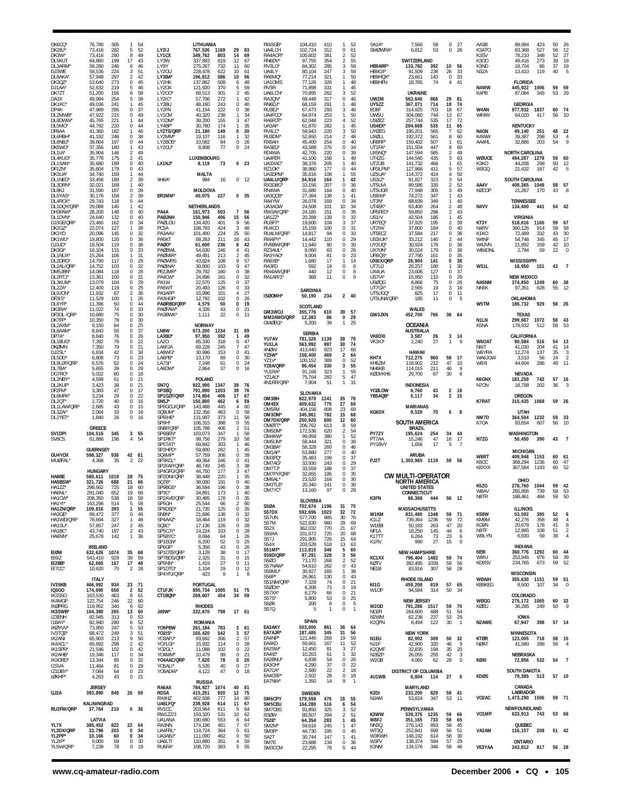| DK6CQ*<br>DK2BJ*<br>DK3W*<br>DL5KUT<br>DL3ARM<br>DJ3WE                        | 76,780<br>73,416<br>73,416<br>64,860<br>59,280<br>58,536                     | 305<br>282<br>290<br>199<br>246<br>224               | 54<br>$\mathbf{1}$<br>52<br>5<br>49<br>8<br>17<br>43<br>46<br>6<br>51<br>3                                                            | LY2IJ<br>LY1CX<br>LY3W<br>LY9Y<br>LY20U                                                    | LITHUANIA<br>767,536 1169<br>349,762<br>803<br>337.883<br>819<br>275,267<br>732<br>228,478<br>622                                        | 29<br>83<br>14<br>69<br>12<br>67<br>11<br>60<br>10<br>61                                                                      | RW3GB*<br>UA4LCH<br>RA4AOR<br>RN6DV'<br>RV3LO <sup>®</sup><br>UA4LY                             | 104,410<br>410<br>102,724<br>312<br>100,602<br>381<br>97.755<br>354<br>84.302<br>285<br>80,104<br>247                          | $\overline{2}$<br>2<br>3                     | 52<br>0<br>61<br>52<br>55<br>3<br>58<br>59                                  | SA <sub>1</sub> A <sup>*</sup><br><b>SMØWRA</b><br>HB9ARF*<br>HB9CIP      | 7,560<br>59<br>6,812<br>53<br>SWITZERLAND<br>133,782<br>392<br>91,509<br>236                                                         | $\Omega$<br>$^{\circ}$<br>10<br>26                                 | - 27<br>-26<br>56<br>33                      | AA3B<br>K3ATO<br>K3SV<br>K300<br>K3ND<br>N3ZA                | 89,984<br>423<br>527<br>83,368<br>78,210<br>348<br>273<br>49.416<br>18,704<br>86<br>13,410<br>119                      | 50<br>56<br>52<br>39<br>37<br>40 | 26<br>12<br>27<br>19<br>19                                   |
|-------------------------------------------------------------------------------|------------------------------------------------------------------------------|------------------------------------------------------|---------------------------------------------------------------------------------------------------------------------------------------|--------------------------------------------------------------------------------------------|------------------------------------------------------------------------------------------------------------------------------------------|-------------------------------------------------------------------------------------------------------------------------------|-------------------------------------------------------------------------------------------------|--------------------------------------------------------------------------------------------------------------------------------|----------------------------------------------|-----------------------------------------------------------------------------|---------------------------------------------------------------------------|--------------------------------------------------------------------------------------------------------------------------------------|--------------------------------------------------------------------|----------------------------------------------|--------------------------------------------------------------|------------------------------------------------------------------------------------------------------------------------|----------------------------------|--------------------------------------------------------------|
| DL8AKA<br>DK3QZ*<br>DJ1AA<br>DK7ZT                                            | 57,948<br>53,640<br>52,632<br>51,200                                         | 297<br>273<br>219<br>156                             | 42<br>2<br>0<br>45<br>46<br>5<br>58<br>6                                                                                              | LY3BA'<br>LY2HK<br>LY20X<br>LY200                                                          | 196,812<br>586<br>137,862<br>508<br>121.920<br>370<br>69,513<br>301                                                                      | 56<br>10<br>48<br>6<br>59<br>5<br>45<br>2                                                                                     | RA6MQ'<br>UA10MS<br>RV3FI<br>UA6LCN'                                                            | 321<br>77,214<br>77,126<br>326<br>71,898<br>331<br>70,895<br>262                                                               | 3                                            | 50<br>48<br>45<br>52                                                        | HB9HQX*<br>HB9HFN                                                         | 143<br>23.661<br>18,765<br>74<br><b>UKRAINE</b>                                                                                      | 0<br>4                                                             | 33<br>41                                     | N4WW<br>K4PB                                                 | <b>FLORIDA</b><br>445,922 1006<br>87,084<br>345                                                                        | 59<br>53                         | 59<br>29                                                     |
| DA3X<br>DK1KC<br>DP4K<br>DL2MWB                                               | 49.984<br>49,036<br>47,989<br>47,922                                         | 254<br>241<br>295<br>215                             | 39<br>5<br>45<br>1<br>0<br>37<br>0<br>49                                                                                              | 1 Y2IC<br>LY3BU<br>LY2FN<br>LY1CM                                                          | 57.706<br>272<br>48,160<br>243<br>41,154<br>222<br>40,320<br>238                                                                         | 42<br>-1<br>0<br>40<br>38<br>$\Omega$<br>34<br>1                                                                              | RA30N<br>RN6DJ'<br>RU3EJ*<br>UA4FCO*                                                            | 68,448<br>317<br>68,159<br>291<br>67,473<br>293<br>64,974<br>253                                                               |                                              | 0<br>46<br>48<br>3<br>46<br>50                                              | UW2M<br>UY5ZZ<br>EO6F<br>UW5U                                             | 563,640<br>866<br>367,071<br>714<br>703<br>314,925<br>304,080<br>744                                                                 | 29<br>19<br>18<br>13                                               | 81<br>74<br>67<br>67                         | W4AN<br>WF4W                                                 | <b>GEORGIA</b><br>977,932<br>1837<br>64,020<br>417                                                                     | 60<br>56                         | 74<br>10                                                     |
| DL8DWW<br>DL5MO <sup>®</sup><br>DF8AA<br>DL6RBH<br>DL8NBJ                     | 45,765<br>44,792<br>41,360<br>41,192<br>39,864                               | 221<br>220<br>182<br>246<br>197                      | $\mathbf{1}$<br>44<br>0<br>44<br>46<br>1<br>$\Omega$<br>38<br>$\bf{0}$<br>44                                                          | LY1DM<br>LY4BF*<br>LY2TS/QRP<br>LY2MM'<br>LY2BOS*                                          | 39,200<br>155<br>30,780<br>174<br>21.180<br>149<br>19,107<br>116<br>10,582<br>84                                                         | 47<br>3<br>35<br>30<br>$\Omega$<br>32<br>-1.<br>0<br>26                                                                       | RA6FOT<br>UA3AP<br>RV4LC*<br>RU3DM<br>RX6AH                                                     | 62,048<br>223<br>61,870<br>282<br>59,943<br>220<br>52,650<br>214<br>45,400<br>254                                              | 4<br>3<br>$\overline{2}$                     | 52<br>45<br>50<br>48<br>40<br>0                                             | USØZZ<br>US4EX<br>UYØZG<br><b>UXØLL</b><br>UR8RF                          | 257,744<br>535<br>204,668<br>535<br>195,201<br>565<br>192,372<br>561<br>159,402<br>507                                               | 17<br>11<br>7<br>8<br>1                                            | -72<br>65<br>62<br>60<br>61                  | N4GN<br>K4WW<br>AA4RL                                        | <b>KENTUCKY</b><br>251<br>49.140<br>39,387<br>298<br>32,886<br>203                                                     | 48<br>53<br>54                   | 22<br>$\overline{4}$<br>q                                    |
| DK5WO<br>DL1IA*<br>DL4KUG<br>DL1SAN<br>DF1ZN*                                 | 37,356<br>35,904<br>35,776<br>35,680<br>35,604                               | 180<br>146<br>175<br>199<br>179                      | 43<br>$\mathbf{1}$<br>$\overline{2}$<br>49<br>$\overline{2}$<br>41<br>0<br>40<br>43<br>$\Omega$                                       | LY2CU'<br>LX1NJ*                                                                           | 8,808<br>77<br><b>LUXEMBOURG</b><br>8,119<br>73                                                                                          | 24<br>0<br>0 <sub>23</sub>                                                                                                    | RA3EG <sup>®</sup><br>RD4WA<br>UA4FER<br>UA3XAC<br>RZ10K <sup>®</sup>                           | 43,588<br>276<br>42,705<br>220<br>41,100<br>156<br>38,376<br>205<br>177<br>36,960                                              |                                              | $\mathbf 0$<br>34<br>39<br>0<br>49<br>40<br>$\mathbf 0$<br>44               | UT1FA'<br>UX5NQ<br>UT4ZG<br>UT2UB<br>UR3LPM                               | 151,504<br>447<br>147,594<br>585<br>144,540<br>435<br>141,732<br>466<br>127,968<br>411                                               | 8<br>2<br>3<br>1<br>5                                              | 60<br>49<br>63<br>61<br>57                   | WØUCE<br>K3KO<br>W3GQ                                        | NORTH CAROLINA<br>494,207<br>1278<br>44,206<br>298<br>21,432<br>187                                                    | 59<br>50<br>42                   | 60<br>12<br>5                                                |
| DK3UA*<br>DL1NEO<br>DL3DRN<br>DL8KJ                                           | 34,740<br>33,456<br>32,021<br>31,590                                         | 159<br>189<br>168<br>187                             | 44<br>$\mathbf{1}$<br>$\overline{2}$<br>39<br>1<br>40<br>0<br>39                                                                      | 9H6A*                                                                                      | MALTA<br>16<br>984<br>MOLDOVA                                                                                                            | $0$ 12                                                                                                                        | UA3DPM<br>UA4LU/QRP<br>RX3DBG<br>RN4WA                                                          | 35,616<br>108<br>34.916<br>164<br>33,156<br>207<br>31,680<br>164                                                               |                                              | 55<br>42<br>0<br>36<br>0<br>40                                              | UZ5UA'<br>US3IZ*<br>UT5UIA<br>UT5UGR                                      | 114,372<br>424<br>91,827<br>323<br>89,586<br>335<br>77,948<br>305                                                                    | 4<br>3<br>$\overline{2}$<br>3                                      | 50<br>54<br>52<br>49                         | AA4V<br>KØCOP                                                | SOUTH CAROLINA<br>408,365 1049<br>21,267<br>- 170                                                                      | 58<br>43                         | 57                                                           |
| DL5YAS<br>DL4RCK<br>DL1DQY/QRF<br>DH3FAW                                      | 30,176<br>29,743<br>29,068<br>28,200                                         | 158<br>118<br>140<br>148                             | 2<br>39<br>5<br>44<br>$\mathbf{1}$<br>42<br>0<br>40                                                                                   | ER3MM*<br>PA4A                                                                             | 40,075<br>227<br>NETHERLANDS<br>161,973<br>503                                                                                           | 0, 35<br>$\mathbf{7}$<br>56                                                                                                   | UA3QCB<br>RA4YW<br>UA3AGW<br>RW3AI/QRP                                                          | 27,384<br>138<br>26,078<br>169<br>24,508<br>101<br>24,185<br>151                                                               | $\Omega$<br>10                               | 41<br>34<br>34<br>0<br>35                                                   | US8IM'<br>UT3N*<br>UT4EK'<br>UR5FEO                                       | 347<br>74,272<br>349<br>68,839<br>63,400<br>264<br>59,850<br>296                                                                     | 1<br>$\mathbf{1}$<br>$\overline{2}$<br>2                           | 43<br>40<br>48<br>43                         | N4VV                                                         | <b>TENNESSEE</b><br>134,400<br>441                                                                                     |                                  | 54 42                                                        |
| DL1DVN<br>DJ3GE/QRF<br>DK2GZ*<br>DK3YD<br>DK1WU<br>DJ3JD*<br>DK3GI'<br>DL1NUX | 24,640<br>23,460<br>22.074<br>20,096<br>19,800<br>18,504<br>16,104<br>15,264 | 132<br>162<br>127<br>145<br>120<br>119<br>115<br>106 | 0<br>40<br>0<br>34<br>38<br>$\mathbf{1}$<br>0<br>32<br>36<br>$\Omega$<br>0<br>36<br>33<br>$\Omega$<br>31<br>1                         | PAØJNH<br>PAØLOU<br>PC5A<br>PA3AAV<br>PA5KT<br>PAØO*<br>PAØBWL<br>PAØMIR <sup>®</sup>      | 150,946<br>406<br>134,420<br>401<br>108,783<br>424<br>101,400<br>224<br>68.263<br>211<br>61,600<br>236<br>54,630<br>246<br>49,491<br>213 | 15<br>56<br>$\mathbf Q$<br>56<br>3<br>48<br>25<br>50<br>43<br>16<br>42<br>8<br>41<br>4<br>2<br>45                             | UA1ZZ*<br>RU3FT <sup>®</sup><br>RU4CO<br>RU4LM/QRP<br>RW4PY*<br>RV6BW/QRP<br>RZ3AUL*<br>RA3YAO' | 20,288<br>139<br>19,600<br>104<br>15,159<br>100<br>14,817<br>94<br>14,442<br>110<br>11,940<br>90<br>8,060<br>63<br>8,004<br>81 | 3<br>$\Omega$<br>$\Omega$<br>$\Omega$        | 32<br>0<br>37<br>-31<br>33<br>$\mathbf 0$<br>29<br>0<br>30<br>26<br>0<br>23 | US1IV<br>UR7EQ'<br>UT2IW<br>UT5ECZ<br>US3IUK<br>UY2UQ*<br>UX7UN*<br>UR6QS | 42,504<br>186<br>195<br>37,925<br>37,800<br>184<br>37,584<br>217<br>33,212<br>140<br>30,924<br>178<br>30,024<br>179<br>27,790<br>161 | $\mathbf{1}$<br>2<br>$\Omega$<br>0<br>$\mathcal{P}$<br>0<br>0<br>0 | 45<br>39<br>40<br>36<br>44<br>36<br>36<br>35 | KT3Y<br>N <sub>4</sub> RV<br>K1KO<br>W4NF<br>W4JVN<br>WB4DNL | <b>VIRGINIA</b><br>518,616<br>1165<br>360,126<br>914<br>72,489<br>332<br>54,746<br>345<br>21,892<br>159<br>59<br>2.794 | 59<br>59<br>43<br>45<br>42<br>22 | 67<br>58<br>30<br>17<br>10                                   |
| DL2DRG<br>DL2AL/QRF<br>DM5JBN'                                                | 14,790<br>14,752<br>14,084                                                   | 117<br>103<br>118                                    | 29<br>$\Omega$<br>32<br>0<br>28<br>$\Omega$                                                                                           | <b>PAØWRS</b><br>PAØINA <sup>®</sup><br>PE2JMR'                                            | 43.824<br>108<br>30,800<br>103<br>29,792<br>160                                                                                          | 9<br>57<br>9<br>47<br>38<br>$\Omega$                                                                                          | RA6XB<br>RA3FD<br>RW4AA/QRP                                                                     | 1,680<br>17<br>592<br>19<br>12<br>440                                                                                          | $\mathbf{1}$<br>0                            | 14<br>0<br>8<br>8                                                           | UX8IX/QRP<br>UT7UJ<br>UX4UA                                               | 26,904<br>141<br>26,257<br>180<br>127<br>23,606                                                                                      | 0<br>$\Omega$                                                      | 38<br>30<br>37                               | WS1L                                                         | <b>MISSISSIPPI</b><br>18,950<br>151                                                                                    | 43                               |                                                              |
| DL2RTJ'<br>DL3KUM<br>DL2ZA*<br>DL9JON<br>DF3IS*                               | 13,361<br>13,079<br>12,400<br>11,932<br>11,529                               | 100<br>104<br>119<br>67<br>100                       | $\Omega$<br>31<br>29<br>0<br>0<br>25<br>2<br>36<br>$\mathbf{1}$<br>26                                                                 | PA4CW*<br>PA <sub>1</sub> W<br>PA5WT<br>PA3AFF'<br>PA3HGF*                                 | 24,896<br>161<br>22.570<br>125<br>20,493<br>126<br>15,996<br>101<br>12,792<br>102                                                        | 32<br>0<br>37<br>$\Omega$<br>33<br>0<br>27<br>4<br>0<br>26                                                                    | RA1AR/3*<br>ISØOMH*                                                                             | 368<br>11<br><b>SARDINIA</b><br>50,190<br>234                                                                                  | $\Omega$                                     | 8<br>240                                                                    | US7IA'<br>USØQG<br>UT7GX<br>UT5UGQ'<br>UT5UNA/ORP                         | 15,950<br>110<br>8,866<br>75<br>19<br>2,565<br>17<br>825<br>185<br>11                                                                | $\Omega$<br>$^{\circ}$<br>3<br>0<br>0                              | 29<br>26<br>16<br>11<br>-5                   | NA5NM<br>NN5K                                                | <b>NEW MEXICO</b><br>374,850 1249<br>97,351<br>628<br>OKLAHOMA                                                         | 60<br>55                         | - 38<br>12                                                   |
| DL8YR'<br>DK3RA<br>DF30L /QRP<br>DK7FP*                                       | 11,396<br>11,022<br>10,680<br>10,350                                         | 50<br>74<br>75<br>78                                 | $\Omega$<br>44<br>33<br>$\Omega$<br>0<br>30<br>30<br>$\Omega$                                                                         | PAØRBO/QRP<br><b>PAØFAW</b><br>PA3BWK <sup>®</sup>                                         | 50<br>4,579<br>4,326<br>43<br>1,111<br>22                                                                                                | 19<br>0<br>21<br>0<br>0<br>11                                                                                                 | GM3WOJ<br>MM3AWD/QRP                                                                            | <b>SCOTLAND</b><br>355,776<br>610<br>12,383<br>86                                                                              | 39<br>0                                      | 57<br>29                                                                    | GW3JXN                                                                    | <b>WALES</b><br>452,700<br>766                                                                                                       |                                                                    | 36 64                                        | W5TM<br>N <sub>1</sub> LN                                    | 929<br>186,732<br><b>TEXAS</b><br>299,667<br>1072                                                                      | 58                               | 58 26<br>43                                                  |
| DL2AXM<br>DL8AAM<br>DP7A*                                                     | 9.150<br>8.843<br>8,840                                                      | 84<br>55<br>76                                       | 0<br>25<br>$\mathbf 0$<br>37<br>0<br>26                                                                                               | LN8W<br>LA3BO*                                                                             | <b>NORWAY</b><br>673,200<br>1234<br>97,950<br>392                                                                                        | 31<br>69<br>49<br>1                                                                                                           | <b>GMØEGI</b> '<br>YU7AV                                                                        | 5,200<br>39<br><b>SERBIA</b><br>1139<br>781,326                                                                                | $\mathbf{1}$<br>38                           | 25<br>79                                                                    | VK6DXI                                                                    | OCEANIA<br><b>AUSTRALIA</b><br>3,587<br>26                                                                                           | 3                                                                  | 14                                           | K5NA                                                         | 178,932<br>512<br>CALIFORNIA                                                                                           | 58                               | 53                                                           |
| DL1BUG<br><b>DKØMN</b><br>DJ2SL'<br>DL5DD<br>DL9UJF/QRP                       | 7,392<br>7,350<br>6,834<br>6,808<br>6,576                                    | 78<br>79<br>42<br>73<br>62                           | 22<br>$\Omega$<br>0<br>21<br>$\Omega$<br>34<br>23<br>0<br>24<br>$\Omega$                                                              | LA20<br>LA6FJA<br>LA8WG<br>LA6PB*<br>LA7SI'                                                | 85.330<br>318<br>69,228<br>245<br>30,996<br>153<br>13,170<br>89<br>61<br>7,248                                                           | 47<br>6<br>47<br>7<br>41<br>$^{\circ}$<br>$\Omega$<br>30<br>24<br>0                                                           | YU1LA<br>4NØW<br>YZ5W*<br>YZ1V*<br>YZ8A/QRP                                                     | 563.992<br>997<br>413,440<br>923<br>158,400<br>469<br>100,152<br>389<br>96,454<br>330                                          | 30<br>17<br>$\mathbf 0$                      | 74<br>68<br>2<br>64<br>52<br>55<br>3                                        | <b>VK3IO</b><br>KH7X<br>KH6ZM                                             | 27<br>2.240<br>HAWAII<br>712,275<br>960<br>212<br>118,902                                                                            | $\mathbf{1}$<br>58<br>47                                           | g<br>17<br>10                                | W6OAT<br>NI6T<br>W6YRA<br>WA6JGW<br>W6XI                     | 90,584<br>516<br>41,030<br>204<br>12,274<br>137<br>3,510<br>56<br>44,604<br>286                                        | 54<br>41<br>35<br>24<br>48       | 13<br>14<br>3<br>$\overline{2}$<br>11                        |
| DL7BA'<br>DG7RO <sup>®</sup><br>DL2NBY<br>DL2KUF                              | 5,655<br>5.022<br>4,599<br>3,423                                             | 39<br>60<br>51<br>38                                 | $\Omega$<br>29<br>18<br>0<br>$\Omega$<br>21<br>0<br>21                                                                                | LA6DW<br>SN7Q                                                                              | 2,864<br>37<br>POLAND<br>922,990<br>1347                                                                                                 | $\Omega$<br>16<br>39<br>- 76                                                                                                  | YU1RA*<br>YZ1AU*<br>4N1RR/QRP                                                                   | 91,168<br>323<br>282<br>75,764<br>7,904<br>51                                                                                  | $\mathbf{1}$<br>$\mathbf{1}$                 | 55<br>5<br>47<br>31                                                         | NH <sub>6</sub> KB<br>KØDI/KH6                                            | 114,015<br>211<br>29,700<br>87<br><b>INDONESIA</b>                                                                                   | 46<br>30                                                           | -9<br>-6                                     | K6GNX<br>N7ON                                                | NEVADA<br>181,259<br>742<br>18,798<br>202                                                                              | 57<br>36                         | 16                                                           |
| DF2FM*<br><b>DL6MFK</b><br>DI 20T<br>DL1LAW/QRF                               | 3,383<br>3,234<br>2.720<br>2,685                                             | 47<br>29<br>40<br>43                                 | 17<br>$\Omega$<br>0<br>22<br>$\mathbf 0$<br>16<br>0<br>15                                                                             | SP3BQ<br>SP1GZF/QRP<br>SN <sub>5</sub> J'<br>SP6GCU/QRP                                    | 791,890<br>1203<br>174,804<br>406<br>150,800<br>462<br>143,488<br>445                                                                    | 39<br>76<br>17<br>67<br>59<br>6<br>60                                                                                         | OM3BH<br>OM4EX                                                                                  | SLOVAKIA<br>822,979<br>1241<br>409,632<br>775                                                                                  | 35<br>27                                     | 78<br>69                                                                    | YCØLOW<br>YB5AQB*                                                         | 43<br>6,760<br>5,117<br>34<br><b>MARIANAS</b>                                                                                        | $\overline{2}$<br>$\overline{2}$                                   | -18<br>15                                    | <b>K7RAT</b>                                                 | <b>OREGON</b><br>315,435<br>1068                                                                                       | 59 26                            |                                                              |
| DL3ZAI*<br>DL2YET                                                             | 2.064<br>1,840                                                               | 33<br>26                                             | 0<br>16<br>0<br>16                                                                                                                    | SQ9UM*<br>SP6IHE*<br>SP9H*                                                                 | 132.356<br>463<br>131,997<br>373<br>106,315<br>388                                                                                       | 58<br>$\Omega$<br>11<br>58<br>55<br>0                                                                                         | OM5FM<br>OM3OM*<br>OM7DX/QRP<br>OMØTT <sup>®</sup>                                              | 808<br>404.156<br>345,861<br>782<br>250,920<br>690<br>206,762<br>613                                                           | 23<br>15<br>12                               | 69<br>68<br>60<br>59<br>8                                                   | KG6DX                                                                     | 9,520<br>70<br><b>SOUTH AMERICA</b>                                                                                                  | 6                                                                  | 8                                            | NM7D<br>K70A                                                 | <b>UTAH</b><br>364,504<br>1232<br>93,654<br>607                                                                        | 59<br>56                         | 33<br>10                                                     |
| SV1DPI<br>SV8CS                                                               | GREECE<br>104,516<br>61,886                                                  | 345<br>196                                           | 3<br>55<br>$\overline{4}$<br>54                                                                                                       | SN8F/QRP<br>SP6BEN*<br>SP1RKT*<br>SP5TAT <sup>*</sup>                                      | 105,788<br>406<br>103,073<br>347<br>99,756<br>279<br>69,842<br>303                                                                       | 51<br>2<br>58<br>-1<br>10<br>58<br>46<br>$\mathbf{1}$                                                                         | OM5DM <sup>*</sup><br>OM4KW*<br>OM5UM*<br>OM3BA                                                 | 172,536<br>620<br>99,958<br>380<br>58,444<br>321<br>58,328<br>260                                                              | $\overline{2}$<br>$\Omega$                   | 54<br>52<br>0<br>38<br>46                                                   | PY7ZY<br>PT7AA<br>PY1BVY                                                  | BRAZIL<br>254<br>195,624<br>15,246<br>47<br>1,656<br>17                                                                              | 34<br>16<br>5                                                      | 44<br>17<br>-7                               | N7ZG                                                         | WASHINGTON<br>50,450<br>390                                                                                            | 43                               |                                                              |
| GU4YOX<br><b>MUØFAL</b>                                                       | <b>GUERNSEY</b><br>598,327<br>4,368<br><b>HUNGARY</b>                        | 936<br>35                                            | 42 61<br>2<br>22                                                                                                                      | SP2HPD'<br>SQ4MP*<br>SP3KCL*<br>SP2FAP/QRP<br>SP4GFG/QRP                                   | 59,800<br>262<br>57,759<br>306<br>49,364<br>246<br>48,749<br>245<br>44.750<br>177                                                        | 45<br>$\mathbf{1}$<br>39<br>$\Omega$<br>$\Omega$<br>41<br>38<br>3<br>47<br>3                                                  | OM1AF<br>OM3PQ*<br>OM7AG<br>OM7TJ'                                                              | 53,880<br>277<br>35,483<br>199<br>33,930<br>243<br>33,559<br>188                                                               | $\Omega$                                     | 0<br>40<br>37<br>0<br>0<br>29<br>37                                         | PJ2T                                                                      | ARUBA<br>1,303,965 1119                                                                                                              | 59                                                                 | 58                                           | W8RT<br>K8CC<br>K8XXX                                        | <b>MICHIGAN</b><br>409,948<br>1153<br>368,294<br>1236<br>367,584<br>1193                                               | 60<br>60<br>60                   | 61<br>47<br>52                                               |
| HA8BE<br><b>HA5BSW</b><br>HA1ZZ*<br>HA6NL*<br>HA1CW*<br>HA1YI*                | 580,611<br>321,726<br>298,662<br>291,040<br>208,350                          | 1019<br>688<br>725<br>652<br>538<br>514              | 28<br>75<br>21<br>66<br>18<br>60<br>19<br>66<br>59<br>16                                                                              | SP2DNI/QRP<br>SO <sub>7</sub> B <sup>®</sup><br>SP9BGS*<br>SP3C <sup>®</sup><br>SP2AVE/QRP | 38,448<br>220<br>38.000<br>191<br>36,594<br>196<br>34,891<br>173<br>30,485<br>178                                                        | 35<br>40<br>$\Omega$<br>38<br>0<br>40<br>0<br>-35                                                                             | OM7PY/QRP<br>OM6AL'<br>OM3TLE*<br>OM7YC                                                         | 32,655<br>195<br>23,520<br>164<br>20,340<br>141<br>13,160<br>97<br><b>SLOVENIA</b>                                             | $\Omega$<br>$\Omega$<br>0<br>$\Omega$        | 35<br>30<br>30<br>28                                                        | K3FN                                                                      | <b>CW MULTI-OPERATOR</b><br>NORTH AMERICA<br><b>UNITED STATES</b><br>CONNECTICUT<br>66,368<br>444                                    |                                                                    | 56 12                                        | K5ZG<br>W8A\<br>N8TR                                         | OHIO<br>278.760<br>1044<br>739<br>265.956<br>188,461<br>484                                                            | 59<br>58<br>-59                  | 42<br>53<br>-50                                              |
| HA1ZN/QRP<br>HA3GE*<br>HA1WD/QRP<br>HA1SU*<br>HA1BC*<br>HA6NN*                | 163,296<br>109,816<br>89,472<br>78,694<br>57,857<br>43,740<br>25,678         | 393<br>377<br>327<br>247<br>197<br>142               | 58<br>5<br>$\mathbf{1}$<br>55<br>0<br>48<br>48<br>$\mathbf{1}$<br>$\overline{2}$<br>45<br>$\overline{2}$<br>43<br>$\mathbf{1}$<br>-36 | SP5GH<br>SP9DSD*<br>SN9N*<br>SP4AAZ*<br>SQ9C*<br>SP5CJY*<br>SP5BYC*<br>SP1EGN*             | 25,544<br>66<br>21,735<br>125<br>21,696<br>138<br>18,464<br>119<br>17,136<br>126<br>14,224<br>103<br>8,694<br>64<br>52<br>6,200          | 60<br>$\mathcal{P}$<br>0<br>35<br>32<br>$^{\circ}$<br>32<br>0<br>28<br>$^{\circ}$<br>28<br>0<br>26<br>$\mathbf{1}$<br>25<br>0 | <b>S50A</b><br>S57DX<br>S57UN<br>S57M<br>S52X<br>S59AA<br>S57J                                  | 702,674 1196<br>592,696<br>1023<br>577,700<br>985<br>522,830<br>960<br>770<br>362,032<br>331,672<br>725<br>291,905<br>726      | 32<br>30<br>29<br>21<br>20<br>15             | 31 75<br>72<br>76<br>69<br>67<br>68<br>-64                                  | W1KM<br>K1LZ<br>W1EBI<br>NF1A<br>K1TTT<br>K1RV                            | <b>MASSACHUSETTS</b><br>831,480 1348<br>739,364<br>1236<br>50,183<br>263<br>18,250<br>145<br>73<br>6,264<br>27<br>990                | 59<br>59<br>47<br>44<br>23<br>15                                   | - 71<br>72<br>20<br>6<br>6<br>$\mathbf 0$    | KS9W<br>KM9M<br>KG9N<br>N9TF<br>W9LYN                        | <b>ILLINOIS</b><br>395<br>53,592<br>42,276<br>358<br>20,678<br>178<br>12,985<br>108<br>6,930<br>59                     | 52<br>48<br>41<br>51<br>38       | 6<br>$\overline{4}$<br>8<br>$\overline{2}$<br>$\overline{4}$ |
| <b>EIØW</b><br>EI6IZ<br>EI2BB*<br>EI7CC*                                      | <b>IRELAND</b><br>632,626 1074<br>543,410<br>62,660<br>10,620                | 929<br>167<br>70                                     | 35 68<br>39<br>59<br>17 48<br>$\overline{2}$<br>28                                                                                    | SP6GF*<br>SP1DTE/QRP<br>SP7BDS/QRP<br>SP5NN*<br>SP1DTG*                                    | 43<br>5,356<br>3,128<br>38<br>2,325<br>31<br>1,419<br>27<br>1,104<br>19                                                                  | 26<br>$^{\circ}$<br>17<br>$\Omega$<br>15<br>$^{\circ}$<br>$\Omega$<br>11<br>$\mathbf 0$<br>12                                 | S54X<br>S51MF*<br>S59D/QRP<br>S500<br>S57NAW*<br>S58MU*                                         | 203,528<br>518<br>113,815<br>346<br>97,291<br>328<br>73,170<br>268<br>54,610<br>262<br>165                                     | 13<br>$\bf 0$<br>$\mathbf{1}$                | 63<br>5<br>60<br>3<br>56<br>52<br>2<br>43<br>38                             | KC1XX<br>KØTV<br>NE1B                                                     | <b>NEW HAMPSHIRE</b><br>796,404 1482<br>392,495<br>1039<br>83,916<br>307                                                             | 59<br>59<br>56                                                     | 74<br>56<br>28                               | KE9I<br>W9IU<br>KD9SV                                        | <b>INDIANA</b><br>360,776 1292<br>253,946<br>976<br>234,765<br>673                                                     | 60<br>58<br>59                   | 44<br>39<br>- 52                                             |
| <b>IV3SKB</b><br><b>IQ3GO</b>                                                 | <b>ITALY</b><br>466,992<br>174,690                                           | 934<br>650                                           | 23 71<br>$\overline{2}$<br>52                                                                                                         | SP4YFJ/QRP<br>CT1FJK                                                                       | 423<br>9<br>PORTUGAL<br>895,734 1005                                                                                                     | 8<br>$\mathbf{1}$<br>51<br>75                                                                                                 | S58P*<br>S51NM/QRP<br>S5ØDX*<br>S57XX <sup>*</sup>                                              | 30,927<br>26,961<br>130<br>7,329<br>74<br>6,308<br>73<br>6,279<br>66                                                           | 0<br>0                                       | 43<br>21<br>$\mathbf 0$<br>19<br>0<br>21                                    | KI1G<br>W10P                                                              | RHODE ISLAND<br>459,208 819<br>94,584<br>314                                                                                         | 50                                                                 | 57 65<br>34                                  | WØAIH<br>KB9KEG                                              | <b>WISCONSIN</b><br>355,630 1151<br>8,500<br>107                                                                       | 34                               | 59 51<br>$\overline{0}$                                      |
| IK3SSO<br>IK4MGP<br><b>IKØPRG</b><br><b>IK3SWB</b>                            | 163,530<br>122,754<br>119,952<br>104,390                                     | 463<br>246<br>340<br>265                             | 8<br>61<br>22<br>60<br>6<br>62<br>13<br>60                                                                                            | CT1BQH*<br>J49W*                                                                           | 269,607<br>454<br><b>RHODES</b><br>332,670 798                                                                                           | 34<br>59<br>17 61                                                                                                             | S57S*<br>S5ØX<br>S57Q                                                                           | 53<br>5,800<br>200<br>8<br>$\mathbf{1}$<br>5                                                                                   | 0<br>$\bf 0$                                 | $\mathbf 0$<br>25<br>5<br>$\mathbf{1}$                                      | W2GD<br>NO <sub>2</sub> R                                                 | <b>NEW JERSEY</b><br>791,286<br>1517<br>264,600<br>688                                                                               | 59<br>51                                                           | 70<br>54                                     | WØGG<br>KØEU                                                 | COLORADO<br>275,172 1065<br>249<br>36,285                                                                              | 60<br>50                         | - 32<br>9                                                    |
| IZ3ENH<br>I1BAY*<br>IKØYVV*<br>IV3TOE*                                        | 82,945<br>82,940<br>73,950<br>68,472                                         | 313<br>280<br>247<br>249                             | 0<br>53<br>6<br>52<br>53<br>5<br>3<br>51                                                                                              | Y05PBW<br>Y02IS*                                                                           | <b>ROMANIA</b><br>261,184<br>783<br>165,420<br>542                                                                                       | 361<br>3<br>57                                                                                                                | EA3AKY<br>EA7AJR*                                                                               | <b>SPAIN</b><br>503,000<br>861<br>187,485<br>345                                                                               | 36<br>31                                     | 64<br>56                                                                    | N <sub>2</sub> WM<br>K2QPN                                                | 237<br>62,238<br>8,494<br>122<br><b>NEW YORK</b>                                                                                     | 53<br>30                                                           | 29<br>$\overline{1}$                         | N2AWE                                                        | <b>IOWA</b><br>67,947<br>398<br>MINNESOTA                                                                              |                                  | 57 14                                                        |
| IK2ANI<br>IK4XCL'<br>IK1SPR*<br>IK2AHB*<br>IK30RD'                            | 65,903<br>65,692<br>21,546<br>19,346<br>13,344                               | 213<br>298<br>102<br>117<br>85                       | 9<br>50<br>42<br>$\mathcal{L}$<br>0<br>42<br>$\mathbf 0$<br>34<br>0<br>32                                                             | YO3APJ*<br>YO7LGI*<br>YO2GL*<br>Y04MM*<br>YO4AAC/QRP                                       | 93,692<br>306<br>15,932<br>114<br>11,088<br>102<br>10,479<br>99<br>7,620<br>78                                                           | 57<br>2<br>28<br>$\Omega$<br>22<br>$^{\circ}$<br>21<br>$\Omega$<br>0<br>20                                                    | EA4NP*<br>EA4KD<br>EA2SW'<br>EA4IE*<br>EA2BNU*                                                  | 121,446<br>269<br>59,661<br>167<br>12,450<br>81<br>10,263<br>61<br>6,838<br>54                                                 | 19<br>11<br>3                                | 59<br>52<br>27<br>32<br>0<br>26                                             | N1EU<br>NJ1F<br>K2QMF<br>N <sub>2</sub> B <sub>Z</sub> P<br>W2GB          | 82,902<br>309<br>42,900<br>320<br>32,835<br>194<br>255<br>26,055<br>4,060<br>62                                                      | 50<br>46<br>35<br>42<br>28                                         | 32<br>9<br>20<br>3<br>0                      | <b>KTØR</b><br><b>NØAT</b><br>KØXI                           | 123,005<br>718<br>41,580<br>288<br>NEBRASKA<br>72,956 532                                                              | 56                               | 58 15<br>$\overline{\mathbf{r}}$<br>54 7                     |
| I2SVA<br>IZ1DBY*<br>IØKHP*                                                    | 11,484<br>7,084<br>4,263                                                     | 81<br>64<br>43                                       | 29<br>$\mathbf 0$<br>$0 \t 23$<br>$0$ 21                                                                                              | Y05ALI*<br>YO6ADW*                                                                         | 40<br>5,535<br>4,122<br>47<br><b>RUSSIA</b>                                                                                              | 27<br>$\mathbf 0$<br>0<br>18                                                                                                  | EA3OH*<br>EA7CA*<br>EA4CRP'<br>EA7NW*                                                           | 4,290<br>37<br>2,580<br>22<br>28<br>2,502<br>1,350<br>14                                                                       | 0                                            | 22<br>$\overline{2}$<br>18<br>0<br>18<br>9<br>$\overline{1}$                | 4U1WB                                                                     | DISTRICT OF COLUMBIA<br>6,804 114                                                                                                    | 27                                                                 | 0                                            | <b>KDØS</b>                                                  | <b>SOUTH DAKOTA</b><br>79,395<br>513                                                                                   |                                  | 57 10                                                        |
| GJ2A<br>RU2FM/QRP                                                             | <b>JERSEY</b><br>393,890<br>KALININGRAD<br>37,764                            | 849<br>210                                           | 26 59<br>0 <sub>36</sub>                                                                                                              | RA6AX<br>RD3A<br>RX4HZ<br>UA6LFQ*<br>RV1CC                                                 | 1074<br>784,927<br>415,251<br>920<br>402,508<br>777<br>239,928<br>614<br>203,964<br>611                                                  | 40<br>81<br>12<br>75<br>80<br>14<br>11<br>67<br>-5<br>64                                                                      | SM6CPY<br>SM5CEU<br>SM7CBS                                                                      | <b>SWEDEN</b><br>179,559<br>476<br>164,280<br>516<br>91,850<br>325                                                             | 6                                            | 16 55<br>54<br>52<br>3                                                      | K3DI<br>N3AM                                                              | MARYLAND<br>233,200 829<br>53,824<br>347<br>PENNSYLVANIA                                                                             |                                                                    | 59 41<br>53 11                               | VO2AC                                                        | CANADA<br>LABRADOR<br>1,473,290 1506<br>NEWFOUNDLAND                                                                   |                                  | 59 71                                                        |
| YL7X<br>YL3DX/QRP<br>YL2PP*                                                   | LATVIA<br>385,452<br>33,796<br>10,166                                        | 822<br>203<br>60                                     | 22 64<br>0<br>34<br>34<br>$\Omega$                                                                                                    | <b>RW1ZZ/3</b><br>UA1ANA<br>RA3NN<br>UA4FRL'<br>UA3ABJ*                                    | 193,320<br>531<br>190,680<br>553<br>174,196<br>461<br>119,724<br>364<br>111,000<br>462                                                   | 10<br>62<br>6<br>64<br>67<br>$\overline{7}$<br>5<br>61<br>0<br>50                                                             | 8SØW<br>7S2E*<br>SM2M*<br>SM3R*<br>SA2T                                                         | 80,507<br>294<br>64,354<br>283<br>59,616<br>245<br>195<br>44,730<br>30,744<br>147                                              | $\mathbf{1}$<br>$\mathbf{1}$<br>$\bf 0$<br>1 | $\overline{2}$<br>51<br>45<br>47<br>45<br>41                                | K3WW<br>W8FJ<br>NN30<br>WT3Q<br>W3KWH                                     | 539,375<br>1235<br>351,165<br>733<br>893<br>276,143<br>252,841<br>699<br>148,192<br>614                                              | 59<br>58<br>58<br>56<br>58                                         | - 66<br>65<br>45<br>51<br>-30                | VO1MP<br>VA2AM                                               | 633,913<br>743<br>QUEBEC<br>208<br>116,157                                                                             |                                  | 53 66<br>51 42                                               |
| YL2IP*<br>YL5W/QRP                                                            | 9,000<br>7,239                                                               | 59<br>78                                             | 0<br>30<br>0 19                                                                                                                       | UA6LTI<br>RU6FA*                                                                           | 110,880<br>351<br>108,720<br>383                                                                                                         | 59<br>4<br>5 55                                                                                                               | SM7E<br>SM3CCM                                                                                  | 23,688<br>134<br>22,295<br>78                                                                                                  |                                              | $\mathbf{0}$<br>- 36<br>5 44                                                | W3FV<br>K3NM                                                              | 138,374<br>594<br>134,576<br>346                                                                                                     | 57<br>58                                                           | 29<br>46                                     | VE3YAA                                                       | <b>ONTARIO</b><br>343,812 817                                                                                          |                                  | 56 28                                                        |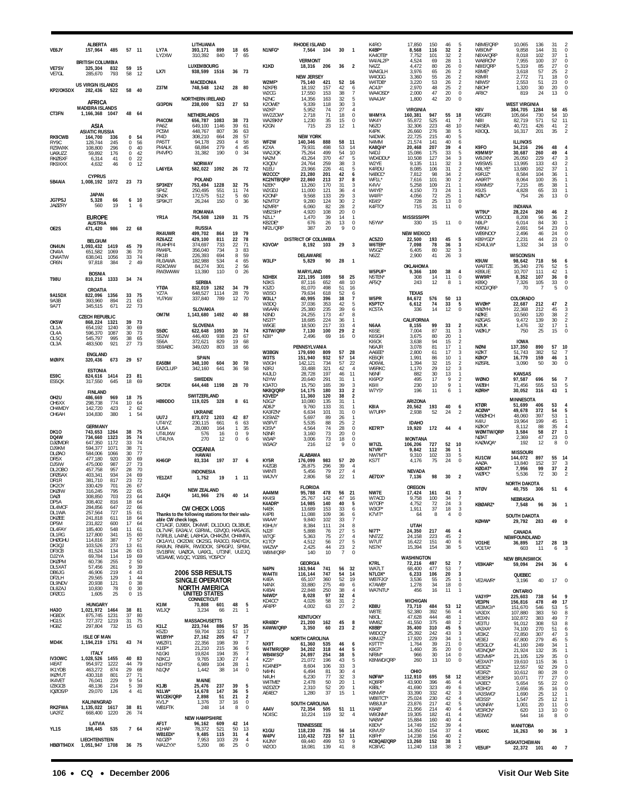| VE6JY                             | <b>ALBERTA</b><br>157,964<br>485                       |                                        | 57 11          | LY7A                                | LITHUANIA<br>393,171<br>899                                                                                          | 18 65                            |                                           | N1NFG*                                          | <b>RHODE ISLAND</b><br>7,564           | 104               | 30                         | - 1                                              | K4RO<br>K4BP*                           | 17.850<br>8,568                    | 150<br>116        | 46<br>32       | 5<br>$\overline{\mathbf{2}}$                            | N8ME/QRP<br>W8IDM*                 | 10,065<br>9,858                   | 136<br>144        | 31<br>31       |                                        |
|-----------------------------------|--------------------------------------------------------|----------------------------------------|----------------|-------------------------------------|----------------------------------------------------------------------------------------------------------------------|----------------------------------|-------------------------------------------|-------------------------------------------------|----------------------------------------|-------------------|----------------------------|--------------------------------------------------|-----------------------------------------|------------------------------------|-------------------|----------------|---------------------------------------------------------|------------------------------------|-----------------------------------|-------------------|----------------|----------------------------------------|
| <b>VE7SV</b>                      | <b>BRITISH COLUMBIA</b><br>325,304<br>832              | 59                                     | 15             | LY2XW                               | 840<br>310,392<br>LUXEMBOURG                                                                                         | $\overline{7}$                   | 65                                        | K1KD                                            | <b>VERMONT</b><br>18,316               | 206               | 36                         | $\overline{2}$                                   | KA4OTB <sup>®</sup><br>W4/AL2F'<br>N4ZZ | 7,752<br>4,524<br>4,472            | 101<br>69<br>80   | 32<br>28<br>26 | $\overline{2}$<br>$\mathbf{1}$<br>$\mathbb O$           | N8XA/QRP<br>WA8RCN'<br>N8IE/QRP    | 8,018<br>7,955<br>5,319           | 102<br>100<br>85  | 37<br>37<br>27 | $\Omega$<br>$\Omega$                   |
| VE7GL                             | 793<br>285,670                                         | 58                                     | 12             | LX7I                                | 938,599 1516<br><b>MACEDONIA</b>                                                                                     | 36 73                            |                                           | W2MF*                                           | <b>NEW JERSEY</b><br>75,140            | 421               | 52                         | 16                                               | WA4GLH<br>W4OGG<br>W4TDB*               | 3,976<br>3,360<br>3,220            | 65<br>55<br>53    | 26<br>26<br>26 | $\overline{2}$<br>$\overline{\mathbf{c}}$<br>$\sqrt{2}$ | K8ME*<br>K8MR<br>N8WS <sup>®</sup> | 3,618<br>2,772<br>2,553           | 57<br>71<br>51    | 25<br>18<br>23 | $\Omega$                               |
| KP2/OK5DX                         | <b>US VIRGIN ISLANDS</b><br>282,436<br>522             | 58                                     | 40             | <b>Z37M</b>                         | 1242<br>748,548                                                                                                      | 28 80                            |                                           | N <sub>2</sub> KPB<br>W2CG                      | 18,192<br>17,550                       | 157<br>153        | 42<br>38                   | 6<br>$\overline{7}$                              | AC4JI*<br>WA40SD                        | 2,970<br>2,000                     | 48<br>47          | 25<br>20       | $\sqrt{2}$<br>$\mathbb O$                               | N8OH <sup>*</sup><br>AF8C*         | 1,320<br>819                      | 30<br>24          | 20<br>13       | $\Omega$                               |
|                                   | AFRICA<br><b>MADEIRA ISLANDS</b>                       |                                        |                | GI3PDN                              | <b>NORTHERN IRELAND</b><br>238,000<br>523                                                                            | 27 53                            |                                           | N <sub>2</sub> N <sub>C</sub><br>K2OWE*<br>W2KP | 14,356<br>9,339<br>5,952               | 163<br>118<br>74  | 32<br>30<br>27             | -5<br>3<br>$\overline{4}$                        | WA4JA                                   | 1,800<br><b>VIRGINIA</b>           | 42                | 20             | $\mathbf 0$                                             | K8V                                | <b>WEST VIRGINIA</b><br>384,705   | 1284              | 58             | 45                                     |
| CT3FN                             | 1,166,368<br>1047                                      |                                        | 48 64          | PI4COM<br><b>PA67</b>               | <b>NETHERLANDS</b><br>656,787<br>1083<br>649.100<br>1146                                                             | 38<br>39                         | - 73<br>61                                | wv2Z0W*<br>WA2BKN*<br>K <sub>2</sub> GN         | 2,718<br>1,230<br>715                  | 71<br>35<br>23    | 18<br>15<br>12             | $\mathbf 0$<br>$\mathbf 0$<br>$\mathbf{1}$       | W4MYA<br>WK4Y<br>N6ZO                   | 160,381<br>55,872<br>32.306        | 947<br>525<br>223 | 55<br>41<br>48 | 18<br>7<br>10                                           | W5GFR<br>N8II<br>N4SEA             | 105,664<br>82,719<br>40,721       | 730<br>571<br>426 | 54<br>52<br>41 | 10<br>11                               |
| <b>RK9CWB</b>                     | ASIA<br><b>ASIATIC RUSSIA</b><br>164,700<br>336        | 0                                      | 54             | PC5M<br>PI4D                        | 448,767<br>807<br>308.210<br>664                                                                                     | 36<br>28                         | 63<br>57                                  |                                                 | <b>NEW YORK</b>                        |                   |                            |                                                  | K4PK<br>N4DWK                           | 26,660<br>22,725                   | 276<br>215        | 38<br>40       | 5<br>5                                                  | K800L                              | 16,317                            | 201               | 35             |                                        |
| RY9C<br>RZ9WXK                    | 245<br>128.744<br>108,800<br>296                       | 0<br>0                                 | 56<br>40       | PA5TT<br>PI4ALK                     | 94,178<br>293<br>279<br>68,894                                                                                       | $\overline{4}$<br>$\overline{4}$ | 58<br>45                                  | WF2W<br>K2XA                                    | 140,346<br>79,931                      | 888<br>498        | 58<br>53                   | - 11<br>14                                       | N4MM<br>KA8Q/4                          | 21,574<br>20,468                   | 141<br>207        | 40<br>39       | 6<br>4                                                  | K9FO                               | <b>ILLINOIS</b><br>34,216         | 296               | 48             |                                        |
| UA9UZZ<br><b>RKØSXF</b><br>RK9XXX | 59,892<br>176<br>6,314<br>41<br>46<br>4.632            | $\mathbb O$<br>$\bf{0}$<br>$\mathbb O$ | 42<br>22<br>12 | PI4VPO                              | 31,382<br>190<br><b>NORWAY</b>                                                                                       | $\mathbb O$                      | 34                                        | WA2JQK<br>NA2M<br>K3QDV                         | 75,264<br>43,264<br>24,764             | 499<br>370<br>259 | 54<br>47<br>38             | 10<br>-5<br>3                                    | N4DJ<br>WD4DDU*<br>W2YE                 | 15,086<br>10,508<br>9,135          | 175<br>127<br>111 | 33<br>34<br>32 | 5<br>3<br>3                                             | K9MMS'<br>W9JXN'<br>W9SWS          | 30,687<br>26,050<br>13,995        | 260<br>229<br>133 | 49<br>47<br>43 |                                        |
|                                   | <b>CYPRUS</b>                                          |                                        |                | LA6YEA                              | 582,022<br>1092                                                                                                      | 26 72                            |                                           | N1EU<br>W2CCC*                                  | 23,966<br>23,280                       | 226<br>201        | 41<br>42                   | 5<br>6                                           | K4RDU<br>N4BCC                          | 8,085<br>7,812                     | 106<br>98         | 31<br>34       | $\sqrt{2}$<br>$\overline{2}$                            | N9LYE*<br>K9RJZ*                   | 13,680<br>8,584                   | 162<br>104        | 37<br>36       |                                        |
| 5B4AIA                            | 1,008,192<br>1072                                      |                                        | 23 73          | SP3KEY                              | POLAND<br>753,494<br>1228                                                                                            | 32                               | 75                                        | KC2NTB/QRP<br>N2EK*                             | 22,860<br>13,260                       | 213<br>170        | 37<br>31                   | 8<br>3                                           | WF1L<br>K4VV                            | 7,616<br>5,258                     | 101<br>109        | 30<br>21       | $\sqrt{2}$<br>1                                         | AA9RT'<br>K9WMS'                   | 8,064<br>7,215                    | 100<br>85         | 35<br>38       |                                        |
| JG7PSJ                            | <b>JAPAN</b><br>5,328<br>66                            | 6                                      | 10             | SP4Z<br>SN <sub>2</sub> K<br>SP9KJT | 250,495<br>551<br>172.575<br>512<br>26,244<br>150                                                                    | 11<br>-5<br>$\mathbf 0$          | 74<br>60<br>36                            | W2GDJ<br>K2ONP<br>N2MTG*                        | 11,000<br>9.568<br>9,280               | 121<br>133<br>124 | 36<br>29<br>30             | $\overline{4}$<br>$\mathbf{3}$<br>$\overline{2}$ | W4YE*<br>W4IFI'<br>KE4S*                | 4,150<br>4.056<br>728              | 73<br>72<br>25    | 24<br>25<br>13 | 1<br>-1<br>$\mathbf 0$                                  | K9JS<br>NØICV*                     | 4,828<br>754                      | 65<br>26          | 33<br>13       | $\Omega$                               |
| <b>JAØZRY</b>                     | 19<br>560                                              | $\mathbf{1}$                           | 6              |                                     | <b>ROMANIA</b>                                                                                                       |                                  |                                           | N2MRI'<br>WB2SIH                                | 6,060<br>4,920                         | 82<br>108         | 28<br>20                   | $\overline{2}$<br>0                              | K4FTO <sup>*</sup>                      | 715                                | 31                | 11             | $\bf 0$                                                 | WT9U*                              | <b>INDIANA</b><br>28,224          | 260               | 46             |                                        |
| OE2S                              | <b>EUROPE</b><br><b>AUSTRIA</b><br>986<br>471,420      |                                        | 22 68          | YR <sub>1</sub> A                   | 754,508<br>1269<br><b>RUSSIA</b>                                                                                     | 31 75                            |                                           | $N211*$<br>KB2DE*<br>NF2L/QRP                   | 1.470<br>676<br>387                    | 39<br>26<br>20    | 14<br>13<br>9              | -1<br>$\mathbf 0$<br>$\Omega$                    | N5YW*                                   | <b>MISSISSIPPI</b><br>330          | 15                | 11             | $\mathbf 0$                                             | W9COD<br>N9LF*<br>W9NU             | 8,208<br>6,014<br>2,691           | 96<br>84<br>54    | 36<br>30<br>23 | 0                                      |
|                                   | <b>BELGIUM</b>                                         |                                        |                | <b>RK4UWR</b><br>RZ6AZZ             | 499,702<br>864<br>429,100<br>811                                                                                     | 19<br>22                         | 79<br>78                                  |                                                 | <b>DISTRICT OF COLUMBIA</b>            |                   |                            |                                                  | AC5ZO                                   | <b>NEW MEXICO</b><br>22,500        | 193               | 45             | 5                                                       | WB9NOO <sup>®</sup><br>KB9YGD'     | 2,496<br>2,231                    | 46<br>44          | 24<br>23       | $\Omega$<br>$\Omega$                   |
| ON4UN<br>ON4IA                    | 1,093,432<br>1419<br>1069<br>651.582                   | 45<br>36                               | 79<br>70       | RU4HP/4<br>RW4PL                    | 374,697<br>733<br>356,040<br>734<br>226,393                                                                          | 22<br>3<br>8                     | 71<br>83                                  | K3VOA'                                          | 8,192<br><b>DELAWARE</b>               | 103               | 29                         | $\overline{3}$                                   | W6TER <sup>®</sup><br>W5GZ'             | 7,098<br>6,405                     | 78<br>80<br>41    | 36<br>32       | $\mathbf{3}$<br>$\sqrt{3}$<br>3                         | KD4ULW <sup>®</sup>                | 1,332<br><b>WISCONSIN</b>         | 34                | 18             |                                        |
| ON4ATW<br>OR6N                    | 1056<br>638,041<br>384<br>97,818                       | 33<br>2                                | 74<br>49       | RK1B<br>RU3AWA<br>RZ4CWW            | 694<br>182,988<br>534<br>84,274<br>301                                                                               | 4<br>$\overline{2}$              | 59<br>65<br>56                            | W3LF*                                           | 5,829                                  | 90                | 28                         | $\overline{1}$                                   | N6ZZ                                    | 2,900<br>OKLAHOMA                  |                   | 26             |                                                         | K9UW<br>WA9TZE                     | 98,642<br>35,340                  | 718<br>276        | 56<br>52       |                                        |
| <b>T98U</b>                       | <b>BOSNIA</b><br>810,216 1333                          |                                        | 34 74          | RW3WWW                              | 13,390<br>110                                                                                                        | $\mathbb O$                      | 26                                        | N3HBX                                           | <b>MARYLAND</b><br>221,195             | 1089              | 58                         | 25                                               | W5PUF*<br>N5TEN <sup>®</sup>            | 9,366<br>308                       | 100<br>14         | 38<br>11       | 4<br>$\bf 0$                                            | KB9LIE<br>WW9R*                    | 10,707<br>8,352                   | 111<br>107        | 42<br>36       | $\Omega$                               |
|                                   | CROATIA                                                |                                        |                | <b>YTØA</b><br>YZ7A                 | <b>SERBIA</b><br>832,019<br>1282<br>648,527<br>1114                                                                  | 34<br>28                         | 79<br>79                                  | N3KS<br>K3ZO<br>W3SO                            | 87.116<br>81.070<br>79,634             | 652<br>498<br>618 | 48<br>51<br>52             | 10<br>16<br>6                                    | AF5Q*                                   | 243<br><b>TEXAS</b>                | 12                | 8              | $\mathbf{1}$                                            | KB9Q<br>K0CD/QRP                   | 7,326<br>70                       | 105<br>-7         | 33<br>5        | $\Omega$                               |
| 9A15DX<br>9A3B<br><b>9A7T</b>     | 822,096<br>1356<br>393,960<br>894<br>345,515<br>671    | 33<br>21<br>22                         | 75<br>63<br>73 | YU7KW                               | 337,840<br>789                                                                                                       | 12                               | 70                                        | W3LL'<br>W3DQ                                   | 40.995<br>37,036                       | 396<br>353        | 38<br>42                   | $\overline{7}$<br>5                              | W5PR<br>K5PTC*                          | 84,672<br>6,612                    | 576<br>74         | 50<br>33       | 13<br>5                                                 | <b>WVØH*</b>                       | COLORADO<br>22,687                | 212               | 47             |                                        |
|                                   | <b>CZECH REPUBLIC</b>                                  |                                        |                | OM7M                                | SLOVAKIA<br>1,143,680 1492                                                                                           | 40 88                            |                                           | W6AAN<br>N3ND                                   | 25,380<br>24,255                       | 235<br>173        | 39<br>47                   | 6<br>8                                           | KC5TA                                   | 336                                | 14                | 12             | $\mathbf 0$                                             | <b>KBØYH</b><br>NØKE               | 22,368<br>10,560                  | 212<br>120        | 45<br>38       | 3                                      |
| OK5W<br>01 1 A                    | 868,224<br>1321<br>654.192<br>1240                     | 39<br>30                               | 73<br>69       | <b>S50C</b>                         | <b>SLOVENIA</b><br>622,648<br>1093                                                                                   | 30                               | - 74                                      | NS3T*<br>W9GE<br>K3TW/QRP                       | 18,685<br>18,500<br>7,130              | 224<br>217<br>100 | 36<br>33<br>29             | $\mathbf{1}$<br>$\overline{4}$<br>$\overline{2}$ | N6AA<br>K6SE                            | CALIFORNIA<br>8,155<br>7,004       | 99<br>87          | 33<br>31       | $\overline{2}$<br>$_{\rm 3}$                            | KØGAS<br>KØUK<br>WØKU <sup>,</sup> | 9,472<br>1,476<br>750             | 139<br>32<br>25   | 30<br>17<br>15 | 2<br>$\Omega$                          |
| OL4A<br>OL5Q<br>OL3A              | 1087<br>596.370<br>545,797<br>995<br>483,500<br>921    | 30<br>38<br>27                         | 73<br>65<br>73 | <b>S52W</b><br>S56A                 | 446,400<br>938<br>829<br>372,621                                                                                     | 23<br>19                         | 67<br>68                                  | N3II*                                           | 2,496                                  | 69                | 16                         | $\mathbf 0$                                      | K6SGH<br>KI6CK                          | 3,675<br>3,638                     | 80<br>94          | 20<br>15       | $\mathbf{1}$<br>$\overline{2}$                          |                                    | <b>IOWA</b>                       |                   |                |                                        |
|                                   | <b>ENGLAND</b>                                         |                                        |                | S59ABC                              | 349,020<br>803<br><b>SPAIN</b>                                                                                       | 18                               | -66                                       | W3BGN<br>W3TS                                   | PENNSYLVANIA<br>179,690<br>151,940     | 809<br>932        | 57<br>57                   | 28<br>14                                         | N6AJR<br>AA6EE'<br>KE6QR                | 3,078<br>2,800<br>1.991            | 81<br>61<br>86    | 17<br>17<br>10 | $\mathbf{1}$<br>3<br>-1                                 | NØNI<br>KØKT<br>KØIO <sup>*</sup>  | 137,350<br>51,743<br>16,779       | 890<br>382<br>159 | 57<br>52<br>46 | 10<br>$\mathbf{1}$                     |
| <b>MØIPX</b>                      | 320,436<br>673<br><b>ESTONIA</b>                       | 29 57                                  |                | EA5BM<br>EA2CLU/P                   | 348,100<br>604<br>641<br>342.160                                                                                     | 30<br>36                         | 70<br>58                                  | W3GH<br>N3RJ                                    | 142,121<br>33,488                      | 734<br>321        | 57<br>42                   | 22<br>$\overline{4}$                             | AD6WL<br>W6RKC                          | 1,394<br>1,170                     | 32<br>29          | 15<br>12       | $\overline{2}$<br>3                                     | <b>KØSRL</b>                       | 3,090                             | 50                | 30             |                                        |
| ES9C<br>ES50X                     | 824,616 1414<br>317,550<br>645                         | 18                                     | 23 81<br>69    | SK7DX                               | <b>SWEDEN</b><br>644,448<br>1198                                                                                     | 28                               | - 70                                      | K4JLD<br>N3YW<br>K3ATO                          | 28,728<br>20,640<br>15,750             | 197<br>291<br>165 | 46<br>31<br>39             | 11<br>$\overline{1}$<br>3                        | N6NF<br>KI6PG*<br>K6III                 | 882<br>495<br>230                  | 30<br>17<br>10    | 13<br>9<br>9   | $\mathbf{1}$<br>$\overline{2}$<br>$\mathbf{1}$          | WØNO<br>WØBH                       | <b>KANSAS</b><br>97,587<br>71,456 | 696<br>555        | 56<br>53       |                                        |
| OH <sub>2U</sub>                  | <b>FINLAND</b><br>969<br>486,669                       | 18                                     | 75             |                                     | SWITZERLAND                                                                                                          |                                  |                                           | NK8Q/QRP<br>K3VED*                              | 14,175<br>11,360                       | 180<br>120        | 33<br>38                   | $\overline{2}$<br>$\overline{2}$                 | W7YS'                                   | 196                                | 11                | 6              | $\mathbf{1}$                                            | KØRH*                              | 30,052                            | 316               | 43             |                                        |
| OH6XX<br>OH4MDY                   | 298,738<br>774<br>142.720<br>423                       | 10<br>$\overline{2}$                   | 64<br>62       | HB9DDO                              | 119,025<br>328                                                                                                       | 8 61                             |                                           | N3GJ*<br>AD8J*                                  | 10,080<br>9,760                        | 135<br>133        | 31<br>31                   | $\mathbf{1}$<br>-1                               | K8IA                                    | ARIZONA<br>20,562                  | 193               | 40             | 6                                                       | KTØR<br>ACØW*                      | MINNESOTA<br>51,699<br>49,678     | 406<br>372        | 53<br>54       |                                        |
| OH6AH                             | 104,830<br>380                                         | 1                                      | 54             | UU7J<br>UT4IYZ                      | <b>UKRAINE</b><br>873,072<br>1203<br>230,115<br>661                                                                  | 42 87<br>6                       | 63                                        | KA3FZN<br>K3SWZ'<br>W3FVT                       | 6,634<br>5,697<br>5,535                | 101<br>89<br>88   | 31<br>26<br>25             | $\Omega$<br>-1<br>$\overline{2}$                 | W7UPF <sup>*</sup>                      | 2,938<br><b>IDAHO</b>              | 52                | 24             | $\overline{2}$                                          | <b>WBØHCH</b><br>K4IU              | 48,060<br>19,964                  | 397<br>199        | 53<br>45       |                                        |
| <b>DK10</b>                       | <b>GERMANY</b><br>743,653<br>1264                      | 38                                     | 75             | UU5A<br>UT4UXW                      | 28,080<br>164<br>576<br>16                                                                                           | $\mathbf{1}$<br>$\mathbf 0$      | 35<br>9                                   | K3SV*<br>N3NR                                   | 4,564<br>3,160                         | 74<br>73          | 28<br>20                   | 0<br>0                                           | KE7RT*                                  | 19,920                             | 172               | 44             | $\overline{4}$                                          | <b>KOKX</b><br>WØMTW/QRP           | 8.112<br>3,584                    | 88<br>58          | 35<br>27       |                                        |
| DQ4W<br><b>DJØMDR</b><br>D.J9KM   | 734,660<br>1323<br>647,350<br>1172<br>594,377<br>1071  | 35<br>33<br>38                         | 74<br>74<br>71 | UT4UYA                              | 270<br>12<br><b>OCEANIA</b>                                                                                          | $\Omega$                         | 6                                         | W3AF<br>W3AG'                                   | 3,006<br>216                           | 73<br>12          | 18<br>9                    | $\Omega$<br>0                                    | W7IZL<br>N7VR*                          | <b>MONTANA</b><br>106,206<br>9,842 | 727<br>112        | 52<br>36       | 10                                                      | <b>NØAT</b><br><b>KAØWQA</b>       | 2,369<br>192                      | 47<br>12          | 23<br>8        | $\Omega$                               |
| <b>DLØAO</b><br>DR5X              | 584,006<br>1066<br>477,180<br>920                      | 30<br>30                               | 77<br>69       | KH6GP                               | HAWAII<br>197<br>83,334                                                                                              | 37                               | -6                                        | KY5R                                            | ALABAMA<br>176,099                     | 983               | 57                         | 20                                               | NW7MT<br>KS7T                           | 9,310<br>4,176                     | 102<br>75         | 33<br>24       | $\mathbf{1}$<br>5<br>$\mathbf 0$                        | KU1CW                              | <b>MISSOURI</b><br>144,072        | 897               | 55<br>37       | 14                                     |
| DJ5IW<br>DL20BO<br><b>DFØSAX</b>  | 475,000<br>987<br>457.758<br>957<br>403,341<br>934     | 27<br>28<br>24                         | 73<br>70<br>69 |                                     | INDONESIA                                                                                                            |                                  |                                           | K4ZGB<br>W4NTI                                  | 26,875<br>5,456                        | 296<br>79         | 39<br>27                   | $\overline{4}$<br>$\overline{4}$                 |                                         | <b>NEVADA</b>                      |                   |                |                                                         | AAØA<br><b>KØDAT*</b><br>WØPC.     | 13,840<br>7,956<br>5,536          | 152<br>99<br>72   | 37<br>30       | $\overline{2}$                         |
| DR1R<br>DK20Y                     | 381,710<br>817<br>330,429<br>701                       | 23<br>26                               | 72<br>67       | YE1ZAT                              | 19<br>1,752                                                                                                          | $1 \t11$                         |                                           | W4JVY                                           | 2,806<br><b>FLORIDA</b>                | 58                | 22                         |                                                  | AE7DX*                                  | 7,136<br>OREGON                    | 98                | 30             | $\overline{2}$                                          | <b>NTØV</b>                        | <b>NORTH DAKOTA</b>               |                   | 51             | 6                                      |
| DKØIW<br>DAØI<br>DP5A             | 316,245<br>795<br>308.850<br>703<br>816                | 22<br>23                               | 65<br>64       | ZL6OH                               | <b>NEW ZEALAND</b><br>141,966<br>276                                                                                 | 40                               | 14                                        | AA4MM<br>KK451                                  | 95,788<br>25.767                       | 478<br>147        | 56<br>41                   | 21<br>10                                         | NW7E<br>W/ACD                           | 17,424<br>9.758                    | 161<br>100        | 41             | $\overline{\mathbf{3}}$                                 |                                    | 40,755<br>NEBRASKA                | 306               |                |                                        |
| DL4MCF<br>DL1WA                   | 308,402<br>284,856<br>647<br>257,564<br>727            | 18<br>22<br>15                         | 64<br>66<br>61 |                                     | <b>CW CHECK LOGS</b><br>Thanks to the following stations for their valu-                                             |                                  |                                           | K4ADR*<br>N4EK<br>K4PB                          | 14,985<br>13,689<br>11,088             | 140<br>153<br>109 | 40<br>33<br>36             | 5<br>6<br>6                                      | W70R*<br>W3CP*<br>K7VIT*                | 4,752<br>1,911<br>64               | 72<br>37<br>8     | 24<br>18<br>4  | 3<br>3<br>$\mathbf 0$                                   | KBØARZ*                            | 7,548                             | 96                | 36             |                                        |
| DKØEE<br>DP5M                     | 241,818<br>611<br>231,822<br>600                       | 18<br>17                               | 64<br>64       | able CW check logs.                 | CT1AGF, DJ9BX, DK4WF, DL1DUO, DL3BUE                                                                                 |                                  |                                           | W4AA'<br>K9HUY                                  | 9,840<br>8,384                         | 102<br>111        | 33<br>24                   | 7<br>8                                           |                                         | UTAH                               |                   |                |                                                         | KØHW*                              | <b>SOUTH DAKOTA</b><br>29,792     | 283               | 49             | $\Omega$                               |
| DL4FAY<br>DL1RG<br><b>DHØGHU</b>  | 185,400<br>548<br>127,800<br>341<br>114,816<br>387     | 11<br>15<br>$\overline{7}$             | 61<br>60<br>57 |                                     | DL7VAF, EA3ALV, G3RWL, G3VQO, HA5AGS<br>IV3RLB, LA4NE, LA8HGA, OH4KZM, OH4MFA<br>OK1AYU, OK2DW, OK2SG, RA3CO, RA6YDX |                                  |                                           | NJ <sub>2</sub> F<br>W7QF<br>K <sub>1</sub> TO* | 5,888<br>5,363                         | -76<br>75         | 27<br>27                   | 5<br>4                                           | $NI7T*$<br>NN7ZZ                        | 24,350<br>24,158                   | 217<br>223        | 46<br>45       | $\overline{4}$<br>$\overline{2}$                        |                                    | CANADA<br>NEWFOUNDLAND            |                   |                |                                        |
| DK3QJ<br>DE3CB                    | 103,526<br>273<br>134<br>81,524                        | 13<br>26                               | 61<br>63       |                                     | RA9UN, RN6FK, RW3DOX, SP6GPJ, SP6M<br>SV1BFW, UAØCA, UA9CL, UT3NF, UU2JQ,                                            |                                  |                                           | W4ZW*<br>W8IM/QRP                               | 4,512<br>2,425<br>140                  | 56<br>44<br>10    | 27<br>23<br>$\overline{7}$ | $\sqrt{5}$<br>$\overline{2}$<br>$\mathbf 0$      | W7UT<br>NS7K <sup>*</sup>               | 16,422<br>15,394                   | 151<br>154        | 40<br>38       | 6<br>5                                                  | VO1HE<br>VO1TA*                    | 36,895<br>603                     | 127<br>11         | 28 19<br>6     |                                        |
| DJ2YA<br><b>DKØPM</b><br>DL5XAT   | 69,784<br>114<br>60,736<br>255<br>57,456<br>261        | 19<br>$\overline{2}$<br>9              | 69<br>50<br>39 |                                     | VE3AWE, W1QC, YO2BS, YO5PCY                                                                                          |                                  |                                           |                                                 | GEORGIA                                |                   |                            |                                                  | K7RL                                    | WASHINGTON<br>72,216               | 497               | 52             | 7                                                       | VE9KAR*                            | <b>NEW BRUNSWICK</b><br>59,094    | 294               | 36             | 6                                      |
| DB6JG<br>DF2LH                    | 46,906<br>219<br>29,565<br>129                         | $\overline{4}$<br>$\mathbf{1}$         | 43<br>44       |                                     | <b>2006 SSB RESULTS</b><br><b>SINGLE OPERATOR</b>                                                                    |                                  |                                           | N4PN<br>WA4TII<br>K4EA                          | 163,944<br>116,144<br>65,107           | 741<br>747<br>360 | 56<br>54<br>52             | 32<br>14<br>19                                   | WA7LT<br>N7LOX*<br>WB7FJG'              | 68,400<br>6,233<br>3,536           | 477<br>106<br>55  | 53<br>20<br>25 | $\overline{7}$<br>$\mathbf 3$<br>$\mathbf{1}$           |                                    | QUEBEC                            |                   |                | $\Omega$                               |
| DL9NDV<br>DL8ZAJ                  | 20,938<br>121<br>78<br>10,830                          | $\boldsymbol{0}$<br>$\mathbf 0$        | 38<br>30       |                                     | <b>NORTH AMERICA</b>                                                                                                 |                                  |                                           | N4NX<br>K4BAI                                   | 33,880<br>22,848                       | 275<br>250        | 49<br>38                   | 6<br>$\overline{4}$                              | K7AWB*<br>WA7NTU*                       | 1,278<br>456                       | 34<br>16          | 18<br>11       | $\,0\,$<br>$\mathbf{1}$                                 | VE2AWR*                            | 3,196<br><b>ONTARIO</b>           | 40                | 17             |                                        |
| <b>DFØCG</b>                      | 25<br>1,605<br><b>HUNGARY</b>                          | $\mathbf 0$                            | 15             | K1IM                                | UNITED STATES<br>CONNECTICUT<br>70,808<br>601                                                                        | 48                               | 5                                         | N4WD*<br>KD4CC*                                 | 8,028<br>4,026                         | 97<br>58          | 32<br>31                   | $\overline{4}$<br>$\frac{2}{2}$                  |                                         | <b>MICHIGAN</b>                    |                   |                |                                                         | VA3YP*<br>VE3PN                    | 225,603<br>156,816                | 738<br>478        | 54<br>49       | 17                                     |
| <b>HA30</b><br>HG8DX              | 1,021,972 1464<br>875,745<br>1231                      | 37                                     | 38 81<br>80    | W1JQ*                               | 3.234<br>66                                                                                                          | 21                               | $\overline{1}$                            | AF4PP                                           | 4,002<br><b>KENTUCKY</b>               | 63                | 27                         |                                                  | KB8U<br><b>W8TF</b><br>N8OL             | 73,710<br>52,380<br>47,628         | 484<br>392<br>444 | 53<br>56<br>48 | 12<br>$\overline{4}$<br>$\mathbf{1}$                    | VE3MGY*<br>VA3DX<br>VE3XN          | 151,670<br>107,880<br>102,872     | 546<br>383<br>383 | 53<br>50<br>49 | 5<br>7                                 |
| HG1S<br>HG8Z                      | 1219<br>727.372<br>297,804<br>732                      | 31<br>15                               | 75<br>63       | K1LZ                                | <b>MASSACHUSETTS</b><br>223,744<br>886<br>59,704                                                                     | 57                               | 35<br>17                                  | KR4BD*<br>K4WW/QRP                              | 21,200<br>3,350                        | 162<br>60         | 45<br>23                   | 8<br>$\overline{2}$                              | <b>WM87</b><br>K8BB*                    | 41.550<br>35,400                   | 375<br>310        | 48<br>45       | $\overline{2}$<br>5                                     | VE3TU<br>VA3XA                     | 91,012<br>74,100                  | 308<br>270        | 53<br>51       | 8<br>6                                 |
| MD4K                              | <b>ISLE OF MAN</b><br>1,194,219 1751                   |                                        | 43 74          | K5ZD<br>W1BYH*<br>W6ZF/1            | 323<br>27,162<br>205<br>22,356<br>198                                                                                | 51<br>47<br>39                   | $\overline{7}$<br>-7                      | NX9T                                            | <b>NORTH CAROLINA</b><br>61,360        | 535               | 46                         | 6                                                | W8DCQ<br>K8MJZ'<br>K9TTT*               | 25,392<br>17,920<br>1,764          | 242<br>229<br>39  | 43<br>34<br>21 | $_{\rm 3}$<br>1<br>0                                    | VE3KZ<br>VE3EJ                     | 72,850<br>67,800                  | 307<br>279        | 47<br>45       |                                        |
|                                   | <b>ITALY</b>                                           |                                        |                | K1EP*<br>N1GKI                      | 215<br>21,210<br>19,824<br>194                                                                                       | 36<br>35                         | 6<br>$\overline{7}$                       | W4TMR/QRP<br>WB4MSG*                            | 34,202<br>24,897                       | 318<br>254        | 44<br>38                   | 5<br>5                                           | K8GT*<br>NF8M*                          | 1,460<br>966                       | 35<br>30          | 20<br>14       | 0<br>$\,0\,$                                            | VE3GLO*<br>VE3NOM*<br>VE3VMP*      | 41,160<br>21,924<br>21,105        | 249<br>132<br>129 | 34<br>35<br>35 | $\Omega$                               |
| <b>IV30WC</b><br>14EAT<br>IK1YDB  | 1,028,526<br>1455<br>954,972<br>1222<br>463,272<br>874 | 40<br>44<br>29                         | 83<br>79<br>68 | N3KCJ<br>N1HTS'<br>N1QN*            | 9,765<br>130<br>104<br>6,989<br>38<br>1,442                                                                          | 27<br>28<br>14                   | $\overline{4}$<br>$\mathbf{1}$<br>$\bf 0$ | KZ2I*<br>KG4NEP*                                | 21,072<br>8,604                        | 196<br>106        | 43<br>33                   | 5<br>3<br>$\overline{4}$                         | K8NWD/QRP                               | 260                                | 13                | 10             | $\bf 0$                                                 | VE3XAT*<br>VF3D7*                  | 19,610<br>12,557                  | 115<br>92         | 36<br>29       | $\Omega$                               |
| <b>IKØYUT</b><br><b>IK4VET</b>    | 430,318<br>801<br>76,041<br>229                        | 27<br>9                                | 71<br>54       |                                     | MAINE                                                                                                                |                                  |                                           | N4HN<br>N4UH<br>W4TME*                          | 6,494<br>6,230<br>2,478                | 81<br>77<br>50    | 30<br>32<br>20             | 3<br>$\overline{1}$                              | NØFW*<br>KQ8RP                          | OHIO<br>112,910<br>43,900          | 695<br>396        | 58<br>46       | 12<br>4                                                 | VE3RZ*<br>VE3ESH'<br>VA3EC*        | 10,612<br>10,071<br>5,654         | 80<br>77<br>55    | 28<br>27<br>22 | 0<br>$\Omega$                          |
| IZ8GCB<br><b>IQØOS/P</b>          | 48,136<br>214<br>29,070<br>126                         | 5<br>$\overline{a}$                    | 39<br>41       | K1JB<br>N1LW*<br>W1CEK/QRP          | 25,476<br>237<br>14,678<br>147<br>2,898<br>51                                                                        | 39<br>36<br>21                   | 5<br>5<br>$\overline{2}$                  | W2DZ0*<br>AE4EC*                                | 2,310<br>1,280                         | 52<br>37          | 20<br>15                   | -1<br>$\overline{1}$                             | K8BL*<br>K8NVR*                         | 41,690<br>33,390                   | 323<br>332        | 49<br>42       | 6<br>$_{3}$                                             | VE3HG*<br>VA3SWG                   | 2,656<br>1,690                    | 35<br>25          | 16<br>12       | $\Omega$                               |
| <b>RK2FWA</b>                     | KALININGRAD<br>1,135,022 1617                          |                                        | 38 81          | $KVIJ*$<br>WB1FTK                   | 1,376<br>37<br>248<br>14                                                                                             | 16<br>8                          | $\mathbf{0}$<br>0                         | AA4V                                            | SOUTH CAROLINA<br>72,354               | 505               | 51 11                      |                                                  | WB8TCT*<br>WB8JUI'<br>K8AB*             | 25,024<br>23,876<br>21,956         | 230<br>217<br>214 | 42<br>42<br>40 | $\overline{4}$<br>5<br>$\overline{4}$                   | VE3SS*<br>VA3NFA*<br>VE3RCN'       | 1,547<br>1,001<br>620             | 25<br>20<br>13    | 12<br>11<br>10 | $\mathbf{1}$<br>$\Omega$<br>$^{\circ}$ |
| UA2FZ                             | 668,400<br>1220<br>LATVIA                              |                                        | 26 74          | AF1T                                | <b>NEW HAMPSHIRE</b>                                                                                                 | 42                               | 14                                        | NC4SC                                           | 10,224                                 | 119               | 32                         | $\overline{4}$                                   | W8GNM <sup>*</sup><br>NA8W*             | 19,305<br>15,884                   | 182<br>160        | 41<br>40       | $\overline{4}$                                          | VE3WG*                             | 544                               | 16                | 8              | 0                                      |
| YL1S                              | 198,445<br>535                                         |                                        | 7 64           | K1HAP<br>WB1EDI'                    | 96,162<br>609<br>78,372<br>521<br>9,485<br>115                                                                       | 50<br>31                         | 13<br>4                                   | K1GU<br>W4PV                                    | <b>TENNESSEE</b><br>118,230<br>110,432 | 735<br>723        | 56<br>57                   | 14<br>11                                         | K8DV*<br>K8VUS <sup>®</sup><br>K8FH*    | 14,749<br>14,350<br>14,238         | 152<br>154<br>156 | 39<br>37<br>40 | $\overline{4}$<br>$\overline{4}$<br>$\overline{2}$      | VE4XC                              | <b>MANITOBA</b><br>16,263         | 90                | 36             |                                        |
| HBØ/T94DX                         | LIECHTENSTEIN<br>1,051,947 1708                        |                                        | 36 75          | N1OZF*<br>WA1ZYX                    | 7,953<br>103<br>5,200<br>86                                                                                          | 29<br>25                         | $\overline{4}$<br>0                       | K4JNY<br>W200                                   | 69,440<br>18,081                       | 499<br>139        | 53<br>41                   | -9<br>8                                          | KC8QAE/QRP<br>KC8IVC                    | 13,260<br>11,240                   | 152<br>118        | 38<br>38       | $\mathbf{1}$<br>$\overline{2}$                          | VE5UF*                             | SASKATCHEWAN<br>22,372            | 101               | 40 7           |                                        |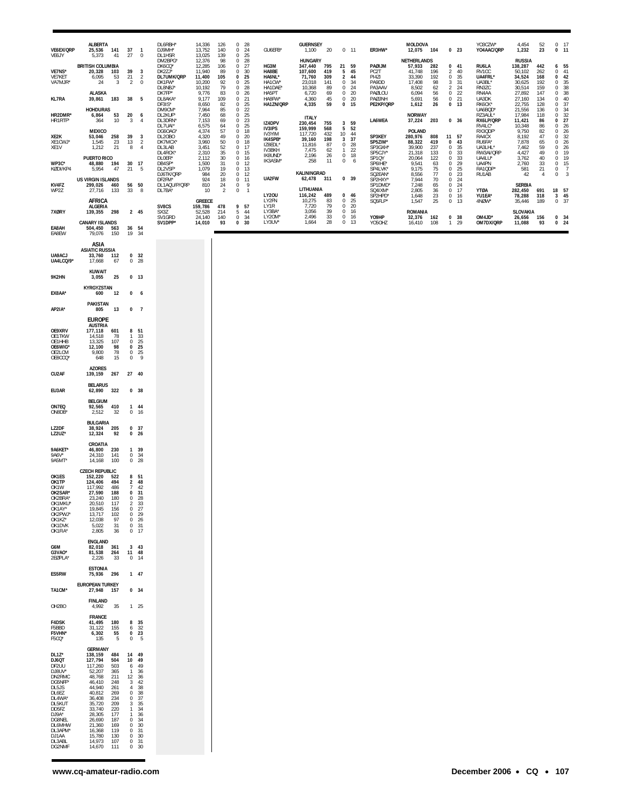| VE6EX/QRP<br>VE6JY                                                                                                                                    | <b>ALBERTA</b><br>25,536<br>141<br>5,373<br>41                                                                                                                                                                                                                                  | 37<br>27                                                                                                                                                        | $\mathbf{1}$<br>$\bf 0$                                                    | DL6RBH*<br>DJ9MH*<br>DL1HSR<br>DM2BPG*              | 14,336<br>13,752<br>13,025<br>12,376           | 126<br>140<br>139<br>98           | $\mathbf 0$<br>28<br>24<br>0<br>$\mathbf 0$<br>25<br>28<br>0                                 | GU6EFB*                                                        | <b>GUERNSEY</b><br>1,100<br><b>HUNGARY</b>       | 20                             | $0$ 11                                                                                                    | ER3HW*                                                  | <b>MOLDOVA</b><br>12,075 104<br>NETHERLANDS   |                               | 0 <sub>23</sub>                                            |                                         | YO3CZW*<br>YO4AAC/QRP                              | 4,454<br>1,232<br><b>RUSSIA</b>                 | $\frac{52}{23}$                        | $\mathbf 0$<br>17<br>0<br>11                                                                             |
|-------------------------------------------------------------------------------------------------------------------------------------------------------|---------------------------------------------------------------------------------------------------------------------------------------------------------------------------------------------------------------------------------------------------------------------------------|-----------------------------------------------------------------------------------------------------------------------------------------------------------------|----------------------------------------------------------------------------|-----------------------------------------------------|------------------------------------------------|-----------------------------------|----------------------------------------------------------------------------------------------|----------------------------------------------------------------|--------------------------------------------------|--------------------------------|-----------------------------------------------------------------------------------------------------------|---------------------------------------------------------|-----------------------------------------------|-------------------------------|------------------------------------------------------------|-----------------------------------------|----------------------------------------------------|-------------------------------------------------|----------------------------------------|----------------------------------------------------------------------------------------------------------|
| VE7NS*<br>VE7KET<br>VA7MJR*                                                                                                                           | <b>BRITISH COLUMBIA</b><br>20,328<br>103<br>6,095<br>53<br>3<br>24                                                                                                                                                                                                              | 39<br>21<br>2                                                                                                                                                   | 3<br>$\frac{2}{0}$                                                         | DK6CQ*<br>DK2ZJ*<br>DL7UMK/QRP<br>DK1FW*<br>DL8NBJ* | 12,285<br>11,940<br>11,400<br>10,200<br>10,192 | 106<br>89<br>105<br>92<br>79      | 27<br>$\,0\,$<br>$\bf{0}$<br>30<br>$\bf{0}$<br>25<br>0<br>25<br>$\bf 0$<br>28                | HG3M<br>HA8BE<br>HA6NL*<br>HA1CW*<br>HA1DAE*                   | 347,440<br>107,600<br>71,760<br>23,018<br>10,368 | 795<br>419<br>309<br>141<br>89 | 21<br>59<br>5<br>45<br>$\overline{2}$<br>44<br>$\bf{0}$<br>34<br>$\mathbf 0$<br>24                        | PAØIJM<br>PC <sub>2</sub> T<br>PI4ZI<br>PA9DD<br>PA3AAV | 57,933<br>41,748<br>33,390<br>17,408<br>8,502 | 282<br>196<br>192<br>98<br>62 | 0<br>$\overline{\mathbf{c}}$<br>$\,0\,$<br>3<br>$\sqrt{2}$ | 41<br>40<br>35<br>31<br>$\frac{24}{22}$ | RU6LA<br>RV1CC<br>UA4FRL*<br>UA3BL*<br>RN3ZC       | 138,287<br>50,102<br>34,524<br>30,625<br>30,514 | 442<br>262<br>168<br>192<br>159        | $\frac{55}{41}$<br>6<br>0<br>$\pmb{0}$<br>$\begin{array}{c} 35 \\ 38 \\ 38 \end{array}$<br>0<br>$\Omega$ |
| <b>KL7RA</b>                                                                                                                                          | ALASKA<br>183<br>39,861                                                                                                                                                                                                                                                         | 38                                                                                                                                                              | 5                                                                          | DK7FP*<br>DL8AKA*<br>DF3IS*                         | 9,776<br>9,177<br>8,650                        | 83<br>109<br>82                   | 0<br>26<br>$\bf 0$<br>21<br>0<br>25                                                          | HA5PT<br>HA8FW*<br>HA1ZN/QRP                                   | 6,720<br>4,360<br>4,335                          | 69<br>$\frac{45}{59}$          | $\mathbf 0$<br>20<br>20<br>$\overline{0}$<br>0 <sub>15</sub>                                              | PAØLOU<br>PAØJNH<br>PE2KP/QRP                           | 6,094<br>5,691<br>1,612                       | 56<br>56<br>26                | $\,0\,$<br>$\bf 0$<br>0                                    | 21<br>13                                | RN4AA<br>UA3DK<br>RK6CK*                           | 27,892<br>27,160<br>22,755                      | 147<br>134<br>128                      | 0<br>$\Omega$<br>0                                                                                       |
| HR2DMR*<br>HR1RTF*                                                                                                                                    | <b>HOHDURAS</b><br>53<br>6,864<br>364<br>10                                                                                                                                                                                                                                     | 20<br>3                                                                                                                                                         | 6<br>$\overline{4}$                                                        | DM9CM*<br>DL2KUF*<br>DL3DRN'<br>DL7UAI*             | 7,964<br>7,450<br>7,153<br>6,575               | 85<br>68<br>69<br>64              | $22\,$<br>$\boldsymbol{0}$<br>$\bf 0$<br>25<br>23<br>$\bf{0}$<br>$\mathbf 0$<br>25           | IZ4DPV                                                         | <b>ITALY</b><br>230,454                          | 755                            | 3 59<br>52                                                                                                | LA6WEA                                                  | <b>NORWAY</b><br>37,224                       | 203                           | 0 <sub>36</sub>                                            |                                         | UA6BQD*<br>RZ3AUL*<br>RX6LP/QRP<br>RV4LC*          | 21,556<br>17,984<br>11,421<br>10,348            | 136<br>118<br>86<br>86                 | 40<br>37<br>34<br>34<br>32<br>27<br>0<br>0<br>0<br>$\frac{26}{26}$<br>0                                  |
| XE2K<br>XE1CWJ*<br>XE1V                                                                                                                               | <b>MEXICO</b><br>258<br>53,046<br>23<br>1,545<br>1,212<br>21                                                                                                                                                                                                                    | 39<br>13<br>8                                                                                                                                                   | 3<br>$\sqrt{2}$<br>$\overline{4}$                                          | DG6OAG <sup>*</sup><br>DL2OBO<br>DK7MCX*<br>DL3LAB  | 4,374<br>4,320<br>3,960<br>3,451               | 57<br>49<br>50<br>52              | $\bf{0}$<br>18<br>$\mathbf 0$<br>20<br>$\bf{0}$<br>18<br>$\bf 0$<br>17                       | <b>IV3IPS</b><br>IV3YIM<br><b>IK4SPB*</b><br>IZ8EDL*<br>IV3BKH | 159,999<br>117,720<br>39,160<br>11,816<br>7,475  | 568<br>432<br>198<br>87<br>62  | 5<br>44<br>10 <sup>10</sup><br>37<br>$\overline{\mathbf{3}}$<br>28<br>$\mathbf 0$<br>22<br>$\overline{1}$ | SP3KEY<br>SP5ZIM*<br>SP3GXH*                            | <b>POLAND</b><br>280,976<br>88,322<br>39,900  | 808<br>419<br>237             | 11<br>0<br>$\mathbb O$                                     | 57<br>43<br>35                          | RX3QDF*<br>RA4CX<br>RU6FA*<br>UA3LHL*<br>RW3AI/QRP | 9,750<br>8,192<br>7,878<br>7,462                | 82<br>47<br>65<br>59                   | 0<br>32<br>$\Omega$<br>26<br>$\Omega$<br>26<br>$\Omega$                                                  |
| WP3C*<br>KØDI/KP4                                                                                                                                     | PUERTO RICO<br>48,880<br>194<br>5,954<br>47                                                                                                                                                                                                                                     | 30<br>21                                                                                                                                                        | 17<br>5                                                                    | DL4RCK*<br>DLOER*<br>DB4SP*<br>DL2VSF*<br>DJ6TK/QRP | 2,310<br>2,112<br>1,500<br>1,079<br>984        | 35<br>$\frac{30}{31}$<br>19<br>20 | $\bf{0}$<br>15<br>$\mathbf 0$<br>16<br>$\bf{0}$<br>12<br>$\mathbf 0$<br>13<br>$\bf{0}$<br>12 | IK8UND*<br>IK3ASM*                                             | 2,196<br>258<br>KALININGRAD                      | 26<br>11                       | $0$ 18<br>$\overline{0}$<br>6                                                                             | SP5CJY*<br>SP1QY<br>SP6IHE*<br>SP4LVK*<br>SQ2EAN*       | 21,318<br>20,064<br>9,541<br>9,175<br>8,556   | 133<br>122<br>63<br>75<br>77  | 0<br>$\mathbb O$<br>0<br>$\bf 0$<br>0                      | 33<br>33<br>29<br>25<br>23              | UA4LU*<br>UA4PN<br>RA1QDP*<br>RU1AB                | 4,427<br>3,762<br>2,760<br>581<br>42            | 49<br>40<br>33<br>21<br>$\overline{4}$ | 19<br>0<br>19<br>$\mathbf 0$<br>15<br>0<br>$\overline{7}$<br>$\mathbb O$<br>0<br>3                       |
| KV4FZ<br>WP2Z                                                                                                                                         | <b>US VIRGIN ISLANDS</b><br>299,026<br>460<br>27,716<br>133<br>AFRICA                                                                                                                                                                                                           | 56<br>33                                                                                                                                                        | 50<br>8                                                                    | DF2FM*<br>DL1AQU/P/QRP<br>DL7BA*                    | 924<br>810<br>10                               | 18<br>24<br>$\overline{2}$        | $\boldsymbol{0}$<br>11<br>$\bf{0}$<br>9<br>$\bf{0}$<br>$\overline{1}$                        | UA2FW<br><b>LY20U</b><br>LY2FN                                 | 62,478<br>LITHUANIA<br>116,242<br>10,275         | 311<br>489<br>83               | 0 <sub>39</sub><br>$0$ 46<br>$\mathbf 0$<br>25                                                            | SP2HXY*<br>SP1DMD*<br>SQ4IXM*<br>SP2HPD*<br>SQ5FLP*     | 7,944<br>7,248<br>2,805<br>1,648              | 70<br>65<br>36<br>23          | $\mathbb O$<br>0<br>$\bf 0$<br>$\mathbb O$                 | $24\,$<br>24<br>17<br>16                | <b>YTØA</b><br>YU1EA*                              | <b>SERBIA</b><br>282,450<br>78,288              | 691<br>318                             | 18 57<br>45<br>$\overline{\mathbf{3}}$<br>37<br>$\mathsf 0$                                              |
| 7XØRY                                                                                                                                                 | <b>ALGERIA</b><br>298<br>139,355                                                                                                                                                                                                                                                | 2 45                                                                                                                                                            |                                                                            | SV8CS<br>SX3Z                                       | <b>GREECE</b><br>159,786<br>52,528             | 478<br>214                        | 9<br>57<br>5<br>44                                                                           | LY1R<br>LY3BA*                                                 | 7,720<br>3,056                                   | 79<br>39                       | $\overline{0}$<br>20<br>$\circ$<br>16                                                                     |                                                         | 1,547<br><b>ROMANIA</b>                       | 25                            | $\,0\,$                                                    | 13                                      | 4NØW*                                              | 35,446<br><b>SLOVAKIA</b>                       | 189                                    |                                                                                                          |
| EA8AH<br>EA8EW                                                                                                                                        | <b>CANARY ISLANDS</b><br>504,450<br>563<br>79,076<br>150                                                                                                                                                                                                                        | 36 54<br>19                                                                                                                                                     | - 34                                                                       | SV1GRD<br>SV1DPP*                                   | 24,140<br>14,010                               | 140<br>93                         | $\mathbf 0$<br>34<br>0 <sub>30</sub>                                                         | LY20M*<br>LY3UV*                                               | 2,496<br>1,664                                   | 33<br>28                       | $\circ$<br>-16<br>$0$ 13                                                                                  | YO9HP<br>YO5OHZ                                         | 32,376<br>16,410                              | 162<br>108                    | 0<br>$\mathbf{1}$                                          | 38<br>29                                | OM4JD*<br>OM7DX/QRP                                | 26,656<br>11,088                                | 156<br>93                              | 0 34<br>$0$ 24                                                                                           |
| <b>UA9ACJ</b><br>UA4LCQ/9*                                                                                                                            | ASIA<br><b>ASIATIC RUSSIA</b><br>33,760<br>112<br>67<br>17,668                                                                                                                                                                                                                  | $\mathbf 0$                                                                                                                                                     | 0 <sub>32</sub><br>28                                                      |                                                     |                                                |                                   |                                                                                              |                                                                |                                                  |                                |                                                                                                           |                                                         |                                               |                               |                                                            |                                         |                                                    |                                                 |                                        |                                                                                                          |
| 9K2HN                                                                                                                                                 | <b>KUWAIT</b><br>25<br>3,055                                                                                                                                                                                                                                                    |                                                                                                                                                                 | $0$ 13                                                                     |                                                     |                                                |                                   |                                                                                              |                                                                |                                                  |                                |                                                                                                           |                                                         |                                               |                               |                                                            |                                         |                                                    |                                                 |                                        |                                                                                                          |
| EX8AA*                                                                                                                                                | KYRGYZSTAN<br>12<br>600                                                                                                                                                                                                                                                         | 0                                                                                                                                                               | 6                                                                          |                                                     |                                                |                                   |                                                                                              |                                                                |                                                  |                                |                                                                                                           |                                                         |                                               |                               |                                                            |                                         |                                                    |                                                 |                                        |                                                                                                          |
| AP2IA*                                                                                                                                                | <b>PAKISTAN</b><br>805<br>13                                                                                                                                                                                                                                                    | 0                                                                                                                                                               | $\overline{7}$                                                             |                                                     |                                                |                                   |                                                                                              |                                                                |                                                  |                                |                                                                                                           |                                                         |                                               |                               |                                                            |                                         |                                                    |                                                 |                                        |                                                                                                          |
| OE9XRV<br>OE1TKW<br>OE1HHB<br>OE6WIG*<br>OE2LCM<br>OE8CCQ*                                                                                            | <b>EUROPE</b><br><b>AUSTRIA</b><br>177,118<br>601<br>14,518<br>78<br>107<br>13,325<br>12,100<br>98<br>78<br>9,800<br>15<br>648                                                                                                                                                  | 8 51<br>$\mathbf{1}$<br>$\mathbf 0$<br>0<br>$\mathbf 0$<br>$\bf 0$                                                                                              | 33<br>$\frac{25}{25}$<br>25<br>9                                           |                                                     |                                                |                                   |                                                                                              |                                                                |                                                  |                                |                                                                                                           |                                                         |                                               |                               |                                                            |                                         |                                                    |                                                 |                                        |                                                                                                          |
| CU2AF                                                                                                                                                 | <b>AZORES</b><br>267<br>139,159                                                                                                                                                                                                                                                 | 27 40                                                                                                                                                           |                                                                            |                                                     |                                                |                                   |                                                                                              |                                                                |                                                  |                                |                                                                                                           |                                                         |                                               |                               |                                                            |                                         |                                                    |                                                 |                                        |                                                                                                          |
| EU3AR                                                                                                                                                 | <b>BELARUS</b><br>62,890 322                                                                                                                                                                                                                                                    |                                                                                                                                                                 | 0 <sup>38</sup>                                                            |                                                     |                                                |                                   |                                                                                              |                                                                |                                                  |                                |                                                                                                           |                                                         |                                               |                               |                                                            |                                         |                                                    |                                                 |                                        |                                                                                                          |
| ON7EQ<br>ON8DB*                                                                                                                                       | <b>BELGIUM</b><br>92,565<br>410<br>2,512<br>32                                                                                                                                                                                                                                  | 1 44                                                                                                                                                            | 0 16                                                                       |                                                     |                                                |                                   |                                                                                              |                                                                |                                                  |                                |                                                                                                           |                                                         |                                               |                               |                                                            |                                         |                                                    |                                                 |                                        |                                                                                                          |
| LZ2DF<br>LZ2UZ*                                                                                                                                       | <b>BULGARIA</b><br>38,924<br>205<br>12,324<br>92                                                                                                                                                                                                                                | 0, 37<br>$0$ 26                                                                                                                                                 |                                                                            |                                                     |                                                |                                   |                                                                                              |                                                                |                                                  |                                |                                                                                                           |                                                         |                                               |                               |                                                            |                                         |                                                    |                                                 |                                        |                                                                                                          |
| 9A6KET*<br>9A6V*<br>9A5MT*                                                                                                                            | CROATIA<br>46,800<br>230<br>24,310<br>141<br>14,168<br>100                                                                                                                                                                                                                      | 1 39<br>0 34<br>$0$ 28                                                                                                                                          |                                                                            |                                                     |                                                |                                   |                                                                                              |                                                                |                                                  |                                |                                                                                                           |                                                         |                                               |                               |                                                            |                                         |                                                    |                                                 |                                        |                                                                                                          |
| OK1ES<br>OK1TP<br>OK1W<br>OK2SAR*<br>OK2BRA*<br>OK1MKU*<br>OK1AY*<br>OK2PWJ'<br>OK1KZ*<br>OK1DVK<br>OK1FIA*                                           | <b>CZECH REPUBLIC</b><br>152,220<br>522<br>124,406<br>494<br>117,992<br>486<br>27,590<br>188<br>23,240<br>180<br>20,510<br>117<br>19,845<br>156<br>102<br>13,717<br>12,038<br>97<br>31<br>5,022<br>2,805<br>36                                                                  | 8 51<br>$\overline{7}$<br>0 31<br>$\mathbf 0$<br>$\overline{a}$<br>0<br>$\mathbf 0$<br>0 31                                                                     | 2 48<br>42<br>28<br>$\frac{33}{27}$<br>29<br>$0 - 26$<br>$0$ 17            |                                                     |                                                |                                   |                                                                                              |                                                                |                                                  |                                |                                                                                                           |                                                         |                                               |                               |                                                            |                                         |                                                    |                                                 |                                        |                                                                                                          |
| G6M<br>G3VAO*<br>2EØPLA*                                                                                                                              | <b>ENGLAND</b><br>82,018<br>361<br>81,538<br>264<br>2,226<br>33                                                                                                                                                                                                                 | 3, 43<br>11 48<br>$0$ 14                                                                                                                                        |                                                                            |                                                     |                                                |                                   |                                                                                              |                                                                |                                                  |                                |                                                                                                           |                                                         |                                               |                               |                                                            |                                         |                                                    |                                                 |                                        |                                                                                                          |
| ES5RW                                                                                                                                                 | <b>ESTONIA</b><br>75,936<br>296                                                                                                                                                                                                                                                 | $1 \quad 47$                                                                                                                                                    |                                                                            |                                                     |                                                |                                   |                                                                                              |                                                                |                                                  |                                |                                                                                                           |                                                         |                                               |                               |                                                            |                                         |                                                    |                                                 |                                        |                                                                                                          |
| TA1CM*                                                                                                                                                | <b>EUROPEAN TURKEY</b><br>27,948<br>157                                                                                                                                                                                                                                         | 0, 34                                                                                                                                                           |                                                                            |                                                     |                                                |                                   |                                                                                              |                                                                |                                                  |                                |                                                                                                           |                                                         |                                               |                               |                                                            |                                         |                                                    |                                                 |                                        |                                                                                                          |
| OH2BO                                                                                                                                                 | <b>FINLAND</b><br>35<br>4,992                                                                                                                                                                                                                                                   |                                                                                                                                                                 | $1\quad25$                                                                 |                                                     |                                                |                                   |                                                                                              |                                                                |                                                  |                                |                                                                                                           |                                                         |                                               |                               |                                                            |                                         |                                                    |                                                 |                                        |                                                                                                          |
| F4DSK<br>F5BBD                                                                                                                                        | <b>FRANCE</b><br>41,495<br>180<br>155<br>31,122                                                                                                                                                                                                                                 | 8<br>6                                                                                                                                                          | 35<br>32                                                                   |                                                     |                                                |                                   |                                                                                              |                                                                |                                                  |                                |                                                                                                           |                                                         |                                               |                               |                                                            |                                         |                                                    |                                                 |                                        |                                                                                                          |
| F5VHN*<br>F5CQ*                                                                                                                                       | 6,302<br>$\frac{55}{5}$<br>135<br><b>GERMANY</b>                                                                                                                                                                                                                                | 0 <sub>23</sub><br>0                                                                                                                                            | -5                                                                         |                                                     |                                                |                                   |                                                                                              |                                                                |                                                  |                                |                                                                                                           |                                                         |                                               |                               |                                                            |                                         |                                                    |                                                 |                                        |                                                                                                          |
| DL1Z*<br>DJ6QT<br>DF2UU<br>DJ8UV*<br>DN2RMC<br>DG5NFF*<br>DL5JS<br>DL6EZ<br>DL4WA<br>DL5KUT<br>DD5FZ<br>DJ9A*<br>DG8NEL<br>DL6MHW<br>DL3APM'<br>DJ1AA | 138,159<br>484<br>127,794<br>504<br>503<br>117,260<br>52,207<br>365<br>48,768<br>211<br>46,410<br>248<br>44,940<br>261<br>40,812<br>269<br>234<br>36,408<br>35,720<br>209<br>220<br>33,740<br>28,305<br>177<br>26,690<br>187<br>21,360<br>169<br>16,368<br>119<br>15,780<br>130 | 14 49<br>10<br>6<br>$\mathbf{1}$<br>12 36<br>$3 - 42$<br>0 38<br>$\mathbf{0}$<br>$\mathbf{1}$<br>$\mathbf{1}$<br>$\bf{0}$<br>$\mathbf 0$<br>$\mathbf 0$<br>0 30 | 49<br>49<br>36<br>4 38<br>37<br>3 35<br>34<br>36<br>34<br>30<br>- 31<br>31 |                                                     |                                                |                                   |                                                                                              |                                                                |                                                  |                                |                                                                                                           |                                                         |                                               |                               |                                                            |                                         |                                                    |                                                 |                                        |                                                                                                          |
| DL3ABL<br>DG2NMF                                                                                                                                      | 14,973<br>107<br>14,670<br>111                                                                                                                                                                                                                                                  | $\mathbf{0}$<br>$\mathbf 0$                                                                                                                                     | 30                                                                         |                                                     |                                                |                                   |                                                                                              |                                                                |                                                  |                                |                                                                                                           |                                                         |                                               |                               |                                                            |                                         |                                                    |                                                 |                                        |                                                                                                          |